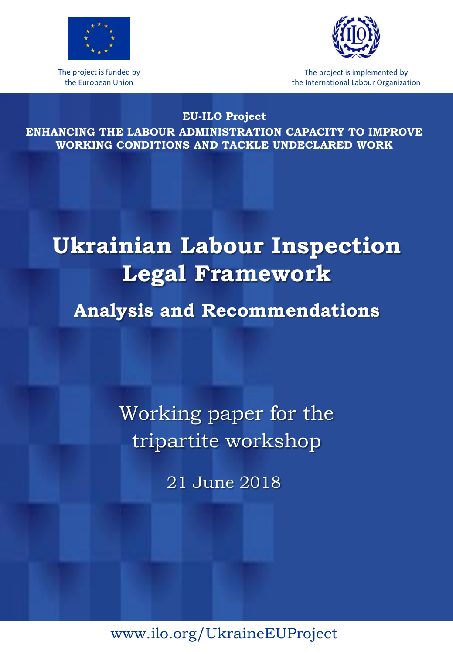

The project is funded by the European Union



The project is implemented by the International Labour Organization

**EU-ILO Project ENHANCING THE LABOUR ADMINISTRATION CAPACITY TO IMPROVE WORKING CONDITIONS AND TACKLE UNDECLARED WORK**

# **Ukrainian Labour Inspection Legal Framework**

**Analysis and Recommendations**

Working paper for the tripartite workshop

21 June 2018

www.ilo.org/UkraineEUProject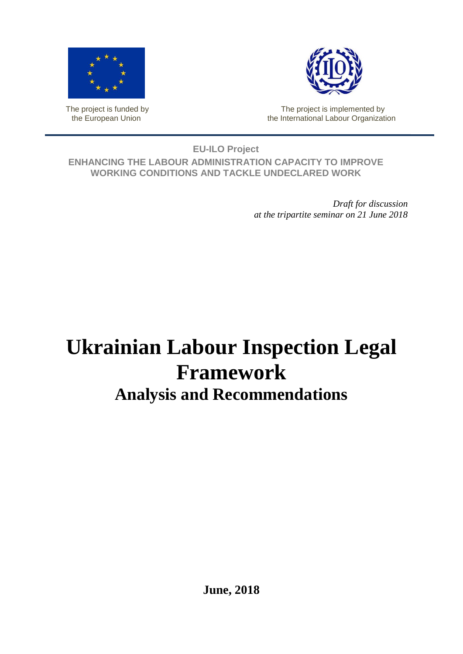

The project is funded by the European Union



The project is implemented by the International Labour Organization

**EU-ILO Project ENHANCING THE LABOUR ADMINISTRATION CAPACITY TO IMPROVE WORKING CONDITIONS AND TACKLE UNDECLARED WORK**

> *Draft for discussion at the tripartite seminar on 21 June 2018*

## **Ukrainian Labour Inspection Legal Framework Analysis and Recommendations**

**June, 2018**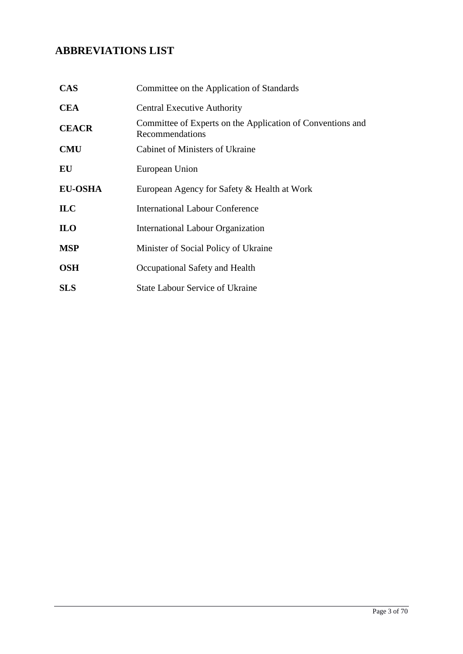## <span id="page-4-0"></span>**ABBREVIATIONS LIST**

| <b>CAS</b>     | Committee on the Application of Standards                                     |
|----------------|-------------------------------------------------------------------------------|
| <b>CEA</b>     | <b>Central Executive Authority</b>                                            |
| <b>CEACR</b>   | Committee of Experts on the Application of Conventions and<br>Recommendations |
| <b>CMU</b>     | Cabinet of Ministers of Ukraine                                               |
| EU             | European Union                                                                |
| <b>EU-OSHA</b> | European Agency for Safety & Health at Work                                   |
| <b>ILC</b>     | <b>International Labour Conference</b>                                        |
| <b>ILO</b>     | <b>International Labour Organization</b>                                      |
| <b>MSP</b>     | Minister of Social Policy of Ukraine                                          |
| <b>OSH</b>     | Occupational Safety and Health                                                |
| <b>SLS</b>     | <b>State Labour Service of Ukraine</b>                                        |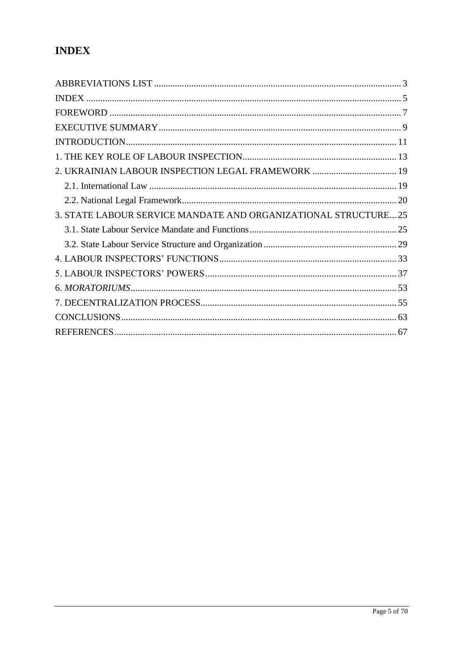## <span id="page-6-0"></span>**INDEX**

| 2. UKRAINIAN LABOUR INSPECTION LEGAL FRAMEWORK  19              |  |
|-----------------------------------------------------------------|--|
|                                                                 |  |
|                                                                 |  |
| 3. STATE LABOUR SERVICE MANDATE AND ORGANIZATIONAL STRUCTURE 25 |  |
|                                                                 |  |
|                                                                 |  |
|                                                                 |  |
|                                                                 |  |
|                                                                 |  |
|                                                                 |  |
|                                                                 |  |
|                                                                 |  |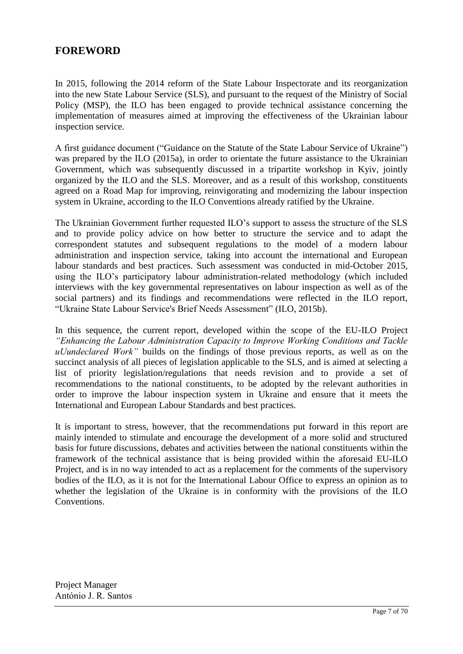#### <span id="page-8-0"></span>**FOREWORD**

In 2015, following the 2014 reform of the State Labour Inspectorate and its reorganization into the new State Labour Service (SLS), and pursuant to the request of the Ministry of Social Policy (MSP), the ILO has been engaged to provide technical assistance concerning the implementation of measures aimed at improving the effectiveness of the Ukrainian labour inspection service.

A first guidance document ("Guidance on the Statute of the State Labour Service of Ukraine") was prepared by the ILO (2015a), in order to orientate the future assistance to the Ukrainian Government, which was subsequently discussed in a tripartite workshop in Kyiv, jointly organized by the ILO and the SLS. Moreover, and as a result of this workshop, constituents agreed on a Road Map for improving, reinvigorating and modernizing the labour inspection system in Ukraine, according to the ILO Conventions already ratified by the Ukraine.

The Ukrainian Government further requested ILO's support to assess the structure of the SLS and to provide policy advice on how better to structure the service and to adapt the correspondent statutes and subsequent regulations to the model of a modern labour administration and inspection service, taking into account the international and European labour standards and best practices. Such assessment was conducted in mid-October 2015, using the ILO's participatory labour administration-related methodology (which included interviews with the key governmental representatives on labour inspection as well as of the social partners) and its findings and recommendations were reflected in the ILO report, "Ukraine State Labour Service's Brief Needs Assessment" (ILO, 2015b).

In this sequence, the current report, developed within the scope of the EU-ILO Project *"Enhancing the Labour Administration Capacity to Improve Working Conditions and Tackle uUundeclared Work"* builds on the findings of those previous reports, as well as on the succinct analysis of all pieces of legislation applicable to the SLS, and is aimed at selecting a list of priority legislation/regulations that needs revision and to provide a set of recommendations to the national constituents, to be adopted by the relevant authorities in order to improve the labour inspection system in Ukraine and ensure that it meets the International and European Labour Standards and best practices.

It is important to stress, however, that the recommendations put forward in this report are mainly intended to stimulate and encourage the development of a more solid and structured basis for future discussions, debates and activities between the national constituents within the framework of the technical assistance that is being provided within the aforesaid EU-ILO Project, and is in no way intended to act as a replacement for the comments of the supervisory bodies of the ILO, as it is not for the International Labour Office to express an opinion as to whether the legislation of the Ukraine is in conformity with the provisions of the ILO Conventions.

Project Manager António J. R. Santos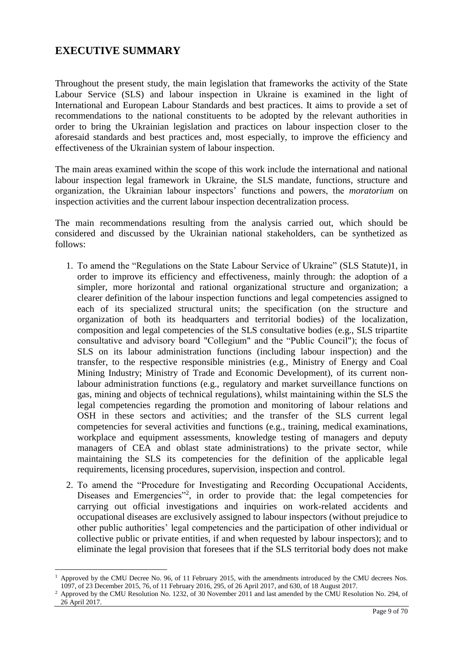#### <span id="page-10-0"></span>**EXECUTIVE SUMMARY**

 $\overline{a}$ 

Throughout the present study, the main legislation that frameworks the activity of the State Labour Service (SLS) and labour inspection in Ukraine is examined in the light of International and European Labour Standards and best practices. It aims to provide a set of recommendations to the national constituents to be adopted by the relevant authorities in order to bring the Ukrainian legislation and practices on labour inspection closer to the aforesaid standards and best practices and, most especially, to improve the efficiency and effectiveness of the Ukrainian system of labour inspection.

The main areas examined within the scope of this work include the international and national labour inspection legal framework in Ukraine, the SLS mandate, functions, structure and organization, the Ukrainian labour inspectors' functions and powers, the *moratorium* on inspection activities and the current labour inspection decentralization process.

The main recommendations resulting from the analysis carried out, which should be considered and discussed by the Ukrainian national stakeholders, can be synthetized as follows:

- 1. To amend the "Regulations on the State Labour Service of Ukraine" (SLS Statute)1, in order to improve its efficiency and effectiveness, mainly through: the adoption of a simpler, more horizontal and rational organizational structure and organization; a clearer definition of the labour inspection functions and legal competencies assigned to each of its specialized structural units; the specification (on the structure and organization of both its headquarters and territorial bodies) of the localization, composition and legal competencies of the SLS consultative bodies (e.g., SLS tripartite consultative and advisory board "Collegium" and the "Public Council"); the focus of SLS on its labour administration functions (including labour inspection) and the transfer, to the respective responsible ministries (e.g., Ministry of Energy and Coal Mining Industry; Ministry of Trade and Economic Development), of its current nonlabour administration functions (e.g., regulatory and market surveillance functions on gas, mining and objects of technical regulations), whilst maintaining within the SLS the legal competencies regarding the promotion and monitoring of labour relations and OSH in these sectors and activities; and the transfer of the SLS current legal competencies for several activities and functions (e.g., training, medical examinations, workplace and equipment assessments, knowledge testing of managers and deputy managers of CEA and oblast state administrations) to the private sector, while maintaining the SLS its competencies for the definition of the applicable legal requirements, licensing procedures, supervision, inspection and control.
- 2. To amend the "Procedure for Investigating and Recording Occupational Accidents, Diseases and Emergencies"<sup>2</sup>, in order to provide that: the legal competencies for carrying out official investigations and inquiries on work-related accidents and occupational diseases are exclusively assigned to labour inspectors (without prejudice to other public authorities' legal competencies and the participation of other individual or collective public or private entities, if and when requested by labour inspectors); and to eliminate the legal provision that foresees that if the SLS territorial body does not make

Approved by the CMU Decree No. 96, of 11 February 2015, with the amendments introduced by the CMU decrees Nos. 1097, of 23 December 2015, 76, of 11 February 2016, 295, of 26 April 2017, and 630, of 18 August 2017.

<sup>2</sup> Approved by the CMU Resolution No. 1232, of 30 November 2011 and last amended by the CMU Resolution No. 294, of 26 April 2017.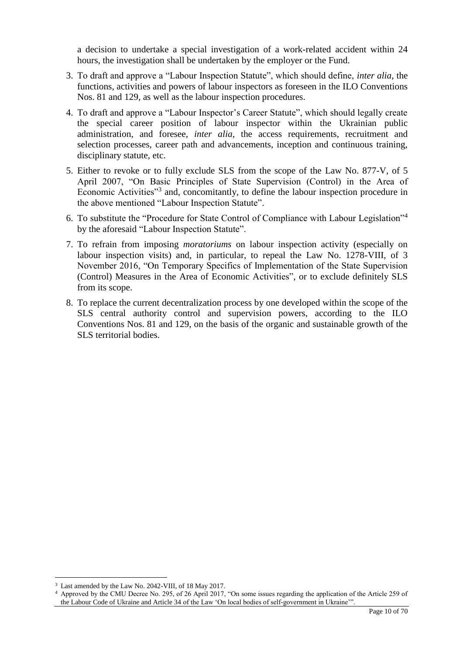a decision to undertake a special investigation of a work-related accident within 24 hours, the investigation shall be undertaken by the employer or the Fund.

- 3. To draft and approve a "Labour Inspection Statute", which should define, *inter alia*, the functions, activities and powers of labour inspectors as foreseen in the ILO Conventions Nos. 81 and 129, as well as the labour inspection procedures.
- 4. To draft and approve a "Labour Inspector's Career Statute", which should legally create the special career position of labour inspector within the Ukrainian public administration, and foresee, *inter alia*, the access requirements, recruitment and selection processes, career path and advancements, inception and continuous training, disciplinary statute, etc.
- 5. Either to revoke or to fully exclude SLS from the scope of the Law No. 877-V, of 5 April 2007, "On Basic Principles of State Supervision (Control) in the Area of Economic Activities"<sup>3</sup> and, concomitantly, to define the labour inspection procedure in the above mentioned "Labour Inspection Statute".
- 6. To substitute the "Procedure for State Control of Compliance with Labour Legislation"<sup>4</sup> by the aforesaid "Labour Inspection Statute".
- 7. To refrain from imposing *moratoriums* on labour inspection activity (especially on labour inspection visits) and, in particular, to repeal the Law No. 1278-VIII, of 3 November 2016, "On Temporary Specifics of Implementation of the State Supervision (Control) Measures in the Area of Economic Activities", or to exclude definitely SLS from its scope.
- 8. To replace the current decentralization process by one developed within the scope of the SLS central authority control and supervision powers, according to the ILO Conventions Nos. 81 and 129, on the basis of the organic and sustainable growth of the SLS territorial bodies.

 $\overline{a}$ <sup>3</sup> Last amended by the Law No. 2042-VIII, of 18 May 2017.

<sup>4</sup> Approved by the CMU Decree No. 295, of 26 April 2017, "On some issues regarding the application of the Article 259 of the Labour Code of Ukraine and Article 34 of the Law 'On local bodies of self-government in Ukraine'".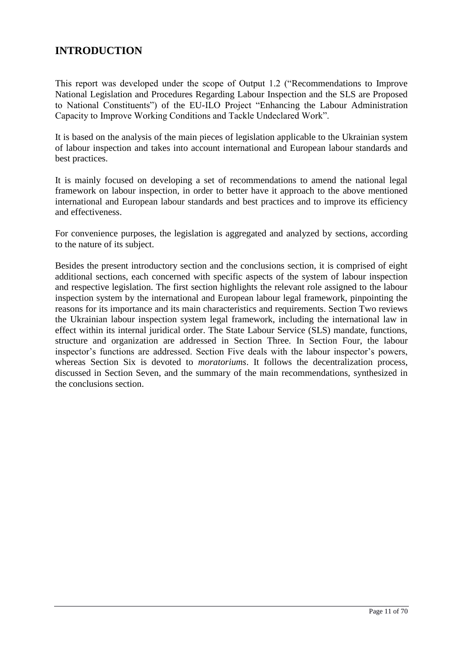#### <span id="page-12-0"></span>**INTRODUCTION**

This report was developed under the scope of Output 1.2 ("Recommendations to Improve National Legislation and Procedures Regarding Labour Inspection and the SLS are Proposed to National Constituents") of the EU-ILO Project "Enhancing the Labour Administration Capacity to Improve Working Conditions and Tackle Undeclared Work".

It is based on the analysis of the main pieces of legislation applicable to the Ukrainian system of labour inspection and takes into account international and European labour standards and best practices.

It is mainly focused on developing a set of recommendations to amend the national legal framework on labour inspection, in order to better have it approach to the above mentioned international and European labour standards and best practices and to improve its efficiency and effectiveness.

For convenience purposes, the legislation is aggregated and analyzed by sections, according to the nature of its subject.

Besides the present introductory section and the conclusions section, it is comprised of eight additional sections, each concerned with specific aspects of the system of labour inspection and respective legislation. The first section highlights the relevant role assigned to the labour inspection system by the international and European labour legal framework, pinpointing the reasons for its importance and its main characteristics and requirements. Section Two reviews the Ukrainian labour inspection system legal framework, including the international law in effect within its internal juridical order. The State Labour Service (SLS) mandate, functions, structure and organization are addressed in Section Three. In Section Four, the labour inspector's functions are addressed. Section Five deals with the labour inspector's powers, whereas Section Six is devoted to *moratoriums*. It follows the decentralization process, discussed in Section Seven, and the summary of the main recommendations, synthesized in the conclusions section.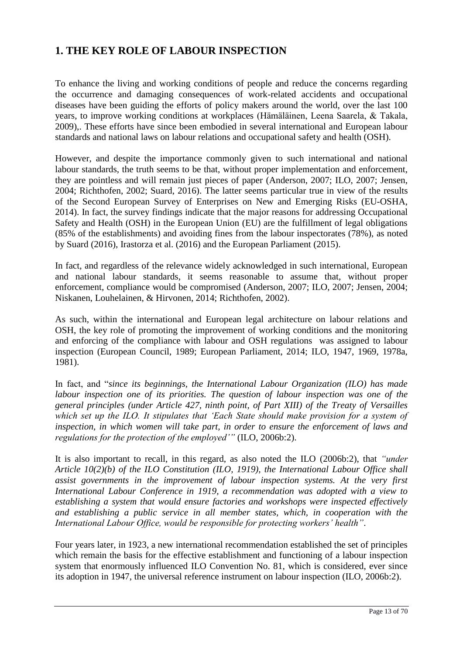## <span id="page-14-0"></span>**1. THE KEY ROLE OF LABOUR INSPECTION**

To enhance the living and working conditions of people and reduce the concerns regarding the occurrence and damaging consequences of work-related accidents and occupational diseases have been guiding the efforts of policy makers around the world, over the last 100 years, to improve working conditions at workplaces (Hämäläinen, Leena Saarela, & Takala, 2009),. These efforts have since been embodied in several international and European labour standards and national laws on labour relations and occupational safety and health (OSH).

However, and despite the importance commonly given to such international and national labour standards, the truth seems to be that, without proper implementation and enforcement, they are pointless and will remain just pieces of paper (Anderson, 2007; ILO, 2007; Jensen, 2004; Richthofen, 2002; Suard, 2016). The latter seems particular true in view of the results of the Second European Survey of Enterprises on New and Emerging Risks (EU-OSHA, 2014). In fact, the survey findings indicate that the major reasons for addressing Occupational Safety and Health (OSH) in the European Union (EU) are the fulfillment of legal obligations (85% of the establishments) and avoiding fines from the labour inspectorates (78%), as noted by Suard (2016), Irastorza et al. (2016) and the European Parliament (2015).

In fact, and regardless of the relevance widely acknowledged in such international, European and national labour standards, it seems reasonable to assume that, without proper enforcement, compliance would be compromised (Anderson, 2007; ILO, 2007; Jensen, 2004; Niskanen, Louhelainen, & Hirvonen, 2014; Richthofen, 2002).

As such, within the international and European legal architecture on labour relations and OSH, the key role of promoting the improvement of working conditions and the monitoring and enforcing of the compliance with labour and OSH regulations was assigned to labour inspection (European Council, 1989; European Parliament, 2014; ILO, 1947, 1969, 1978a, 1981).

In fact, and "*since its beginnings, the International Labour Organization (ILO) has made labour inspection one of its priorities. The question of labour inspection was one of the general principles (under Article 427, ninth point, of Part XIII) of the Treaty of Versailles which set up the ILO. It stipulates that 'Each State should make provision for a system of inspection, in which women will take part, in order to ensure the enforcement of laws and regulations for the protection of the employed'"* (ILO, 2006b:2).

It is also important to recall, in this regard, as also noted the ILO (2006b:2), that *"under Article 10(2)(b) of the ILO Constitution (ILO, 1919), the International Labour Office shall assist governments in the improvement of labour inspection systems. At the very first International Labour Conference in 1919, a recommendation was adopted with a view to establishing a system that would ensure factories and workshops were inspected effectively and establishing a public service in all member states, which, in cooperation with the International Labour Office, would be responsible for protecting workers' health"*.

Four years later, in 1923, a new international recommendation established the set of principles which remain the basis for the effective establishment and functioning of a labour inspection system that enormously influenced ILO Convention No. 81, which is considered, ever since its adoption in 1947, the universal reference instrument on labour inspection (ILO, 2006b:2).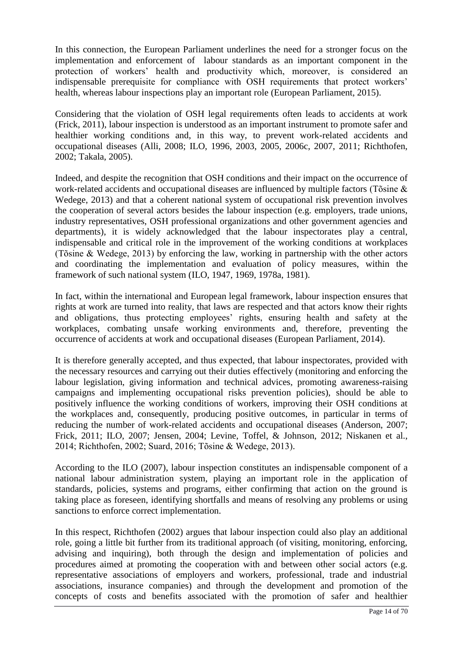In this connection, the European Parliament underlines the need for a stronger focus on the implementation and enforcement of labour standards as an important component in the protection of workers' health and productivity which, moreover, is considered an indispensable prerequisite for compliance with OSH requirements that protect workers' health, whereas labour inspections play an important role (European Parliament, 2015).

Considering that the violation of OSH legal requirements often leads to accidents at work (Frick, 2011), labour inspection is understood as an important instrument to promote safer and healthier working conditions and, in this way, to prevent work-related accidents and occupational diseases (Alli, 2008; ILO, 1996, 2003, 2005, 2006c, 2007, 2011; Richthofen, 2002; Takala, 2005).

Indeed, and despite the recognition that OSH conditions and their impact on the occurrence of work-related accidents and occupational diseases are influenced by multiple factors (Tõsine & Wedege, 2013) and that a coherent national system of occupational risk prevention involves the cooperation of several actors besides the labour inspection (e.g. employers, trade unions, industry representatives, OSH professional organizations and other government agencies and departments), it is widely acknowledged that the labour inspectorates play a central, indispensable and critical role in the improvement of the working conditions at workplaces (Tõsine & Wedege, 2013) by enforcing the law, working in partnership with the other actors and coordinating the implementation and evaluation of policy measures, within the framework of such national system (ILO, 1947, 1969, 1978a, 1981).

In fact, within the international and European legal framework, labour inspection ensures that rights at work are turned into reality, that laws are respected and that actors know their rights and obligations, thus protecting employees' rights, ensuring health and safety at the workplaces, combating unsafe working environments and, therefore, preventing the occurrence of accidents at work and occupational diseases (European Parliament, 2014).

It is therefore generally accepted, and thus expected, that labour inspectorates, provided with the necessary resources and carrying out their duties effectively (monitoring and enforcing the labour legislation, giving information and technical advices, promoting awareness-raising campaigns and implementing occupational risks prevention policies), should be able to positively influence the working conditions of workers, improving their OSH conditions at the workplaces and, consequently, producing positive outcomes, in particular in terms of reducing the number of work-related accidents and occupational diseases (Anderson, 2007; Frick, 2011; ILO, 2007; Jensen, 2004; Levine, Toffel, & Johnson, 2012; Niskanen et al., 2014; Richthofen, 2002; Suard, 2016; Tõsine & Wedege, 2013).

According to the ILO (2007), labour inspection constitutes an indispensable component of a national labour administration system, playing an important role in the application of standards, policies, systems and programs, either confirming that action on the ground is taking place as foreseen, identifying shortfalls and means of resolving any problems or using sanctions to enforce correct implementation.

In this respect, Richthofen (2002) argues that labour inspection could also play an additional role, going a little bit further from its traditional approach (of visiting, monitoring, enforcing, advising and inquiring), both through the design and implementation of policies and procedures aimed at promoting the cooperation with and between other social actors (e.g. representative associations of employers and workers, professional, trade and industrial associations, insurance companies) and through the development and promotion of the concepts of costs and benefits associated with the promotion of safer and healthier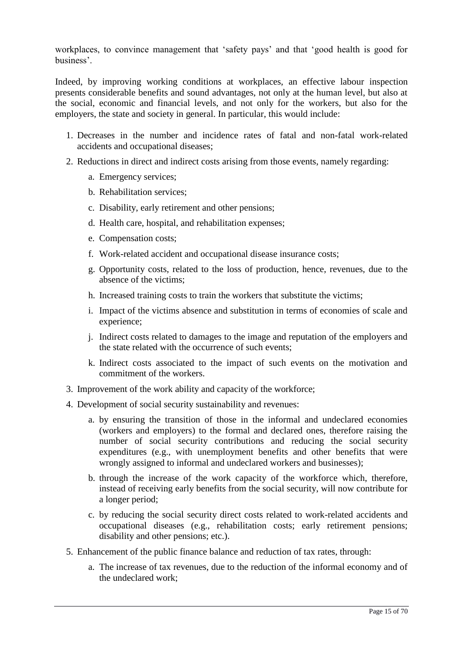workplaces, to convince management that 'safety pays' and that 'good health is good for business'.

Indeed, by improving working conditions at workplaces, an effective labour inspection presents considerable benefits and sound advantages, not only at the human level, but also at the social, economic and financial levels, and not only for the workers, but also for the employers, the state and society in general. In particular, this would include:

- 1. Decreases in the number and incidence rates of fatal and non-fatal work-related accidents and occupational diseases;
- 2. Reductions in direct and indirect costs arising from those events, namely regarding:
	- a. Emergency services;
	- b. Rehabilitation services;
	- c. Disability, early retirement and other pensions;
	- d. Health care, hospital, and rehabilitation expenses;
	- e. Compensation costs;
	- f. Work-related accident and occupational disease insurance costs;
	- g. Opportunity costs, related to the loss of production, hence, revenues, due to the absence of the victims;
	- h. Increased training costs to train the workers that substitute the victims;
	- i. Impact of the victims absence and substitution in terms of economies of scale and experience;
	- j. Indirect costs related to damages to the image and reputation of the employers and the state related with the occurrence of such events;
	- k. Indirect costs associated to the impact of such events on the motivation and commitment of the workers.
- 3. Improvement of the work ability and capacity of the workforce;
- 4. Development of social security sustainability and revenues:
	- a. by ensuring the transition of those in the informal and undeclared economies (workers and employers) to the formal and declared ones, therefore raising the number of social security contributions and reducing the social security expenditures (e.g., with unemployment benefits and other benefits that were wrongly assigned to informal and undeclared workers and businesses);
	- b. through the increase of the work capacity of the workforce which, therefore, instead of receiving early benefits from the social security, will now contribute for a longer period;
	- c. by reducing the social security direct costs related to work-related accidents and occupational diseases (e.g., rehabilitation costs; early retirement pensions; disability and other pensions; etc.).
- 5. Enhancement of the public finance balance and reduction of tax rates, through:
	- a. The increase of tax revenues, due to the reduction of the informal economy and of the undeclared work;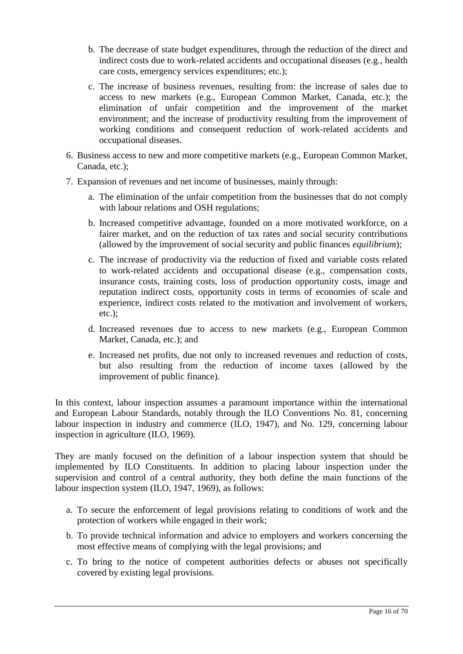- b. The decrease of state budget expenditures, through the reduction of the direct and indirect costs due to work-related accidents and occupational diseases (e.g., health care costs, emergency services expenditures; etc.);
- c. The increase of business revenues, resulting from: the increase of sales due to access to new markets (e.g., European Common Market, Canada, etc.); the elimination of unfair competition and the improvement of the market environment; and the increase of productivity resulting from the improvement of working conditions and consequent reduction of work-related accidents and occupational diseases.
- 6. Business access to new and more competitive markets (e.g., European Common Market, Canada, etc.);
- 7. Expansion of revenues and net income of businesses, mainly through:
	- a. The elimination of the unfair competition from the businesses that do not comply with labour relations and OSH regulations;
	- b. Increased competitive advantage, founded on a more motivated workforce, on a fairer market, and on the reduction of tax rates and social security contributions (allowed by the improvement of social security and public finances *equilibrium*);
	- c. The increase of productivity via the reduction of fixed and variable costs related to work-related accidents and occupational disease (e.g., compensation costs, insurance costs, training costs, loss of production opportunity costs, image and reputation indirect costs, opportunity costs in terms of economies of scale and experience, indirect costs related to the motivation and involvement of workers, etc.);
	- d. Increased revenues due to access to new markets (e.g., European Common Market, Canada, etc.); and
	- e. Increased net profits, due not only to increased revenues and reduction of costs, but also resulting from the reduction of income taxes (allowed by the improvement of public finance).

In this context, labour inspection assumes a paramount importance within the international and European Labour Standards, notably through the ILO Conventions No. 81, concerning labour inspection in industry and commerce (ILO, 1947), and No. 129, concerning labour inspection in agriculture (ILO, 1969).

They are manly focused on the definition of a labour inspection system that should be implemented by ILO Constituents. In addition to placing labour inspection under the supervision and control of a central authority, they both define the main functions of the labour inspection system (ILO, 1947, 1969), as follows:

- a. To secure the enforcement of legal provisions relating to conditions of work and the protection of workers while engaged in their work;
- b. To provide technical information and advice to employers and workers concerning the most effective means of complying with the legal provisions; and
- c. To bring to the notice of competent authorities defects or abuses not specifically covered by existing legal provisions.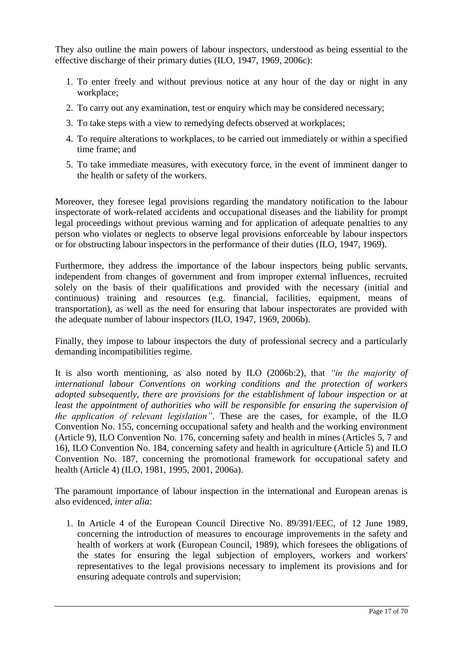They also outline the main powers of labour inspectors, understood as being essential to the effective discharge of their primary duties (ILO, 1947, 1969, 2006c):

- 1. To enter freely and without previous notice at any hour of the day or night in any workplace;
- 2. To carry out any examination, test or enquiry which may be considered necessary;
- 3. To take steps with a view to remedying defects observed at workplaces;
- 4. To require alterations to workplaces, to be carried out immediately or within a specified time frame; and
- 5. To take immediate measures, with executory force, in the event of imminent danger to the health or safety of the workers.

Moreover, they foresee legal provisions regarding the mandatory notification to the labour inspectorate of work-related accidents and occupational diseases and the liability for prompt legal proceedings without previous warning and for application of adequate penalties to any person who violates or neglects to observe legal provisions enforceable by labour inspectors or for obstructing labour inspectors in the performance of their duties (ILO, 1947, 1969).

Furthermore, they address the importance of the labour inspectors being public servants, independent from changes of government and from improper external influences, recruited solely on the basis of their qualifications and provided with the necessary (initial and continuous) training and resources (e.g. financial, facilities, equipment, means of transportation), as well as the need for ensuring that labour inspectorates are provided with the adequate number of labour inspectors (ILO, 1947, 1969, 2006b).

Finally, they impose to labour inspectors the duty of professional secrecy and a particularly demanding incompatibilities regime.

It is also worth mentioning, as also noted by ILO (2006b:2), that *"in the majority of international labour Conventions on working conditions and the protection of workers adopted subsequently, there are provisions for the establishment of labour inspection or at least the appointment of authorities who will be responsible for ensuring the supervision of the application of relevant legislation"*. These are the cases, for example, of the ILO Convention No. 155, concerning occupational safety and health and the working environment (Article 9), ILO Convention No. 176, concerning safety and health in mines (Articles 5, 7 and 16), ILO Convention No. 184, concerning safety and health in agriculture (Article 5) and ILO Convention No. 187, concerning the promotional framework for occupational safety and health (Article 4) (ILO, 1981, 1995, 2001, 2006a).

The paramount importance of labour inspection in the international and European arenas is also evidenced, *inter alia*:

1. In Article 4 of the European Council Directive No. 89/391/EEC, of 12 June 1989, concerning the introduction of measures to encourage improvements in the safety and health of workers at work (European Council, 1989), which foresees the obligations of the states for ensuring the legal subjection of employers, workers and workers' representatives to the legal provisions necessary to implement its provisions and for ensuring adequate controls and supervision;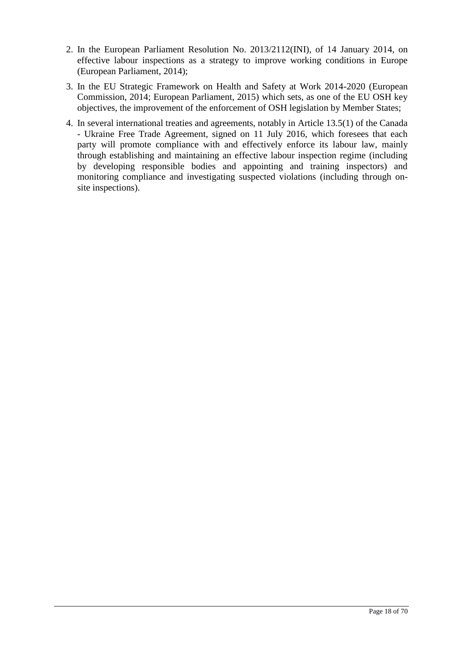- 2. In the European Parliament Resolution No. 2013/2112(INI), of 14 January 2014, on effective labour inspections as a strategy to improve working conditions in Europe (European Parliament, 2014);
- 3. In the EU Strategic Framework on Health and Safety at Work 2014-2020 (European Commission, 2014; European Parliament, 2015) which sets, as one of the EU OSH key objectives, the improvement of the enforcement of OSH legislation by Member States;
- 4. In several international treaties and agreements, notably in Article 13.5(1) of the Canada - Ukraine Free Trade Agreement, signed on 11 July 2016, which foresees that each party will promote compliance with and effectively enforce its labour law, mainly through establishing and maintaining an effective labour inspection regime (including by developing responsible bodies and appointing and training inspectors) and monitoring compliance and investigating suspected violations (including through onsite inspections).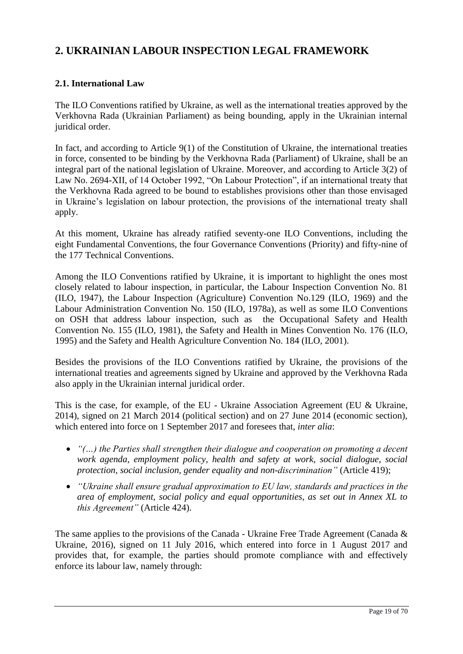## <span id="page-20-0"></span>**2. UKRAINIAN LABOUR INSPECTION LEGAL FRAMEWORK**

#### <span id="page-20-1"></span>**2.1. International Law**

The ILO Conventions ratified by Ukraine, as well as the international treaties approved by the Verkhovna Rada (Ukrainian Parliament) as being bounding, apply in the Ukrainian internal juridical order.

In fact, and according to Article 9(1) of the Constitution of Ukraine, the international treaties in force, consented to be binding by the Verkhovna Rada (Parliament) of Ukraine, shall be an integral part of the national legislation of Ukraine. Moreover, and according to Article 3(2) of Law No. 2694-XII, of 14 October 1992, "On Labour Protection", if an international treaty that the Verkhovna Rada agreed to be bound to establishes provisions other than those envisaged in Ukraine's legislation on labour protection, the provisions of the international treaty shall apply.

At this moment, Ukraine has already ratified seventy-one ILO Conventions, including the eight Fundamental Conventions, the four Governance Conventions (Priority) and fifty-nine of the 177 Technical Conventions.

Among the ILO Conventions ratified by Ukraine, it is important to highlight the ones most closely related to labour inspection, in particular, the Labour Inspection Convention No. 81 (ILO, 1947), the Labour Inspection (Agriculture) Convention No.129 (ILO, 1969) and the Labour Administration Convention No. 150 (ILO, 1978a), as well as some ILO Conventions on OSH that address labour inspection, such as the Occupational Safety and Health Convention No. 155 (ILO, 1981), the Safety and Health in Mines Convention No. 176 (ILO, 1995) and the Safety and Health Agriculture Convention No. 184 (ILO, 2001).

Besides the provisions of the ILO Conventions ratified by Ukraine, the provisions of the international treaties and agreements signed by Ukraine and approved by the Verkhovna Rada also apply in the Ukrainian internal juridical order.

This is the case, for example, of the EU - Ukraine Association Agreement (EU & Ukraine, 2014), signed on 21 March 2014 (political section) and on 27 June 2014 (economic section), which entered into force on 1 September 2017 and foresees that, *inter alia*:

- *"(…) the Parties shall strengthen their dialogue and cooperation on promoting a decent work agenda, employment policy, health and safety at work, social dialogue, social protection, social inclusion, gender equality and non-discrimination"* (Article 419);
- *"Ukraine shall ensure gradual approximation to EU law, standards and practices in the area of employment, social policy and equal opportunities, as set out in Annex XL to this Agreement"* (Article 424).

The same applies to the provisions of the Canada - Ukraine Free Trade Agreement (Canada  $\&$ Ukraine, 2016), signed on 11 July 2016, which entered into force in 1 August 2017 and provides that, for example, the parties should promote compliance with and effectively enforce its labour law, namely through: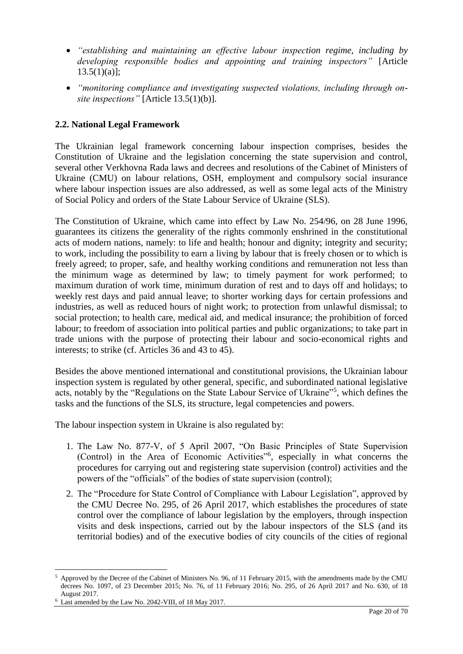- *"establishing and maintaining an effective labour inspection regime, including by developing responsible bodies and appointing and training inspectors"* [Article  $13.5(1)(a)$ ;
- *"monitoring compliance and investigating suspected violations, including through onsite inspections"* [Article 13.5(1)(b)].

#### <span id="page-21-0"></span>**2.2. National Legal Framework**

The Ukrainian legal framework concerning labour inspection comprises, besides the Constitution of Ukraine and the legislation concerning the state supervision and control, several other Verkhovna Rada laws and decrees and resolutions of the Cabinet of Ministers of Ukraine (CMU) on labour relations, OSH, employment and compulsory social insurance where labour inspection issues are also addressed, as well as some legal acts of the Ministry of Social Policy and orders of the State Labour Service of Ukraine (SLS).

The Constitution of Ukraine, which came into effect by Law No. 254/96, on 28 June 1996, guarantees its citizens the generality of the rights commonly enshrined in the constitutional acts of modern nations, namely: to life and health; honour and dignity; integrity and security; to work, including the possibility to earn a living by labour that is freely chosen or to which is freely agreed; to proper, safe, and healthy working conditions and remuneration not less than the minimum wage as determined by law; to timely payment for work performed; to maximum duration of work time, minimum duration of rest and to days off and holidays; to weekly rest days and paid annual leave; to shorter working days for certain professions and industries, as well as reduced hours of night work; to protection from unlawful dismissal; to social protection; to health care, medical aid, and medical insurance; the prohibition of forced labour; to freedom of association into political parties and public organizations; to take part in trade unions with the purpose of protecting their labour and socio-economical rights and interests; to strike (cf. Articles 36 and 43 to 45).

Besides the above mentioned international and constitutional provisions, the Ukrainian labour inspection system is regulated by other general, specific, and subordinated national legislative acts, notably by the "Regulations on the State Labour Service of Ukraine"<sup>5</sup>, which defines the tasks and the functions of the SLS, its structure, legal competencies and powers.

The labour inspection system in Ukraine is also regulated by:

- 1. The Law No. 877-V, of 5 April 2007, "On Basic Principles of State Supervision (Control) in the Area of Economic Activities"<sup>6</sup> , especially in what concerns the procedures for carrying out and registering state supervision (control) activities and the powers of the "officials" of the bodies of state supervision (control);
- 2. The "Procedure for State Control of Compliance with Labour Legislation", approved by the CMU Decree No. 295, of 26 April 2017, which establishes the procedures of state control over the compliance of labour legislation by the employers, through inspection visits and desk inspections, carried out by the labour inspectors of the SLS (and its territorial bodies) and of the executive bodies of city councils of the cities of regional

 $\overline{a}$ <sup>5</sup> Approved by the Decree of the Cabinet of Ministers No. 96, of 11 February 2015, with the amendments made by the CMU decrees No. 1097, of 23 December 2015; No. 76, of 11 February 2016; No. 295, of 26 April 2017 and No. 630, of 18 August 2017.

<sup>6</sup> Last amended by the Law No. 2042-VIII, of 18 May 2017.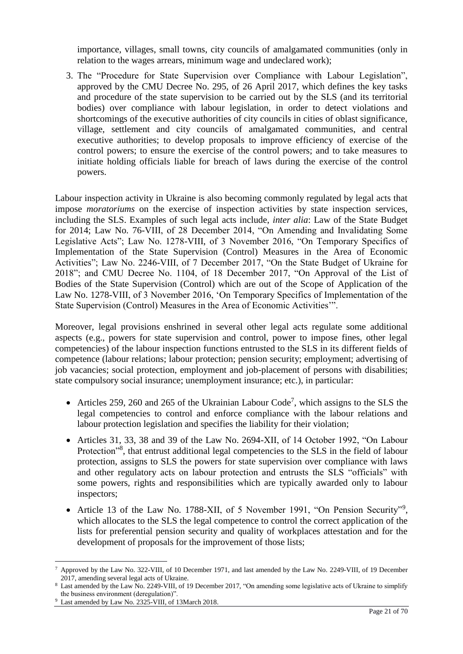importance, villages, small towns, city councils of amalgamated communities (only in relation to the wages arrears, minimum wage and undeclared work);

3. The "Procedure for State Supervision over Compliance with Labour Legislation", approved by the CMU Decree No. 295, of 26 April 2017, which defines the key tasks and procedure of the state supervision to be carried out by the SLS (and its territorial bodies) over compliance with labour legislation, in order to detect violations and shortcomings of the executive authorities of city councils in cities of oblast significance, village, settlement and city councils of amalgamated communities, and central executive authorities; to develop proposals to improve efficiency of exercise of the control powers; to ensure the exercise of the control powers; and to take measures to initiate holding officials liable for breach of laws during the exercise of the control powers.

Labour inspection activity in Ukraine is also becoming commonly regulated by legal acts that impose *moratoriums* on the exercise of inspection activities by state inspection services, including the SLS. Examples of such legal acts include, *inter alia*: Law of the State Budget for 2014; Law No. 76-VIII, of 28 December 2014, "On Amending and Invalidating Some Legislative Acts"; Law No. 1278-VIII, of 3 November 2016, "On Temporary Specifics of Implementation of the State Supervision (Control) Measures in the Area of Economic Activities"; Law No. 2246-VIII, of 7 December 2017, "On the State Budget of Ukraine for 2018"; and CMU Decree No. 1104, of 18 December 2017, "On Approval of the List of Bodies of the State Supervision (Control) which are out of the Scope of Application of the Law No. 1278-VIII, of 3 November 2016, 'On Temporary Specifics of Implementation of the State Supervision (Control) Measures in the Area of Economic Activities'".

Moreover, legal provisions enshrined in several other legal acts regulate some additional aspects (e.g., powers for state supervision and control, power to impose fines, other legal competencies) of the labour inspection functions entrusted to the SLS in its different fields of competence (labour relations; labour protection; pension security; employment; advertising of job vacancies; social protection, employment and job-placement of persons with disabilities; state compulsory social insurance; unemployment insurance; etc.), in particular:

- Articles 259, 260 and 265 of the Ukrainian Labour Code<sup>7</sup>, which assigns to the SLS the legal competencies to control and enforce compliance with the labour relations and labour protection legislation and specifies the liability for their violation;
- Articles 31, 33, 38 and 39 of the Law No. 2694-XII, of 14 October 1992, "On Labour Protection"<sup>8</sup>, that entrust additional legal competencies to the SLS in the field of labour protection, assigns to SLS the powers for state supervision over compliance with laws and other regulatory acts on labour protection and entrusts the SLS "officials" with some powers, rights and responsibilities which are typically awarded only to labour inspectors;
- Article 13 of the Law No. 1788-XII, of 5 November 1991, "On Pension Security"<sup>9</sup>, which allocates to the SLS the legal competence to control the correct application of the lists for preferential pension security and quality of workplaces attestation and for the development of proposals for the improvement of those lists;

 $\overline{a}$ 

<sup>7</sup> Approved by the Law No. 322-VIII, of 10 December 1971, and last amended by the Law No. 2249-VIII, of 19 December 2017, amending several legal acts of Ukraine.

<sup>&</sup>lt;sup>8</sup> Last amended by the Law No. 2249-VIII, of 19 December 2017, "On amending some legislative acts of Ukraine to simplify the business environment (deregulation)".

<sup>9</sup> Last amended by Law No. 2325-VIII, of 13March 2018.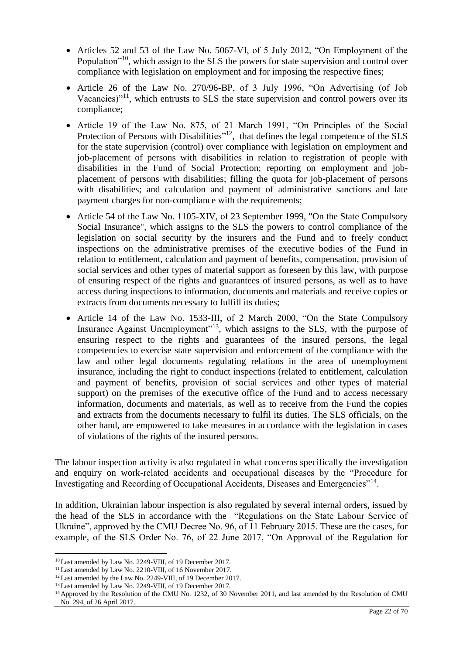- Articles 52 and 53 of the Law No. 5067-VI, of 5 July 2012, "On Employment of the Population<sup>"10</sup>, which assign to the SLS the powers for state supervision and control over compliance with legislation on employment and for imposing the respective fines;
- Article 26 of the Law No. 270/96-BP, of 3 July 1996, "On Advertising (of Job Vacancies) $v<sup>11</sup>$ , which entrusts to SLS the state supervision and control powers over its compliance;
- Article 19 of the Law No. 875, of 21 March 1991, "On Principles of the Social Protection of Persons with Disabilities"<sup>12</sup>, that defines the legal competence of the SLS for the state supervision (control) over compliance with legislation on employment and job-placement of persons with disabilities in relation to registration of people with disabilities in the Fund of Social Protection; reporting on employment and jobplacement of persons with disabilities; filling the quota for job-placement of persons with disabilities; and calculation and payment of administrative sanctions and late payment charges for non-compliance with the requirements;
- Article 54 of the Law No. 1105-XIV, of 23 September 1999, "On the State Compulsory Social Insurance", which assigns to the SLS the powers to control compliance of the legislation on social security by the insurers and the Fund and to freely conduct inspections on the administrative premises of the executive bodies of the Fund in relation to entitlement, calculation and payment of benefits, compensation, provision of social services and other types of material support as foreseen by this law, with purpose of ensuring respect of the rights and guarantees of insured persons, as well as to have access during inspections to information, documents and materials and receive copies or extracts from documents necessary to fulfill its duties;
- Article 14 of the Law No. 1533-III, of 2 March 2000, "Оn the State Compulsory Insurance Against Unemployment"<sup>13</sup>, which assigns to the SLS, with the purpose of ensuring respect to the rights and guarantees of the insured persons, the legal competencies to exercise state supervision and enforcement of the compliance with the law and other legal documents regulating relations in the area of unemployment insurance, including the right to conduct inspections (related to entitlement, calculation and payment of benefits, provision of social services and other types of material support) on the premises of the executive office of the Fund and to access necessary information, documents and materials, as well as to receive from the Fund the copies and extracts from the documents necessary to fulfil its duties. The SLS officials, on the other hand, are empowered to take measures in accordance with the legislation in cases of violations of the rights of the insured persons.

The labour inspection activity is also regulated in what concerns specifically the investigation and enquiry on work-related accidents and occupational diseases by the "Procedure for Investigating and Recording of Occupational Accidents, Diseases and Emergencies"<sup>14</sup>.

In addition, Ukrainian labour inspection is also regulated by several internal orders, issued by the head of the SLS in accordance with the "Regulations on the State Labour Service of Ukraine", approved by the CMU Decree No. 96, of 11 February 2015. These are the cases, for example, of the SLS Order No. 76, of 22 June 2017, "On Approval of the Regulation for

 $\overline{a}$ 

<sup>10</sup>Last amended by Law No. 2249-VIII, of 19 December 2017.

<sup>&</sup>lt;sup>11</sup> Last amended by Law No. 2210-VIII, of 16 November 2017.

<sup>&</sup>lt;sup>12</sup> Last amended by the Law No. 2249-VIII, of 19 December 2017.

<sup>&</sup>lt;sup>13</sup> Last amended by Law No. 2249-VIII, of 19 December 2017.

<sup>&</sup>lt;sup>14</sup> Approved by the Resolution of the CMU No. 1232, of 30 November 2011, and last amended by the Resolution of CMU No. 294, of 26 April 2017.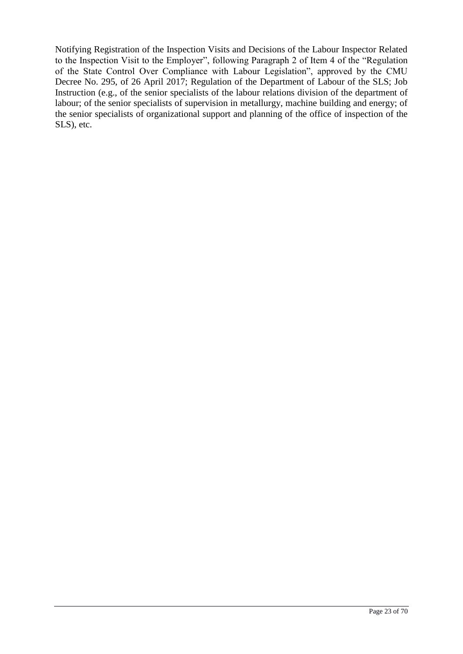Notifying Registration of the Inspection Visits and Decisions of the Labour Inspector Related to the Inspection Visit to the Employer", following Paragraph 2 of Item 4 of the "Regulation of the State Control Over Compliance with Labour Legislation", approved by the CMU Decree No. 295, of 26 April 2017; Regulation of the Department of Labour of the SLS; Job Instruction (e.g., of the senior specialists of the labour relations division of the department of labour; of the senior specialists of supervision in metallurgy, machine building and energy; of the senior specialists of organizational support and planning of the office of inspection of the SLS), etc.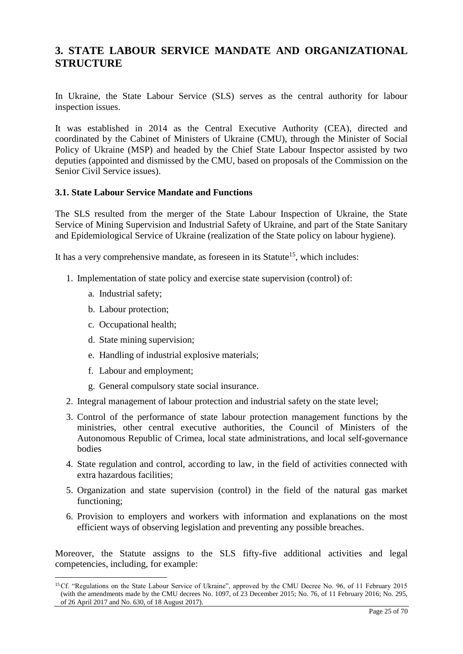## <span id="page-26-0"></span>**3. STATE LABOUR SERVICE MANDATE AND ORGANIZATIONAL STRUCTURE**

In Ukraine, the State Labour Service (SLS) serves as the central authority for labour inspection issues.

It was established in 2014 as the Central Executive Authority (CEA), directed and coordinated by the Cabinet of Ministers of Ukraine (CMU), through the Minister of Social Policy of Ukraine (MSP) and headed by the Chief State Labour Inspector assisted by two deputies (appointed and dismissed by the CMU, based on proposals of the Commission on the Senior Civil Service issues).

#### <span id="page-26-1"></span>**3.1. State Labour Service Mandate and Functions**

The SLS resulted from the merger of the State Labour Inspection of Ukraine, the State Service of Mining Supervision and Industrial Safety of Ukraine, and part of the State Sanitary and Epidemiological Service of Ukraine (realization of the State policy on labour hygiene).

It has a very comprehensive mandate, as foreseen in its Statute<sup>15</sup>, which includes:

- 1. Implementation of state policy and exercise state supervision (control) of:
	- a. Industrial safety;

 $\overline{a}$ 

- b. Labour protection;
- c. Occupational health;
- d. State mining supervision;
- e. Handling of industrial explosive materials;
- f. Labour and employment;
- g. General compulsory state social insurance.
- 2. Integral management of labour protection and industrial safety on the state level;
- 3. Control of the performance of state labour protection management functions by the ministries, other central executive authorities, the Council of Ministers of the Autonomous Republic of Crimea, local state administrations, and local self-governance bodies
- 4. State regulation and control, according to law, in the field of activities connected with extra hazardous facilities;
- 5. Organization and state supervision (control) in the field of the natural gas market functioning;
- 6. Provision to employers and workers with information and explanations on the most efficient ways of observing legislation and preventing any possible breaches.

Moreover, the Statute assigns to the SLS fifty-five additional activities and legal competencies, including, for example:

<sup>&</sup>lt;sup>15</sup>Cf. "Regulations on the State Labour Service of Ukraine", approved by the CMU Decree No. 96, of 11 February 2015 (with the amendments made by the CMU decrees No. 1097, of 23 December 2015; No. 76, of 11 February 2016; No. 295, of 26 April 2017 and No. 630, of 18 August 2017).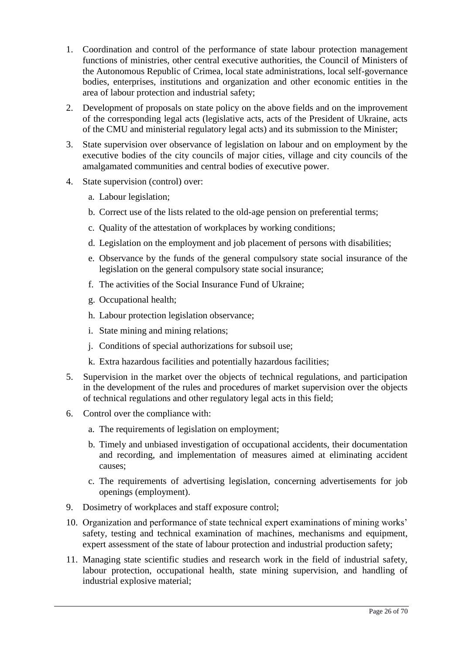- 1. Coordination and control of the performance of state labour protection management functions of ministries, other central executive authorities, the Council of Ministers of the Autonomous Republic of Crimea, local state administrations, local self-governance bodies, enterprises, institutions and organization and other economic entities in the area of labour protection and industrial safety;
- 2. Development of proposals on state policy on the above fields and on the improvement of the corresponding legal acts (legislative acts, acts of the President of Ukraine, acts of the CMU and ministerial regulatory legal acts) and its submission to the Minister;
- 3. State supervision over observance of legislation on labour and on employment by the executive bodies of the city councils of major cities, village and city councils of the amalgamated communities and central bodies of executive power.
- 4. State supervision (control) over:
	- a. Labour legislation;
	- b. Correct use of the lists related to the old-age pension on preferential terms;
	- c. Quality of the attestation of workplaces by working conditions;
	- d. Legislation on the employment and job placement of persons with disabilities;
	- e. Observance by the funds of the general compulsory state social insurance of the legislation on the general compulsory state social insurance;
	- f. The activities of the Social Insurance Fund of Ukraine;
	- g. Occupational health;
	- h. Labour protection legislation observance;
	- i. State mining and mining relations;
	- j. Conditions of special authorizations for subsoil use;
	- k. Extra hazardous facilities and potentially hazardous facilities;
- 5. Supervision in the market over the objects of technical regulations, and participation in the development of the rules and procedures of market supervision over the objects of technical regulations and other regulatory legal acts in this field;
- 6. Control over the compliance with:
	- a. The requirements of legislation on employment;
	- b. Timely and unbiased investigation of occupational accidents, their documentation and recording, and implementation of measures aimed at eliminating accident causes;
	- c. The requirements of advertising legislation, concerning advertisements for job openings (employment).
- 9. Dosimetry of workplaces and staff exposure control;
- 10. Organization and performance of state technical expert examinations of mining works' safety, testing and technical examination of machines, mechanisms and equipment, expert assessment of the state of labour protection and industrial production safety;
- 11. Managing state scientific studies and research work in the field of industrial safety, labour protection, occupational health, state mining supervision, and handling of industrial explosive material;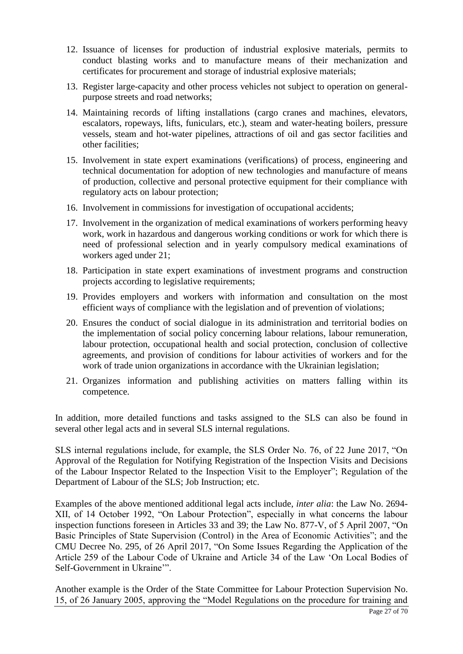- 12. Issuance of licenses for production of industrial explosive materials, permits to conduct blasting works and to manufacture means of their mechanization and certificates for procurement and storage of industrial explosive materials;
- 13. Register large-capacity and other process vehicles not subject to operation on generalpurpose streets and road networks;
- 14. Maintaining records of lifting installations (cargo cranes and machines, elevators, escalators, ropeways, lifts, funiculars, etc.), steam and water-heating boilers, pressure vessels, steam and hot-water pipelines, attractions of oil and gas sector facilities and other facilities;
- 15. Involvement in state expert examinations (verifications) of process, engineering and technical documentation for adoption of new technologies and manufacture of means of production, collective and personal protective equipment for their compliance with regulatory acts on labour protection;
- 16. Involvement in commissions for investigation of occupational accidents;
- 17. Involvement in the organization of medical examinations of workers performing heavy work, work in hazardous and dangerous working conditions or work for which there is need of professional selection and in yearly compulsory medical examinations of workers aged under 21;
- 18. Participation in state expert examinations of investment programs and construction projects according to legislative requirements;
- 19. Provides employers and workers with information and consultation on the most efficient ways of compliance with the legislation and of prevention of violations;
- 20. Ensures the conduct of social dialogue in its administration and territorial bodies on the implementation of social policy concerning labour relations, labour remuneration, labour protection, occupational health and social protection, conclusion of collective agreements, and provision of conditions for labour activities of workers and for the work of trade union organizations in accordance with the Ukrainian legislation;
- 21. Organizes information and publishing activities on matters falling within its competence.

In addition, more detailed functions and tasks assigned to the SLS can also be found in several other legal acts and in several SLS internal regulations.

SLS internal regulations include, for example, the SLS Order No. 76, of 22 June 2017, "On Approval of the Regulation for Notifying Registration of the Inspection Visits and Decisions of the Labour Inspector Related to the Inspection Visit to the Employer"; Regulation of the Department of Labour of the SLS; Job Instruction; etc.

Examples of the above mentioned additional legal acts include, *inter alia*: the Law No. 2694- XII, of 14 October 1992, "On Labour Protection", especially in what concerns the labour inspection functions foreseen in Articles 33 and 39; the Law No. 877-V, of 5 April 2007, "On Basic Principles of State Supervision (Control) in the Area of Economic Activities"; and the CMU Decree No. 295, of 26 April 2017, "On Some Issues Regarding the Application of the Article 259 of the Labour Code of Ukraine and Article 34 of the Law 'On Local Bodies of Self-Government in Ukraine'".

Another example is the Order of the State Committee for Labour Protection Supervision No. 15, of 26 January 2005, approving the "Model Regulations on the procedure for training and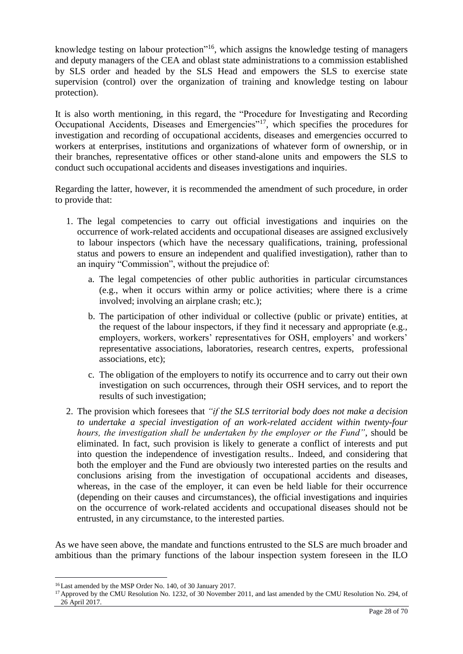knowledge testing on labour protection"<sup>16</sup>, which assigns the knowledge testing of managers and deputy managers of the CEA and oblast state administrations to a commission established by SLS order and headed by the SLS Head and empowers the SLS to exercise state supervision (control) over the organization of training and knowledge testing on labour protection).

It is also worth mentioning, in this regard, the "Procedure for Investigating and Recording Occupational Accidents, Diseases and Emergencies"<sup>17</sup>, which specifies the procedures for investigation and recording of occupational accidents, diseases and emergencies occurred to workers at enterprises, institutions and organizations of whatever form of ownership, or in their branches, representative offices or other stand-alone units and empowers the SLS to conduct such occupational accidents and diseases investigations and inquiries.

Regarding the latter, however, it is recommended the amendment of such procedure, in order to provide that:

- 1. The legal competencies to carry out official investigations and inquiries on the occurrence of work-related accidents and occupational diseases are assigned exclusively to labour inspectors (which have the necessary qualifications, training, professional status and powers to ensure an independent and qualified investigation), rather than to an inquiry "Commission", without the prejudice of:
	- a. The legal competencies of other public authorities in particular circumstances (e.g., when it occurs within army or police activities; where there is a crime involved; involving an airplane crash; etc.);
	- b. The participation of other individual or collective (public or private) entities, at the request of the labour inspectors, if they find it necessary and appropriate (e.g., employers, workers, workers' representatives for OSH, employers' and workers' representative associations, laboratories, research centres, experts, professional associations, etc);
	- c. The obligation of the employers to notify its occurrence and to carry out their own investigation on such occurrences, through their OSH services, and to report the results of such investigation;
- 2. The provision which foresees that *"if the SLS territorial body does not make a decision to undertake a special investigation of an work-related accident within twenty-four hours, the investigation shall be undertaken by the employer or the Fund"*, should be eliminated. In fact, such provision is likely to generate a conflict of interests and put into question the independence of investigation results.. Indeed, and considering that both the employer and the Fund are obviously two interested parties on the results and conclusions arising from the investigation of occupational accidents and diseases, whereas, in the case of the employer, it can even be held liable for their occurrence (depending on their causes and circumstances), the official investigations and inquiries on the occurrence of work-related accidents and occupational diseases should not be entrusted, in any circumstance, to the interested parties.

As we have seen above, the mandate and functions entrusted to the SLS are much broader and ambitious than the primary functions of the labour inspection system foreseen in the ILO

 $\overline{a}$ 

<sup>16</sup>Last amended by the MSP Order No. 140, of 30 January 2017.

<sup>&</sup>lt;sup>17</sup> Approved by the CMU Resolution No. 1232, of 30 November 2011, and last amended by the CMU Resolution No. 294, of 26 April 2017.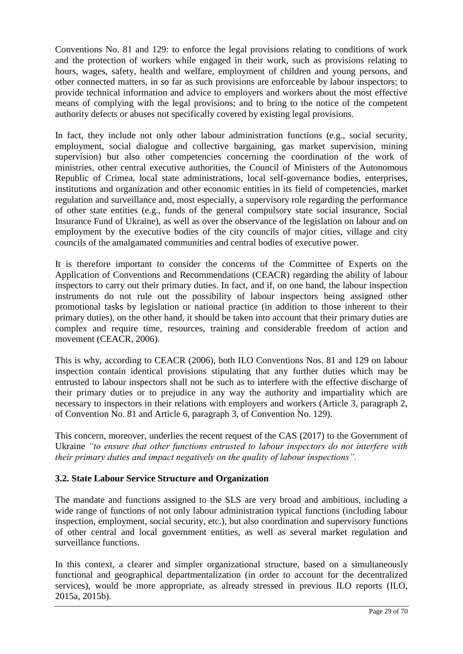Conventions No. 81 and 129: to enforce the legal provisions relating to conditions of work and the protection of workers while engaged in their work, such as provisions relating to hours, wages, safety, health and welfare, employment of children and young persons, and other connected matters, in so far as such provisions are enforceable by labour inspectors; to provide technical information and advice to employers and workers about the most effective means of complying with the legal provisions; and to bring to the notice of the competent authority defects or abuses not specifically covered by existing legal provisions.

In fact, they include not only other labour administration functions (e.g., social security, employment, social dialogue and collective bargaining, gas market supervision, mining supervision) but also other competencies concerning the coordination of the work of ministries, other central executive authorities, the Council of Ministers of the Autonomous Republic of Crimea, local state administrations, local self-governance bodies, enterprises, institutions and organization and other economic entities in its field of competencies, market regulation and surveillance and, most especially, a supervisory role regarding the performance of other state entities (e.g., funds of the general compulsory state social insurance, Social Insurance Fund of Ukraine), as well as over the observance of the legislation on labour and on employment by the executive bodies of the city councils of major cities, village and city councils of the amalgamated communities and central bodies of executive power.

It is therefore important to consider the concerns of the Committee of Experts on the Application of Conventions and Recommendations (CEACR) regarding the ability of labour inspectors to carry out their primary duties. In fact, and if, on one hand, the labour inspection instruments do not rule out the possibility of labour inspectors being assigned other promotional tasks by legislation or national practice (in addition to those inherent to their primary duties), on the other hand, it should be taken into account that their primary duties are complex and require time, resources, training and considerable freedom of action and movement (CEACR, 2006).

This is why, according to CEACR (2006), both ILO Conventions Nos. 81 and 129 on labour inspection contain identical provisions stipulating that any further duties which may be entrusted to labour inspectors shall not be such as to interfere with the effective discharge of their primary duties or to prejudice in any way the authority and impartiality which are necessary to inspectors in their relations with employers and workers (Article 3, paragraph 2, of Convention No. 81 and Article 6, paragraph 3, of Convention No. 129).

This concern, moreover, underlies the recent request of the CAS (2017) to the Government of Ukraine *"to ensure that other functions entrusted to labour inspectors do not interfere with their primary duties and impact negatively on the quality of labour inspections".*

#### <span id="page-30-0"></span>**3.2. State Labour Service Structure and Organization**

The mandate and functions assigned to the SLS are very broad and ambitious, including a wide range of functions of not only labour administration typical functions (including labour inspection, employment, social security, etc.), but also coordination and supervisory functions of other central and local government entities, as well as several market regulation and surveillance functions.

In this context, a clearer and simpler organizational structure, based on a simultaneously functional and geographical departmentalization (in order to account for the decentralized services), would be more appropriate, as already stressed in previous ILO reports (ILO, 2015a, 2015b).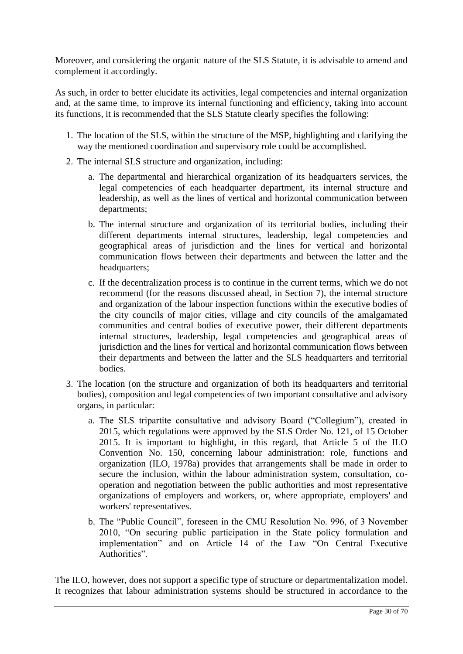Moreover, and considering the organic nature of the SLS Statute, it is advisable to amend and complement it accordingly.

As such, in order to better elucidate its activities, legal competencies and internal organization and, at the same time, to improve its internal functioning and efficiency, taking into account its functions, it is recommended that the SLS Statute clearly specifies the following:

- 1. The location of the SLS, within the structure of the MSP, highlighting and clarifying the way the mentioned coordination and supervisory role could be accomplished.
- 2. The internal SLS structure and organization, including:
	- a. The departmental and hierarchical organization of its headquarters services, the legal competencies of each headquarter department, its internal structure and leadership, as well as the lines of vertical and horizontal communication between departments;
	- b. The internal structure and organization of its territorial bodies, including their different departments internal structures, leadership, legal competencies and geographical areas of jurisdiction and the lines for vertical and horizontal communication flows between their departments and between the latter and the headquarters;
	- c. If the decentralization process is to continue in the current terms, which we do not recommend (for the reasons discussed ahead, in Section 7), the internal structure and organization of the labour inspection functions within the executive bodies of the city councils of major cities, village and city councils of the amalgamated communities and central bodies of executive power, their different departments internal structures, leadership, legal competencies and geographical areas of jurisdiction and the lines for vertical and horizontal communication flows between their departments and between the latter and the SLS headquarters and territorial bodies.
- 3. The location (on the structure and organization of both its headquarters and territorial bodies), composition and legal competencies of two important consultative and advisory organs, in particular:
	- a. The SLS tripartite consultative and advisory Board ("Collegium"), created in 2015, which regulations were approved by the SLS Order No. 121, of 15 October 2015. It is important to highlight, in this regard, that Article 5 of the ILO Convention No. 150, concerning labour administration: role, functions and organization (ILO, 1978a) provides that arrangements shall be made in order to secure the inclusion, within the labour administration system, consultation, cooperation and negotiation between the public authorities and most representative organizations of employers and workers, or, where appropriate, employers' and workers' representatives.
	- b. The "Public Council", foreseen in the CMU Resolution No. 996, of 3 November 2010, "On securing public participation in the State policy formulation and implementation" and on Article 14 of the Law "On Central Executive Authorities".

The ILO, however, does not support a specific type of structure or departmentalization model. It recognizes that labour administration systems should be structured in accordance to the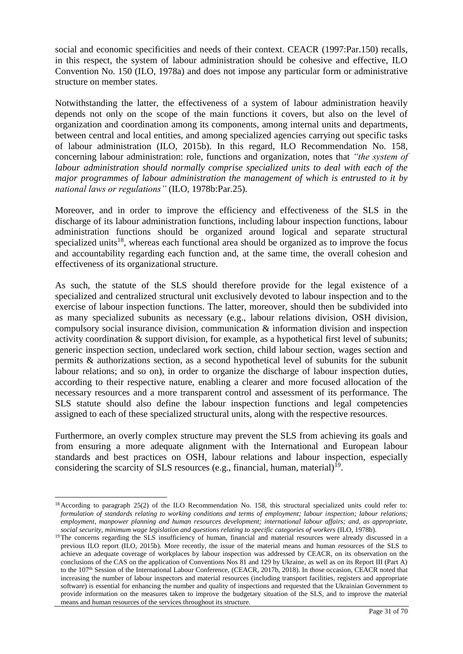social and economic specificities and needs of their context. CEACR (1997:Par.150) recalls, in this respect, the system of labour administration should be cohesive and effective, ILO Convention No. 150 (ILO, 1978a) and does not impose any particular form or administrative structure on member states.

Notwithstanding the latter, the effectiveness of a system of labour administration heavily depends not only on the scope of the main functions it covers, but also on the level of organization and coordination among its components, among internal units and departments, between central and local entities, and among specialized agencies carrying out specific tasks of labour administration (ILO, 2015b). In this regard, ILO Recommendation No. 158, concerning labour administration: role, functions and organization, notes that *"the system of labour administration should normally comprise specialized units to deal with each of the major programmes of labour administration the management of which is entrusted to it by national laws or regulations"* (ILO, 1978b:Par.25).

Moreover, and in order to improve the efficiency and effectiveness of the SLS in the discharge of its labour administration functions, including labour inspection functions, labour administration functions should be organized around logical and separate structural specialized units<sup>18</sup>, whereas each functional area should be organized as to improve the focus and accountability regarding each function and, at the same time, the overall cohesion and effectiveness of its organizational structure.

As such, the statute of the SLS should therefore provide for the legal existence of a specialized and centralized structural unit exclusively devoted to labour inspection and to the exercise of labour inspection functions. The latter, moreover, should then be subdivided into as many specialized subunits as necessary (e.g., labour relations division, OSH division, compulsory social insurance division, communication & information division and inspection activity coordination & support division, for example, as a hypothetical first level of subunits; generic inspection section, undeclared work section, child labour section, wages section and permits & authorizations section, as a second hypothetical level of subunits for the subunit labour relations; and so on), in order to organize the discharge of labour inspection duties, according to their respective nature, enabling a clearer and more focused allocation of the necessary resources and a more transparent control and assessment of its performance. The SLS statute should also define the labour inspection functions and legal competencies assigned to each of these specialized structural units, along with the respective resources.

Furthermore, an overly complex structure may prevent the SLS from achieving its goals and from ensuring a more adequate alignment with the International and European labour standards and best practices on OSH, labour relations and labour inspection, especially considering the scarcity of SLS resources (e.g., financial, human, material) $^{19}$ .

 $\overline{a}$ <sup>18</sup> According to paragraph 25(2) of the ILO Recommendation No. 158, this structural specialized units could refer to: *formulation of standards relating to working conditions and terms of employment; labour inspection; labour relations; employment, manpower planning and human resources development; international labour affairs; and, as appropriate, social security, minimum wage legislation and questions relating to specific categories of workers* (ILO, 1978b).

<sup>&</sup>lt;sup>19</sup>The concerns regarding the SLS insufficiency of human, financial and material resources were already discussed in a previous ILO report (ILO, 2015b). More recently, the issue of the material means and human resources of the SLS to achieve an adequate coverage of workplaces by labour inspection was addressed by CEACR, on its observation on the conclusions of the CAS on the application of Conventions Nos 81 and 129 by Ukraine, as well as on its Report III (Part A) to the 107<sup>th</sup> Session of the International Labour Conference, (CEACR, 2017b, 2018). In those occasion, CEACR noted that increasing the number of labour inspectors and material resources (including transport facilities, registers and appropriate software) is essential for enhancing the number and quality of inspections and requested that the Ukrainian Government to provide information on the measures taken to improve the budgetary situation of the SLS, and to improve the material means and human resources of the services throughout its structure.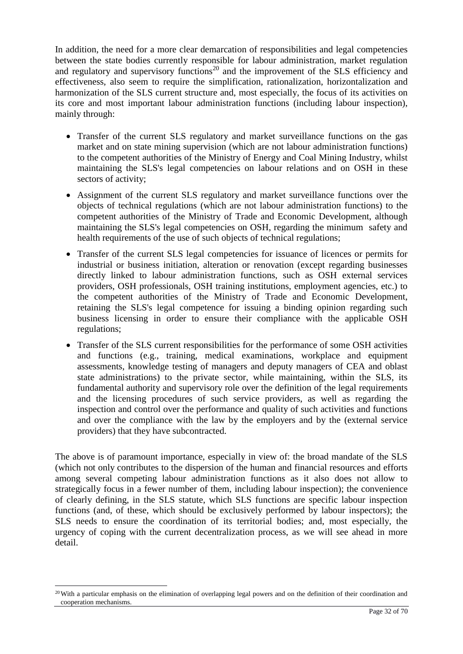In addition, the need for a more clear demarcation of responsibilities and legal competencies between the state bodies currently responsible for labour administration, market regulation and regulatory and supervisory functions<sup>20</sup> and the improvement of the SLS efficiency and effectiveness, also seem to require the simplification, rationalization, horizontalization and harmonization of the SLS current structure and, most especially, the focus of its activities on its core and most important labour administration functions (including labour inspection), mainly through:

- Transfer of the current SLS regulatory and market surveillance functions on the gas market and on state mining supervision (which are not labour administration functions) to the competent authorities of the Ministry of Energy and Coal Mining Industry, whilst maintaining the SLS's legal competencies on labour relations and on OSH in these sectors of activity;
- Assignment of the current SLS regulatory and market surveillance functions over the objects of technical regulations (which are not labour administration functions) to the competent authorities of the Ministry of Trade and Economic Development, although maintaining the SLS's legal competencies on OSH, regarding the minimum safety and health requirements of the use of such objects of technical regulations;
- Transfer of the current SLS legal competencies for issuance of licences or permits for industrial or business initiation, alteration or renovation (except regarding businesses directly linked to labour administration functions, such as OSH external services providers, OSH professionals, OSH training institutions, employment agencies, etc.) to the competent authorities of the Ministry of Trade and Economic Development, retaining the SLS's legal competence for issuing a binding opinion regarding such business licensing in order to ensure their compliance with the applicable OSH regulations;
- Transfer of the SLS current responsibilities for the performance of some OSH activities and functions (e.g., training, medical examinations, workplace and equipment assessments, knowledge testing of managers and deputy managers of CEA and oblast state administrations) to the private sector, while maintaining, within the SLS, its fundamental authority and supervisory role over the definition of the legal requirements and the licensing procedures of such service providers, as well as regarding the inspection and control over the performance and quality of such activities and functions and over the compliance with the law by the employers and by the (external service providers) that they have subcontracted.

The above is of paramount importance, especially in view of: the broad mandate of the SLS (which not only contributes to the dispersion of the human and financial resources and efforts among several competing labour administration functions as it also does not allow to strategically focus in a fewer number of them, including labour inspection); the convenience of clearly defining, in the SLS statute, which SLS functions are specific labour inspection functions (and, of these, which should be exclusively performed by labour inspectors); the SLS needs to ensure the coordination of its territorial bodies; and, most especially, the urgency of coping with the current decentralization process, as we will see ahead in more detail.

 $\overline{a}$ 

 $20$  With a particular emphasis on the elimination of overlapping legal powers and on the definition of their coordination and cooperation mechanisms.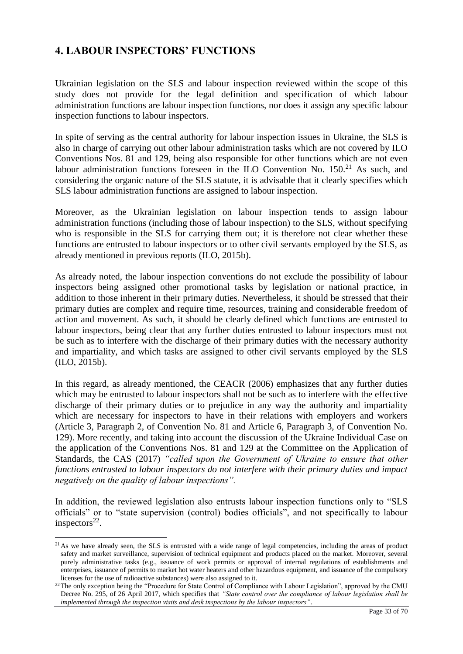#### <span id="page-34-0"></span>**4. LABOUR INSPECTORS' FUNCTIONS**

Ukrainian legislation on the SLS and labour inspection reviewed within the scope of this study does not provide for the legal definition and specification of which labour administration functions are labour inspection functions, nor does it assign any specific labour inspection functions to labour inspectors.

In spite of serving as the central authority for labour inspection issues in Ukraine, the SLS is also in charge of carrying out other labour administration tasks which are not covered by ILO Conventions Nos. 81 and 129, being also responsible for other functions which are not even labour administration functions foreseen in the ILO Convention No.  $150<sup>21</sup>$  As such, and considering the organic nature of the SLS statute, it is advisable that it clearly specifies which SLS labour administration functions are assigned to labour inspection.

Moreover, as the Ukrainian legislation on labour inspection tends to assign labour administration functions (including those of labour inspection) to the SLS, without specifying who is responsible in the SLS for carrying them out; it is therefore not clear whether these functions are entrusted to labour inspectors or to other civil servants employed by the SLS, as already mentioned in previous reports (ILO, 2015b).

As already noted, the labour inspection conventions do not exclude the possibility of labour inspectors being assigned other promotional tasks by legislation or national practice, in addition to those inherent in their primary duties. Nevertheless, it should be stressed that their primary duties are complex and require time, resources, training and considerable freedom of action and movement. As such, it should be clearly defined which functions are entrusted to labour inspectors, being clear that any further duties entrusted to labour inspectors must not be such as to interfere with the discharge of their primary duties with the necessary authority and impartiality, and which tasks are assigned to other civil servants employed by the SLS (ILO, 2015b).

In this regard, as already mentioned, the CEACR (2006) emphasizes that any further duties which may be entrusted to labour inspectors shall not be such as to interfere with the effective discharge of their primary duties or to prejudice in any way the authority and impartiality which are necessary for inspectors to have in their relations with employers and workers (Article 3, Paragraph 2, of Convention No. 81 and Article 6, Paragraph 3, of Convention No. 129). More recently, and taking into account the discussion of the Ukraine Individual Case on the application of the Conventions Nos. 81 and 129 at the Committee on the Application of Standards, the CAS (2017) *"called upon the Government of Ukraine to ensure that other functions entrusted to labour inspectors do not interfere with their primary duties and impact negatively on the quality of labour inspections".*

In addition, the reviewed legislation also entrusts labour inspection functions only to "SLS officials" or to "state supervision (control) bodies officials", and not specifically to labour inspectors $^{22}$ .

 $\overline{a}$ 

 $21$ As we have already seen, the SLS is entrusted with a wide range of legal competencies, including the areas of product safety and market surveillance, supervision of technical equipment and products placed on the market. Moreover, several purely administrative tasks (e.g., issuance of work permits or approval of internal regulations of establishments and enterprises, issuance of permits to market hot water heaters and other hazardous equipment, and issuance of the compulsory licenses for the use of radioactive substances) were also assigned to it.

<sup>&</sup>lt;sup>22</sup>The only exception being the "Procedure for State Control of Compliance with Labour Legislation", approved by the CMU Decree No. 295, of 26 April 2017, which specifies that *"State control over the compliance of labour legislation shall be implemented through the inspection visits and desk inspections by the labour inspectors"*.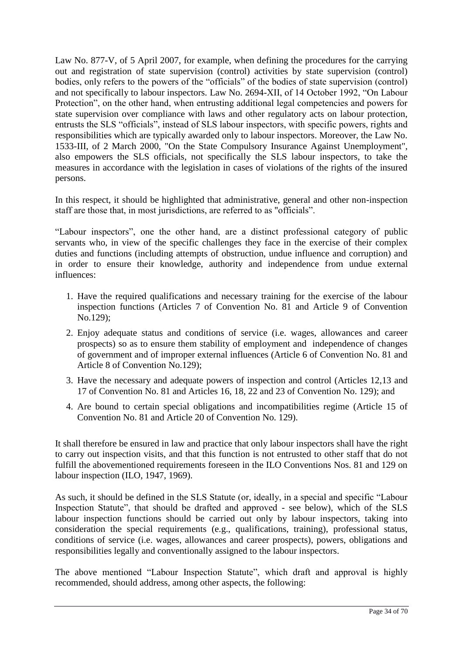Law No. 877-V, of 5 April 2007, for example, when defining the procedures for the carrying out and registration of state supervision (control) activities by state supervision (control) bodies, only refers to the powers of the "officials" of the bodies of state supervision (control) and not specifically to labour inspectors. Law No. 2694-XII, of 14 October 1992, "On Labour Protection", on the other hand, when entrusting additional legal competencies and powers for state supervision over compliance with laws and other regulatory acts on labour protection, entrusts the SLS "officials", instead of SLS labour inspectors, with specific powers, rights and responsibilities which are typically awarded only to labour inspectors. Moreover, the Law No. 1533-III, of 2 March 2000, "On the State Compulsory Insurance Against Unemployment", also empowers the SLS officials, not specifically the SLS labour inspectors, to take the measures in accordance with the legislation in cases of violations of the rights of the insured persons.

In this respect, it should be highlighted that administrative, general and other non-inspection staff are those that, in most jurisdictions, are referred to as "officials".

"Labour inspectors", one the other hand, are a distinct professional category of public servants who, in view of the specific challenges they face in the exercise of their complex duties and functions (including attempts of obstruction, undue influence and corruption) and in order to ensure their knowledge, authority and independence from undue external influences:

- 1. Have the required qualifications and necessary training for the exercise of the labour inspection functions (Articles 7 of Convention No. 81 and Article 9 of Convention No.129);
- 2. Enjoy adequate status and conditions of service (i.e. wages, allowances and career prospects) so as to ensure them stability of employment and independence of changes of government and of improper external influences (Article 6 of Convention No. 81 and Article 8 of Convention No.129);
- 3. Have the necessary and adequate powers of inspection and control (Articles 12,13 and 17 of Convention No. 81 and Articles 16, 18, 22 and 23 of Convention No. 129); and
- 4. Are bound to certain special obligations and incompatibilities regime (Article 15 of Convention No. 81 and Article 20 of Convention No. 129).

It shall therefore be ensured in law and practice that only labour inspectors shall have the right to carry out inspection visits, and that this function is not entrusted to other staff that do not fulfill the abovementioned requirements foreseen in the ILO Conventions Nos. 81 and 129 on labour inspection (ILO, 1947, 1969).

As such, it should be defined in the SLS Statute (or, ideally, in a special and specific "Labour Inspection Statute", that should be drafted and approved - see below), which of the SLS labour inspection functions should be carried out only by labour inspectors, taking into consideration the special requirements (e.g., qualifications, training), professional status, conditions of service (i.e. wages, allowances and career prospects), powers, obligations and responsibilities legally and conventionally assigned to the labour inspectors.

The above mentioned "Labour Inspection Statute", which draft and approval is highly recommended, should address, among other aspects, the following: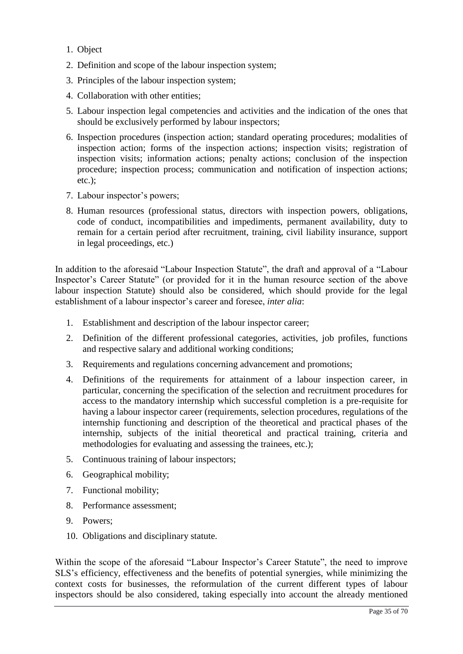- 1. Object
- 2. Definition and scope of the labour inspection system;
- 3. Principles of the labour inspection system;
- 4. Collaboration with other entities;
- 5. Labour inspection legal competencies and activities and the indication of the ones that should be exclusively performed by labour inspectors;
- 6. Inspection procedures (inspection action; standard operating procedures; modalities of inspection action; forms of the inspection actions; inspection visits; registration of inspection visits; information actions; penalty actions; conclusion of the inspection procedure; inspection process; communication and notification of inspection actions; etc.);
- 7. Labour inspector's powers;
- 8. Human resources (professional status, directors with inspection powers, obligations, code of conduct, incompatibilities and impediments, permanent availability, duty to remain for a certain period after recruitment, training, civil liability insurance, support in legal proceedings, etc.)

In addition to the aforesaid "Labour Inspection Statute", the draft and approval of a "Labour Inspector's Career Statute" (or provided for it in the human resource section of the above labour inspection Statute) should also be considered, which should provide for the legal establishment of a labour inspector's career and foresee, *inter alia*:

- 1. Establishment and description of the labour inspector career;
- 2. Definition of the different professional categories, activities, job profiles, functions and respective salary and additional working conditions;
- 3. Requirements and regulations concerning advancement and promotions;
- 4. Definitions of the requirements for attainment of a labour inspection career, in particular, concerning the specification of the selection and recruitment procedures for access to the mandatory internship which successful completion is a pre-requisite for having a labour inspector career (requirements, selection procedures, regulations of the internship functioning and description of the theoretical and practical phases of the internship, subjects of the initial theoretical and practical training, criteria and methodologies for evaluating and assessing the trainees, etc.);
- 5. Continuous training of labour inspectors;
- 6. Geographical mobility;
- 7. Functional mobility;
- 8. Performance assessment;
- 9. Powers;
- 10. Obligations and disciplinary statute.

Within the scope of the aforesaid "Labour Inspector's Career Statute", the need to improve SLS's efficiency, effectiveness and the benefits of potential synergies, while minimizing the context costs for businesses, the reformulation of the current different types of labour inspectors should be also considered, taking especially into account the already mentioned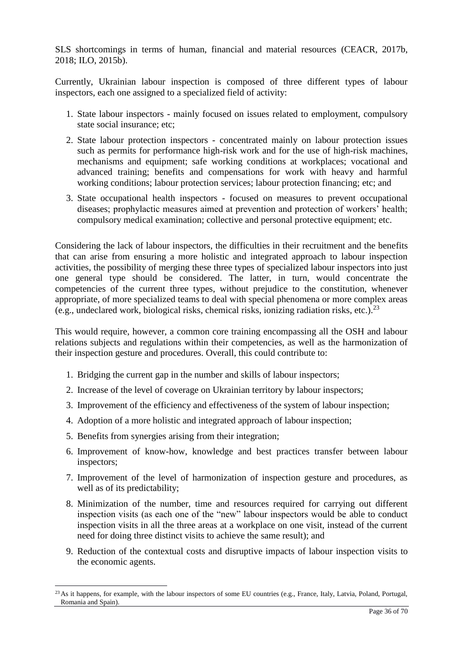SLS shortcomings in terms of human, financial and material resources (CEACR, 2017b, 2018; ILO, 2015b).

Currently, Ukrainian labour inspection is composed of three different types of labour inspectors, each one assigned to a specialized field of activity:

- 1. State labour inspectors mainly focused on issues related to employment, compulsory state social insurance; etc;
- 2. State labour protection inspectors concentrated mainly on labour protection issues such as permits for performance high-risk work and for the use of high-risk machines, mechanisms and equipment; safe working conditions at workplaces; vocational and advanced training; benefits and compensations for work with heavy and harmful working conditions; labour protection services; labour protection financing; etc; and
- 3. State occupational health inspectors focused on measures to prevent occupational diseases; prophylactic measures aimed at prevention and protection of workers' health; compulsory medical examination; collective and personal protective equipment; etc.

Considering the lack of labour inspectors, the difficulties in their recruitment and the benefits that can arise from ensuring a more holistic and integrated approach to labour inspection activities, the possibility of merging these three types of specialized labour inspectors into just one general type should be considered. The latter, in turn, would concentrate the competencies of the current three types, without prejudice to the constitution, whenever appropriate, of more specialized teams to deal with special phenomena or more complex areas (e.g., undeclared work, biological risks, chemical risks, ionizing radiation risks, etc.).<sup>23</sup>

This would require, however, a common core training encompassing all the OSH and labour relations subjects and regulations within their competencies, as well as the harmonization of their inspection gesture and procedures. Overall, this could contribute to:

- 1. Bridging the current gap in the number and skills of labour inspectors;
- 2. Increase of the level of coverage on Ukrainian territory by labour inspectors;
- 3. Improvement of the efficiency and effectiveness of the system of labour inspection;
- 4. Adoption of a more holistic and integrated approach of labour inspection;
- 5. Benefits from synergies arising from their integration;

- 6. Improvement of know-how, knowledge and best practices transfer between labour inspectors;
- 7. Improvement of the level of harmonization of inspection gesture and procedures, as well as of its predictability;
- 8. Minimization of the number, time and resources required for carrying out different inspection visits (as each one of the "new" labour inspectors would be able to conduct inspection visits in all the three areas at a workplace on one visit, instead of the current need for doing three distinct visits to achieve the same result); and
- 9. Reduction of the contextual costs and disruptive impacts of labour inspection visits to the economic agents.

<sup>&</sup>lt;sup>23</sup>As it happens, for example, with the labour inspectors of some EU countries (e.g., France, Italy, Latvia, Poland, Portugal, Romania and Spain).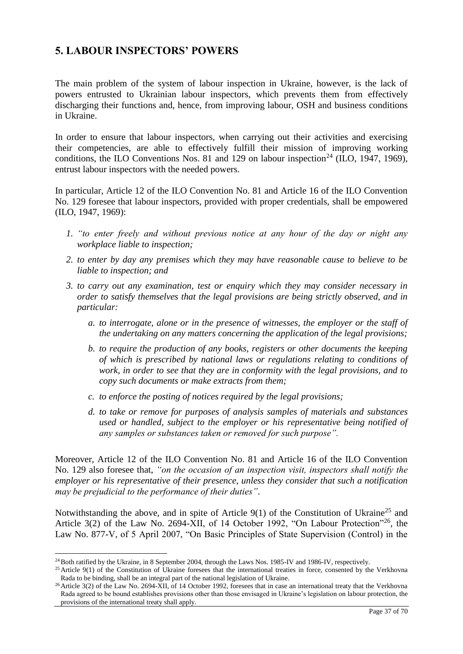## **5. LABOUR INSPECTORS' POWERS**

The main problem of the system of labour inspection in Ukraine, however, is the lack of powers entrusted to Ukrainian labour inspectors, which prevents them from effectively discharging their functions and, hence, from improving labour, OSH and business conditions in Ukraine.

In order to ensure that labour inspectors, when carrying out their activities and exercising their competencies, are able to effectively fulfill their mission of improving working conditions, the ILO Conventions Nos. 81 and 129 on labour inspection<sup>24</sup> (ILO, 1947, 1969). entrust labour inspectors with the needed powers.

In particular, Article 12 of the ILO Convention No. 81 and Article 16 of the ILO Convention No. 129 foresee that labour inspectors, provided with proper credentials, shall be empowered (ILO, 1947, 1969):

- *1. "to enter freely and without previous notice at any hour of the day or night any workplace liable to inspection;*
- *2. to enter by day any premises which they may have reasonable cause to believe to be liable to inspection; and*
- *3. to carry out any examination, test or enquiry which they may consider necessary in order to satisfy themselves that the legal provisions are being strictly observed, and in particular:*
	- *a. to interrogate, alone or in the presence of witnesses, the employer or the staff of the undertaking on any matters concerning the application of the legal provisions;*
	- *b. to require the production of any books, registers or other documents the keeping of which is prescribed by national laws or regulations relating to conditions of work, in order to see that they are in conformity with the legal provisions, and to copy such documents or make extracts from them;*
	- *c. to enforce the posting of notices required by the legal provisions;*
	- *d. to take or remove for purposes of analysis samples of materials and substances used or handled, subject to the employer or his representative being notified of any samples or substances taken or removed for such purpose".*

Moreover, Article 12 of the ILO Convention No. 81 and Article 16 of the ILO Convention No. 129 also foresee that, *"on the occasion of an inspection visit, inspectors shall notify the employer or his representative of their presence, unless they consider that such a notification may be prejudicial to the performance of their duties"*.

Notwithstanding the above, and in spite of Article 9(1) of the Constitution of Ukraine<sup>25</sup> and Article 3(2) of the Law No. 2694-XII, of 14 October 1992, "On Labour Protection"<sup>26</sup>, the Law No. 877-V, of 5 April 2007, "On Basic Principles of State Supervision (Control) in the

<sup>&</sup>lt;sup>24</sup>Both ratified by the Ukraine, in 8 September 2004, through the Laws Nos. 1985-IV and 1986-IV, respectively.

<sup>&</sup>lt;sup>25</sup> Article 9(1) of the Constitution of Ukraine foresees that the international treaties in force, consented by the Verkhovna Rada to be binding, shall be an integral part of the national legislation of Ukraine.

<sup>&</sup>lt;sup>26</sup> Article 3(2) of the Law No. 2694-XII, of 14 October 1992, foresees that in case an international treaty that the Verkhovna Rada agreed to be bound establishes provisions other than those envisaged in Ukraine's legislation on labour protection, the provisions of the international treaty shall apply.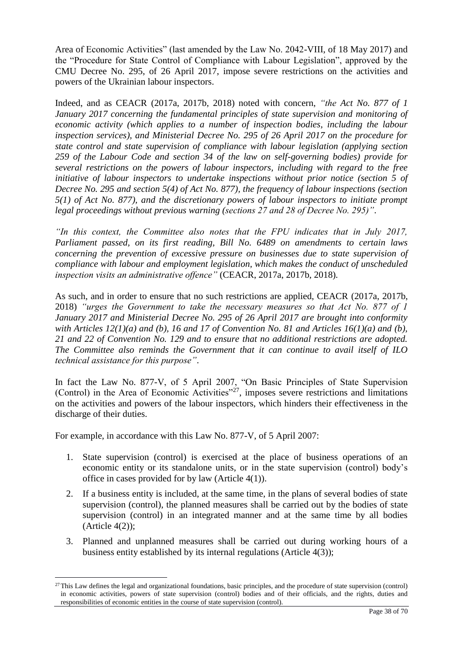Area of Economic Activities" (last amended by the Law No. 2042-VIII, of 18 May 2017) and the "Procedure for State Control of Compliance with Labour Legislation", approved by the CMU Decree No. 295, of 26 April 2017, impose severe restrictions on the activities and powers of the Ukrainian labour inspectors.

Indeed, and as CEACR (2017a, 2017b, 2018) noted with concern, *"the Act No. 877 of 1 January 2017 concerning the fundamental principles of state supervision and monitoring of economic activity (which applies to a number of inspection bodies, including the labour inspection services), and Ministerial Decree No. 295 of 26 April 2017 on the procedure for state control and state supervision of compliance with labour legislation (applying section 259 of the Labour Code and section 34 of the law on self-governing bodies) provide for several restrictions on the powers of labour inspectors, including with regard to the free initiative of labour inspectors to undertake inspections without prior notice (section 5 of Decree No. 295 and section 5(4) of Act No. 877), the frequency of labour inspections (section 5(1) of Act No. 877), and the discretionary powers of labour inspectors to initiate prompt legal proceedings without previous warning (sections 27 and 28 of Decree No. 295)"*.

*"In this context, the Committee also notes that the FPU indicates that in July 2017, Parliament passed, on its first reading, Bill No. 6489 on amendments to certain laws concerning the prevention of excessive pressure on businesses due to state supervision of compliance with labour and employment legislation, which makes the conduct of unscheduled inspection visits an administrative offence"* (CEACR, 2017a, 2017b, 2018)*.*

As such, and in order to ensure that no such restrictions are applied, CEACR (2017a, 2017b, 2018) *"urges the Government to take the necessary measures so that Act No. 877 of 1 January 2017 and Ministerial Decree No. 295 of 26 April 2017 are brought into conformity with Articles 12(1)(a) and (b), 16 and 17 of Convention No. 81 and Articles 16(1)(a) and (b), 21 and 22 of Convention No. 129 and to ensure that no additional restrictions are adopted. The Committee also reminds the Government that it can continue to avail itself of ILO technical assistance for this purpose"*.

In fact the Law No. 877-V, of 5 April 2007, "On Basic Principles of State Supervision (Control) in the Area of Economic Activities"<sup>27</sup>, imposes severe restrictions and limitations on the activities and powers of the labour inspectors, which hinders their effectiveness in the discharge of their duties.

For example, in accordance with this Law No. 877-V, of 5 April 2007:

- 1. State supervision (control) is exercised at the place of business operations of an economic entity or its standalone units, or in the state supervision (control) body's office in cases provided for by law (Article 4(1)).
- 2. If a business entity is included, at the same time, in the plans of several bodies of state supervision (control), the planned measures shall be carried out by the bodies of state supervision (control) in an integrated manner and at the same time by all bodies  $(A<sup>rt</sup>icle 4(2))$ ;
- 3. Planned and unplanned measures shall be carried out during working hours of a business entity established by its internal regulations (Article 4(3));

 $27$ This Law defines the legal and organizational foundations, basic principles, and the procedure of state supervision (control) in economic activities, powers of state supervision (control) bodies and of their officials, and the rights, duties and responsibilities of economic entities in the course of state supervision (control).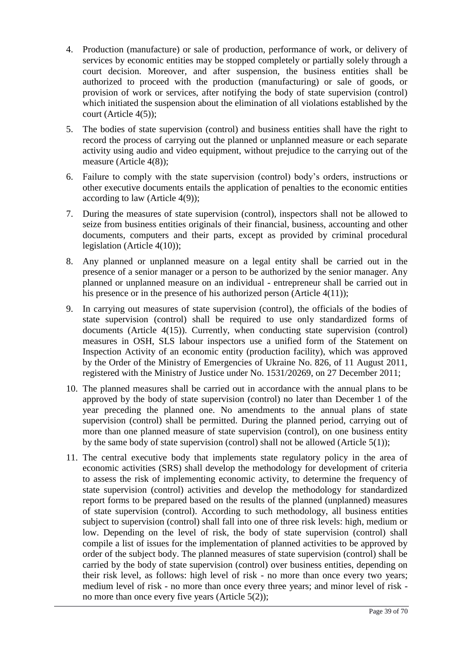- 4. Production (manufacture) or sale of production, performance of work, or delivery of services by economic entities may be stopped completely or partially solely through a court decision. Moreover, and after suspension, the business entities shall be authorized to proceed with the production (manufacturing) or sale of goods, or provision of work or services, after notifying the body of state supervision (control) which initiated the suspension about the elimination of all violations established by the court (Article 4(5));
- 5. The bodies of state supervision (control) and business entities shall have the right to record the process of carrying out the planned or unplanned measure or each separate activity using audio and video equipment, without prejudice to the carrying out of the measure (Article 4(8));
- 6. Failure to comply with the state supervision (control) body's orders, instructions or other executive documents entails the application of penalties to the economic entities according to law (Article 4(9));
- 7. During the measures of state supervision (control), inspectors shall not be allowed to seize from business entities originals of their financial, business, accounting and other documents, computers and their parts, except as provided by criminal procedural legislation (Article 4(10));
- 8. Any planned or unplanned measure on a legal entity shall be carried out in the presence of a senior manager or a person to be authorized by the senior manager. Any planned or unplanned measure on an individual - entrepreneur shall be carried out in his presence or in the presence of his authorized person (Article 4(11));
- 9. In carrying out measures of state supervision (control), the officials of the bodies of state supervision (control) shall be required to use only standardized forms of documents (Article 4(15)). Currently, when conducting state supervision (control) measures in OSH, SLS labour inspectors use a unified form of the Statement on Inspection Activity of an economic entity (production facility), which was approved by the Order of the Ministry of Emergencies of Ukraine No. 826, of 11 August 2011, registered with the Ministry of Justice under No. 1531/20269, on 27 December 2011;
- 10. The planned measures shall be carried out in accordance with the annual plans to be approved by the body of state supervision (control) no later than December 1 of the year preceding the planned one. No amendments to the annual plans of state supervision (control) shall be permitted. During the planned period, carrying out of more than one planned measure of state supervision (control), on one business entity by the same body of state supervision (control) shall not be allowed (Article 5(1));
- 11. The central executive body that implements state regulatory policy in the area of economic activities (SRS) shall develop the methodology for development of criteria to assess the risk of implementing economic activity, to determine the frequency of state supervision (control) activities and develop the methodology for standardized report forms to be prepared based on the results of the planned (unplanned) measures of state supervision (control). According to such methodology, all business entities subject to supervision (control) shall fall into one of three risk levels: high, medium or low. Depending on the level of risk, the body of state supervision (control) shall compile a list of issues for the implementation of planned activities to be approved by order of the subject body. The planned measures of state supervision (control) shall be carried by the body of state supervision (control) over business entities, depending on their risk level, as follows: high level of risk - no more than once every two years; medium level of risk - no more than once every three years; and minor level of risk no more than once every five years (Article 5(2));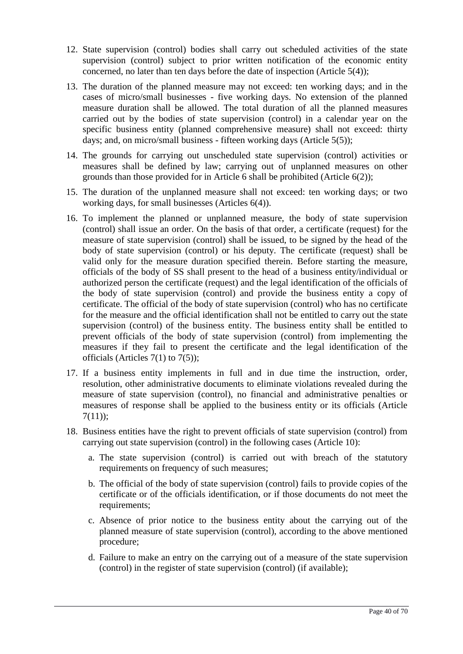- 12. State supervision (control) bodies shall carry out scheduled activities of the state supervision (control) subject to prior written notification of the economic entity concerned, no later than ten days before the date of inspection (Article 5(4));
- 13. The duration of the planned measure may not exceed: ten working days; and in the cases of micro/small businesses - five working days. No extension of the planned measure duration shall be allowed. The total duration of all the planned measures carried out by the bodies of state supervision (control) in a calendar year on the specific business entity (planned comprehensive measure) shall not exceed: thirty days; and, on micro/small business - fifteen working days (Article 5(5));
- 14. The grounds for carrying out unscheduled state supervision (control) activities or measures shall be defined by law; carrying out of unplanned measures on other grounds than those provided for in Article 6 shall be prohibited (Article 6(2));
- 15. The duration of the unplanned measure shall not exceed: ten working days; or two working days, for small businesses (Articles 6(4)).
- 16. To implement the planned or unplanned measure, the body of state supervision (control) shall issue an order. On the basis of that order, a certificate (request) for the measure of state supervision (control) shall be issued, to be signed by the head of the body of state supervision (control) or his deputy. The certificate (request) shall be valid only for the measure duration specified therein. Before starting the measure, officials of the body of SS shall present to the head of a business entity/individual or authorized person the certificate (request) and the legal identification of the officials of the body of state supervision (control) and provide the business entity a copy of certificate. The official of the body of state supervision (control) who has no certificate for the measure and the official identification shall not be entitled to carry out the state supervision (control) of the business entity. The business entity shall be entitled to prevent officials of the body of state supervision (control) from implementing the measures if they fail to present the certificate and the legal identification of the officials (Articles  $7(1)$  to  $7(5)$ );
- 17. If a business entity implements in full and in due time the instruction, order, resolution, other administrative documents to eliminate violations revealed during the measure of state supervision (control), no financial and administrative penalties or measures of response shall be applied to the business entity or its officials (Article  $7(11)$ ;
- 18. Business entities have the right to prevent officials of state supervision (control) from carrying out state supervision (control) in the following cases (Article 10):
	- a. The state supervision (control) is carried out with breach of the statutory requirements on frequency of such measures;
	- b. The official of the body of state supervision (control) fails to provide copies of the certificate or of the officials identification, or if those documents do not meet the requirements;
	- c. Absence of prior notice to the business entity about the carrying out of the planned measure of state supervision (control), according to the above mentioned procedure;
	- d. Failure to make an entry on the carrying out of a measure of the state supervision (control) in the register of state supervision (control) (if available);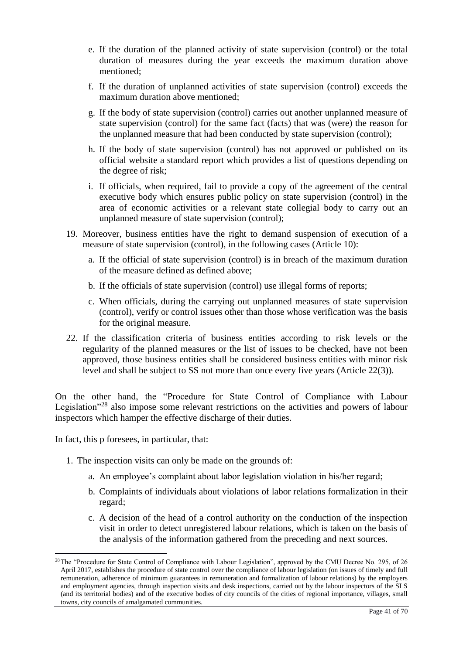- e. If the duration of the planned activity of state supervision (control) or the total duration of measures during the year exceeds the maximum duration above mentioned;
- f. If the duration of unplanned activities of state supervision (control) exceeds the maximum duration above mentioned;
- g. If the body of state supervision (control) carries out another unplanned measure of state supervision (control) for the same fact (facts) that was (were) the reason for the unplanned measure that had been conducted by state supervision (control);
- h. If the body of state supervision (control) has not approved or published on its official website a standard report which provides a list of questions depending on the degree of risk;
- i. If officials, when required, fail to provide a copy of the agreement of the central executive body which ensures public policy on state supervision (control) in the area of economic activities or a relevant state collegial body to carry out an unplanned measure of state supervision (control);
- 19. Moreover, business entities have the right to demand suspension of execution of a measure of state supervision (control), in the following cases (Article 10):
	- a. If the official of state supervision (control) is in breach of the maximum duration of the measure defined as defined above;
	- b. If the officials of state supervision (control) use illegal forms of reports;
	- c. When officials, during the carrying out unplanned measures of state supervision (control), verify or control issues other than those whose verification was the basis for the original measure.
- 22. If the classification criteria of business entities according to risk levels or the regularity of the planned measures or the list of issues to be checked, have not been approved, those business entities shall be considered business entities with minor risk level and shall be subject to SS not more than once every five years (Article 22(3)).

On the other hand, the "Procedure for State Control of Compliance with Labour Legislation<sup>"28</sup> also impose some relevant restrictions on the activities and powers of labour inspectors which hamper the effective discharge of their duties.

In fact, this p foresees, in particular, that:

- 1. The inspection visits can only be made on the grounds of:
	- a. An employee's complaint about labor legislation violation in his/her regard;
	- b. Complaints of individuals about violations of labor relations formalization in their regard;
	- c. A decision of the head of a control authority on the conduction of the inspection visit in order to detect unregistered labour relations, which is taken on the basis of the analysis of the information gathered from the preceding and next sources.

<sup>&</sup>lt;sup>28</sup>The "Procedure for State Control of Compliance with Labour Legislation", approved by the CMU Decree No. 295, of 26 April 2017, establishes the procedure of state control over the compliance of labour legislation (on issues of timely and full remuneration, adherence of minimum guarantees in remuneration and formalization of labour relations) by the employers and employment agencies, through inspection visits and desk inspections, carried out by the labour inspectors of the SLS (and its territorial bodies) and of the executive bodies of city councils of the cities of regional importance, villages, small towns, city councils of amalgamated communities.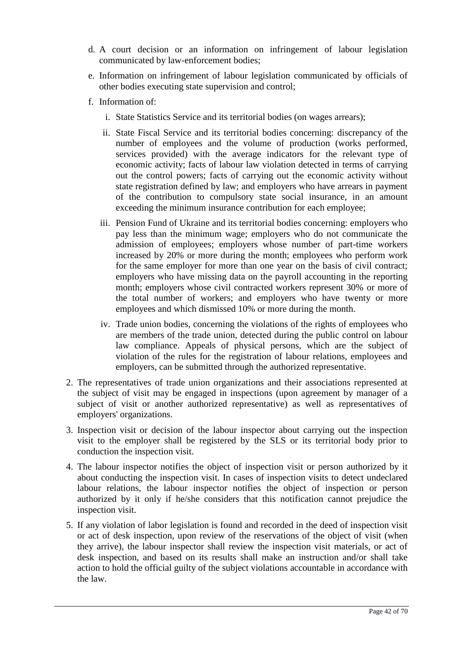- d. A court decision or an information on infringement of labour legislation communicated by law-enforcement bodies;
- e. Information on infringement of labour legislation communicated by officials of other bodies executing state supervision and control;
- f. Information of:
	- i. State Statistics Service and its territorial bodies (on wages arrears);
	- ii. State Fiscal Service and its territorial bodies concerning: discrepancy of the number of employees and the volume of production (works performed, services provided) with the average indicators for the relevant type of economic activity; facts of labour law violation detected in terms of carrying out the control powers; facts of carrying out the economic activity without state registration defined by law; and employers who have arrears in payment of the contribution to compulsory state social insurance, in an amount exceeding the minimum insurance contribution for each employee;
	- iii. Pension Fund of Ukraine and its territorial bodies concerning: employers who pay less than the minimum wage; employers who do not communicate the admission of employees; employers whose number of part-time workers increased by 20% or more during the month; employees who perform work for the same employer for more than one year on the basis of civil contract; employers who have missing data on the payroll accounting in the reporting month; employers whose civil contracted workers represent 30% or more of the total number of workers; and employers who have twenty or more employees and which dismissed 10% or more during the month.
	- iv. Trade union bodies, concerning the violations of the rights of employees who are members of the trade union, detected during the public control on labour law compliance. Appeals of physical persons, which are the subject of violation of the rules for the registration of labour relations, employees and employers, can be submitted through the authorized representative.
- 2. The representatives of trade union organizations and their associations represented at the subject of visit may be engaged in inspections (upon agreement by manager of a subject of visit or another authorized representative) as well as representatives of employers' organizations.
- 3. Inspection visit or decision of the labour inspector about carrying out the inspection visit to the employer shall be registered by the SLS or its territorial body prior to conduction the inspection visit.
- 4. The labour inspector notifies the object of inspection visit or person authorized by it about conducting the inspection visit. In cases of inspection visits to detect undeclared labour relations, the labour inspector notifies the object of inspection or person authorized by it only if he/she considers that this notification cannot prejudice the inspection visit.
- 5. If any violation of labor legislation is found and recorded in the deed of inspection visit or act of desk inspection, upon review of the reservations of the object of visit (when they arrive), the labour inspector shall review the inspection visit materials, or act of desk inspection, and based on its results shall make an instruction and/or shall take action to hold the official guilty of the subject violations accountable in accordance with the law.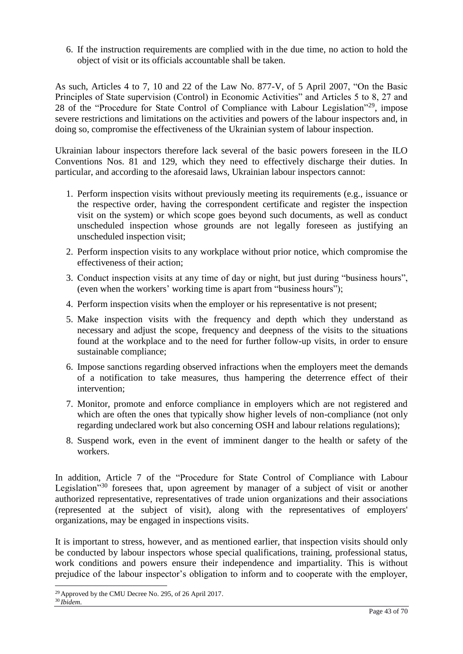6. If the instruction requirements are complied with in the due time, no action to hold the object of visit or its officials accountable shall be taken.

As such, Articles 4 to 7, 10 and 22 of the Law No. 877-V, of 5 April 2007, "On the Basic Principles of State supervision (Control) in Economic Activities" and Articles 5 to 8, 27 and 28 of the "Procedure for State Control of Compliance with Labour Legislation"<sup>29</sup>, impose severe restrictions and limitations on the activities and powers of the labour inspectors and, in doing so, compromise the effectiveness of the Ukrainian system of labour inspection.

Ukrainian labour inspectors therefore lack several of the basic powers foreseen in the ILO Conventions Nos. 81 and 129, which they need to effectively discharge their duties. In particular, and according to the aforesaid laws, Ukrainian labour inspectors cannot:

- 1. Perform inspection visits without previously meeting its requirements (e.g., issuance or the respective order, having the correspondent certificate and register the inspection visit on the system) or which scope goes beyond such documents, as well as conduct unscheduled inspection whose grounds are not legally foreseen as justifying an unscheduled inspection visit;
- 2. Perform inspection visits to any workplace without prior notice, which compromise the effectiveness of their action;
- 3. Conduct inspection visits at any time of day or night, but just during "business hours", (even when the workers' working time is apart from "business hours");
- 4. Perform inspection visits when the employer or his representative is not present;
- 5. Make inspection visits with the frequency and depth which they understand as necessary and adjust the scope, frequency and deepness of the visits to the situations found at the workplace and to the need for further follow-up visits, in order to ensure sustainable compliance;
- 6. Impose sanctions regarding observed infractions when the employers meet the demands of a notification to take measures, thus hampering the deterrence effect of their intervention;
- 7. Monitor, promote and enforce compliance in employers which are not registered and which are often the ones that typically show higher levels of non-compliance (not only regarding undeclared work but also concerning OSH and labour relations regulations);
- 8. Suspend work, even in the event of imminent danger to the health or safety of the workers.

In addition, Article 7 of the "Procedure for State Control of Compliance with Labour Legislation<sup>"30</sup> foresees that, upon agreement by manager of a subject of visit or another authorized representative, representatives of trade union organizations and their associations (represented at the subject of visit), along with the representatives of employers' organizations, may be engaged in inspections visits.

It is important to stress, however, and as mentioned earlier, that inspection visits should only be conducted by labour inspectors whose special qualifications, training, professional status, work conditions and powers ensure their independence and impartiality. This is without prejudice of the labour inspector's obligation to inform and to cooperate with the employer,

<sup>29</sup>Approved by the CMU Decree No. 295, of 26 April 2017.

<sup>30</sup> *Ibidem*.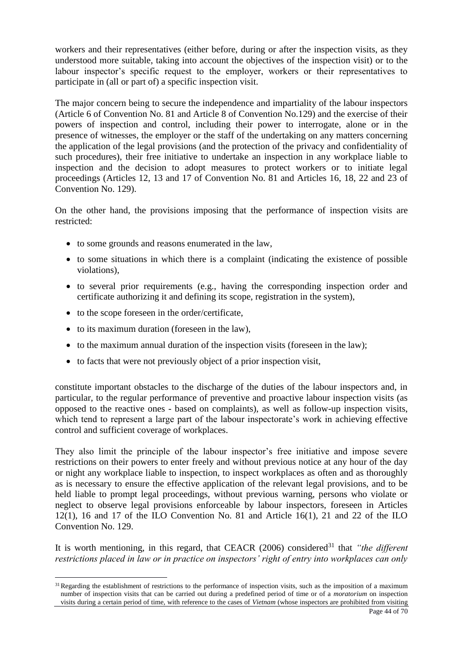workers and their representatives (either before, during or after the inspection visits, as they understood more suitable, taking into account the objectives of the inspection visit) or to the labour inspector's specific request to the employer, workers or their representatives to participate in (all or part of) a specific inspection visit.

The major concern being to secure the independence and impartiality of the labour inspectors (Article 6 of Convention No. 81 and Article 8 of Convention No.129) and the exercise of their powers of inspection and control, including their power to interrogate, alone or in the presence of witnesses, the employer or the staff of the undertaking on any matters concerning the application of the legal provisions (and the protection of the privacy and confidentiality of such procedures), their free initiative to undertake an inspection in any workplace liable to inspection and the decision to adopt measures to protect workers or to initiate legal proceedings (Articles 12, 13 and 17 of Convention No. 81 and Articles 16, 18, 22 and 23 of Convention No. 129).

On the other hand, the provisions imposing that the performance of inspection visits are restricted:

- to some grounds and reasons enumerated in the law,
- to some situations in which there is a complaint (indicating the existence of possible violations),
- to several prior requirements (e.g., having the corresponding inspection order and certificate authorizing it and defining its scope, registration in the system),
- to the scope foreseen in the order/certificate,

 $\overline{a}$ 

- to its maximum duration (foreseen in the law),
- to the maximum annual duration of the inspection visits (foreseen in the law);
- to facts that were not previously object of a prior inspection visit,

constitute important obstacles to the discharge of the duties of the labour inspectors and, in particular, to the regular performance of preventive and proactive labour inspection visits (as opposed to the reactive ones - based on complaints), as well as follow-up inspection visits, which tend to represent a large part of the labour inspectorate's work in achieving effective control and sufficient coverage of workplaces.

They also limit the principle of the labour inspector's free initiative and impose severe restrictions on their powers to enter freely and without previous notice at any hour of the day or night any workplace liable to inspection, to inspect workplaces as often and as thoroughly as is necessary to ensure the effective application of the relevant legal provisions, and to be held liable to prompt legal proceedings, without previous warning, persons who violate or neglect to observe legal provisions enforceable by labour inspectors, foreseen in Articles  $12(1)$ , 16 and 17 of the ILO Convention No. 81 and Article 16(1), 21 and 22 of the ILO Convention No. 129.

It is worth mentioning, in this regard, that CEACR (2006) considered<sup>31</sup> that *"the different restrictions placed in law or in practice on inspectors' right of entry into workplaces can only* 

<sup>&</sup>lt;sup>31</sup> Regarding the establishment of restrictions to the performance of inspection visits, such as the imposition of a maximum number of inspection visits that can be carried out during a predefined period of time or of a *moratorium* on inspection visits during a certain period of time, with reference to the cases of *Vietnam* (whose inspectors are prohibited from visiting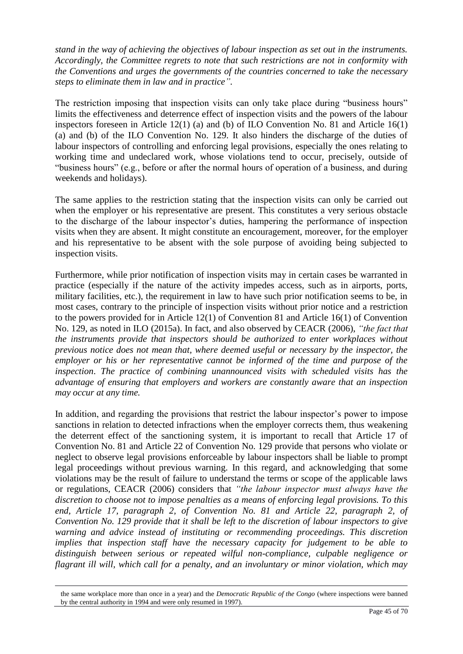*stand in the way of achieving the objectives of labour inspection as set out in the instruments. Accordingly, the Committee regrets to note that such restrictions are not in conformity with the Conventions and urges the governments of the countries concerned to take the necessary steps to eliminate them in law and in practice".*

The restriction imposing that inspection visits can only take place during "business hours" limits the effectiveness and deterrence effect of inspection visits and the powers of the labour inspectors foreseen in Article 12(1) (a) and (b) of ILO Convention No. 81 and Article 16(1) (a) and (b) of the ILO Convention No. 129. It also hinders the discharge of the duties of labour inspectors of controlling and enforcing legal provisions, especially the ones relating to working time and undeclared work, whose violations tend to occur, precisely, outside of "business hours" (e.g., before or after the normal hours of operation of a business, and during weekends and holidays).

The same applies to the restriction stating that the inspection visits can only be carried out when the employer or his representative are present. This constitutes a very serious obstacle to the discharge of the labour inspector's duties, hampering the performance of inspection visits when they are absent. It might constitute an encouragement, moreover, for the employer and his representative to be absent with the sole purpose of avoiding being subjected to inspection visits.

Furthermore, while prior notification of inspection visits may in certain cases be warranted in practice (especially if the nature of the activity impedes access, such as in airports, ports, military facilities, etc.), the requirement in law to have such prior notification seems to be, in most cases, contrary to the principle of inspection visits without prior notice and a restriction to the powers provided for in Article 12(1) of Convention 81 and Article 16(1) of Convention No. 129, as noted in ILO (2015a). In fact, and also observed by CEACR (2006), *"the fact that the instruments provide that inspectors should be authorized to enter workplaces without previous notice does not mean that, where deemed useful or necessary by the inspector, the employer or his or her representative cannot be informed of the time and purpose of the inspection*. *The practice of combining unannounced visits with scheduled visits has the advantage of ensuring that employers and workers are constantly aware that an inspection may occur at any time.*

In addition, and regarding the provisions that restrict the labour inspector's power to impose sanctions in relation to detected infractions when the employer corrects them, thus weakening the deterrent effect of the sanctioning system, it is important to recall that Article 17 of Convention No. 81 and Article 22 of Convention No. 129 provide that persons who violate or neglect to observe legal provisions enforceable by labour inspectors shall be liable to prompt legal proceedings without previous warning. In this regard, and acknowledging that some violations may be the result of failure to understand the terms or scope of the applicable laws or regulations, CEACR (2006) considers that *"the labour inspector must always have the discretion to choose not to impose penalties as a means of enforcing legal provisions. To this end, Article 17, paragraph 2, of Convention No. 81 and Article 22, paragraph 2, of Convention No. 129 provide that it shall be left to the discretion of labour inspectors to give warning and advice instead of instituting or recommending proceedings. This discretion implies that inspection staff have the necessary capacity for judgement to be able to distinguish between serious or repeated wilful non-compliance, culpable negligence or flagrant ill will, which call for a penalty, and an involuntary or minor violation, which may* 

the same workplace more than once in a year) and the *Democratic Republic of the Congo* (where inspections were banned by the central authority in 1994 and were only resumed in 1997).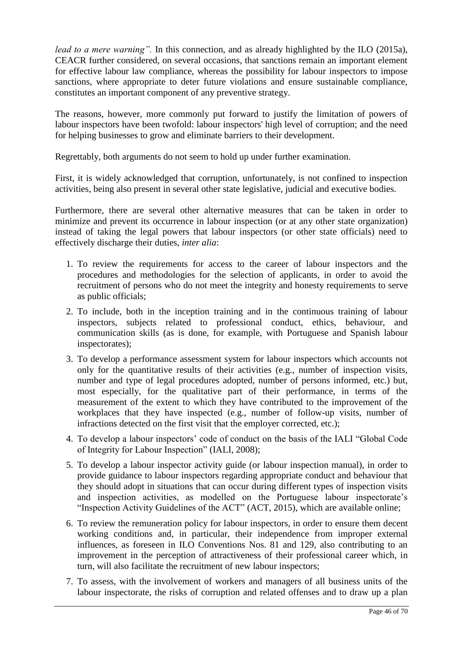*lead to a mere warning".* In this connection, and as already highlighted by the ILO (2015a), CEACR further considered, on several occasions, that sanctions remain an important element for effective labour law compliance, whereas the possibility for labour inspectors to impose sanctions, where appropriate to deter future violations and ensure sustainable compliance, constitutes an important component of any preventive strategy.

The reasons, however, more commonly put forward to justify the limitation of powers of labour inspectors have been twofold: labour inspectors' high level of corruption; and the need for helping businesses to grow and eliminate barriers to their development.

Regrettably, both arguments do not seem to hold up under further examination.

First, it is widely acknowledged that corruption, unfortunately, is not confined to inspection activities, being also present in several other state legislative, judicial and executive bodies.

Furthermore, there are several other alternative measures that can be taken in order to minimize and prevent its occurrence in labour inspection (or at any other state organization) instead of taking the legal powers that labour inspectors (or other state officials) need to effectively discharge their duties, *inter alia*:

- 1. To review the requirements for access to the career of labour inspectors and the procedures and methodologies for the selection of applicants, in order to avoid the recruitment of persons who do not meet the integrity and honesty requirements to serve as public officials;
- 2. To include, both in the inception training and in the continuous training of labour inspectors, subjects related to professional conduct, ethics, behaviour, and communication skills (as is done, for example, with Portuguese and Spanish labour inspectorates);
- 3. To develop a performance assessment system for labour inspectors which accounts not only for the quantitative results of their activities (e.g., number of inspection visits, number and type of legal procedures adopted, number of persons informed, etc.) but, most especially, for the qualitative part of their performance, in terms of the measurement of the extent to which they have contributed to the improvement of the workplaces that they have inspected (e.g., number of follow-up visits, number of infractions detected on the first visit that the employer corrected, etc.);
- 4. To develop a labour inspectors' code of conduct on the basis of the IALI "Global Code of Integrity for Labour Inspection" (IALI, 2008);
- 5. To develop a labour inspector activity guide (or labour inspection manual), in order to provide guidance to labour inspectors regarding appropriate conduct and behaviour that they should adopt in situations that can occur during different types of inspection visits and inspection activities, as modelled on the Portuguese labour inspectorate's "Inspection Activity Guidelines of the ACT" (ACT, 2015), which are available online;
- 6. To review the remuneration policy for labour inspectors, in order to ensure them decent working conditions and, in particular, their independence from improper external influences, as foreseen in ILO Conventions Nos. 81 and 129, also contributing to an improvement in the perception of attractiveness of their professional career which, in turn, will also facilitate the recruitment of new labour inspectors;
- 7. To assess, with the involvement of workers and managers of all business units of the labour inspectorate, the risks of corruption and related offenses and to draw up a plan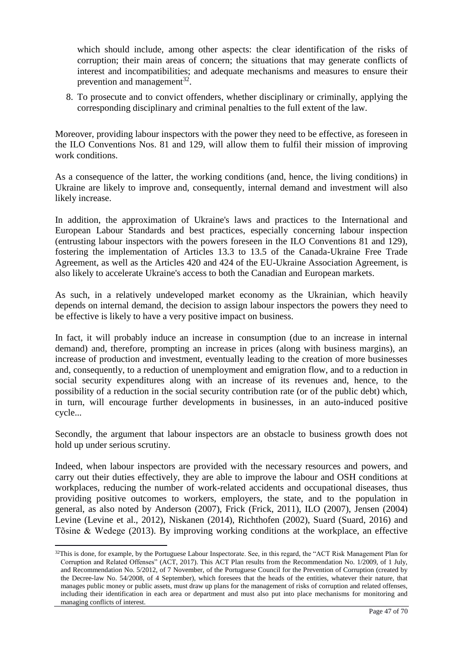which should include, among other aspects: the clear identification of the risks of corruption; their main areas of concern; the situations that may generate conflicts of interest and incompatibilities; and adequate mechanisms and measures to ensure their prevention and management $^{32}$ .

8. To prosecute and to convict offenders, whether disciplinary or criminally, applying the corresponding disciplinary and criminal penalties to the full extent of the law.

Moreover, providing labour inspectors with the power they need to be effective, as foreseen in the ILO Conventions Nos. 81 and 129, will allow them to fulfil their mission of improving work conditions.

As a consequence of the latter, the working conditions (and, hence, the living conditions) in Ukraine are likely to improve and, consequently, internal demand and investment will also likely increase.

In addition, the approximation of Ukraine's laws and practices to the International and European Labour Standards and best practices, especially concerning labour inspection (entrusting labour inspectors with the powers foreseen in the ILO Conventions 81 and 129), fostering the implementation of Articles 13.3 to 13.5 of the Canada-Ukraine Free Trade Agreement, as well as the Articles 420 and 424 of the EU-Ukraine Association Agreement, is also likely to accelerate Ukraine's access to both the Canadian and European markets.

As such, in a relatively undeveloped market economy as the Ukrainian, which heavily depends on internal demand, the decision to assign labour inspectors the powers they need to be effective is likely to have a very positive impact on business.

In fact, it will probably induce an increase in consumption (due to an increase in internal demand) and, therefore, prompting an increase in prices (along with business margins), an increase of production and investment, eventually leading to the creation of more businesses and, consequently, to a reduction of unemployment and emigration flow, and to a reduction in social security expenditures along with an increase of its revenues and, hence, to the possibility of a reduction in the social security contribution rate (or of the public debt) which, in turn, will encourage further developments in businesses, in an auto-induced positive cycle...

Secondly, the argument that labour inspectors are an obstacle to business growth does not hold up under serious scrutiny.

Indeed, when labour inspectors are provided with the necessary resources and powers, and carry out their duties effectively, they are able to improve the labour and OSH conditions at workplaces, reducing the number of work-related accidents and occupational diseases, thus providing positive outcomes to workers, employers, the state, and to the population in general, as also noted by Anderson (2007), Frick (Frick, 2011), ILO (2007), Jensen (2004) Levine (Levine et al., 2012), Niskanen (2014), Richthofen (2002), Suard (Suard, 2016) and Tõsine & Wedege (2013). By improving working conditions at the workplace, an effective

 $32$ This is done, for example, by the Portuguese Labour Inspectorate. See, in this regard, the "ACT Risk Management Plan for Corruption and Related Offenses" (ACT, 2017). This ACT Plan results from the Recommendation No. 1/2009, of 1 July, and Recommendation No. 5/2012, of 7 November, of the Portuguese Council for the Prevention of Corruption (created by the Decree-law No. 54/2008, of 4 September), which foresees that the heads of the entities, whatever their nature, that manages public money or public assets, must draw up plans for the management of risks of corruption and related offenses, including their identification in each area or department and must also put into place mechanisms for monitoring and managing conflicts of interest.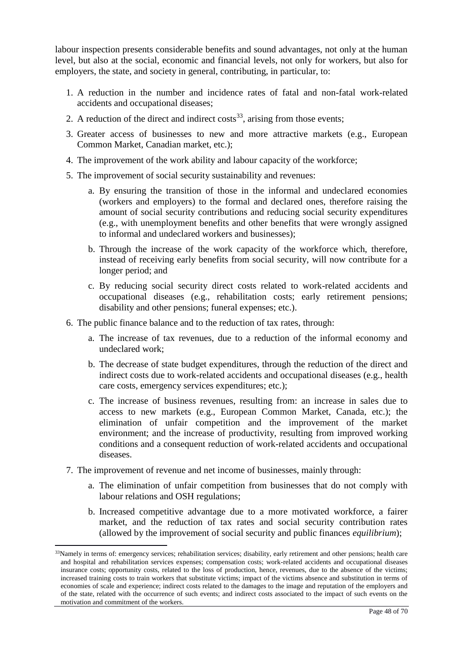labour inspection presents considerable benefits and sound advantages, not only at the human level, but also at the social, economic and financial levels, not only for workers, but also for employers, the state, and society in general, contributing, in particular, to:

- 1. A reduction in the number and incidence rates of fatal and non-fatal work-related accidents and occupational diseases;
- 2. A reduction of the direct and indirect costs<sup>33</sup>, arising from those events;
- 3. Greater access of businesses to new and more attractive markets (e.g., European Common Market, Canadian market, etc.);
- 4. The improvement of the work ability and labour capacity of the workforce;
- 5. The improvement of social security sustainability and revenues:
	- a. By ensuring the transition of those in the informal and undeclared economies (workers and employers) to the formal and declared ones, therefore raising the amount of social security contributions and reducing social security expenditures (e.g., with unemployment benefits and other benefits that were wrongly assigned to informal and undeclared workers and businesses);
	- b. Through the increase of the work capacity of the workforce which, therefore, instead of receiving early benefits from social security, will now contribute for a longer period; and
	- c. By reducing social security direct costs related to work-related accidents and occupational diseases (e.g., rehabilitation costs; early retirement pensions; disability and other pensions; funeral expenses; etc.).
- 6. The public finance balance and to the reduction of tax rates, through:
	- a. The increase of tax revenues, due to a reduction of the informal economy and undeclared work;
	- b. The decrease of state budget expenditures, through the reduction of the direct and indirect costs due to work-related accidents and occupational diseases (e.g., health care costs, emergency services expenditures; etc.);
	- c. The increase of business revenues, resulting from: an increase in sales due to access to new markets (e.g., European Common Market, Canada, etc.); the elimination of unfair competition and the improvement of the market environment; and the increase of productivity, resulting from improved working conditions and a consequent reduction of work-related accidents and occupational diseases.
- 7. The improvement of revenue and net income of businesses, mainly through:

- a. The elimination of unfair competition from businesses that do not comply with labour relations and OSH regulations;
- b. Increased competitive advantage due to a more motivated workforce, a fairer market, and the reduction of tax rates and social security contribution rates (allowed by the improvement of social security and public finances *equilibrium*);

<sup>&</sup>lt;sup>33</sup>Namely in terms of: emergency services; rehabilitation services; disability, early retirement and other pensions; health care and hospital and rehabilitation services expenses; compensation costs; work-related accidents and occupational diseases insurance costs; opportunity costs, related to the loss of production, hence, revenues, due to the absence of the victims; increased training costs to train workers that substitute victims; impact of the victims absence and substitution in terms of economies of scale and experience; indirect costs related to the damages to the image and reputation of the employers and of the state, related with the occurrence of such events; and indirect costs associated to the impact of such events on the motivation and commitment of the workers.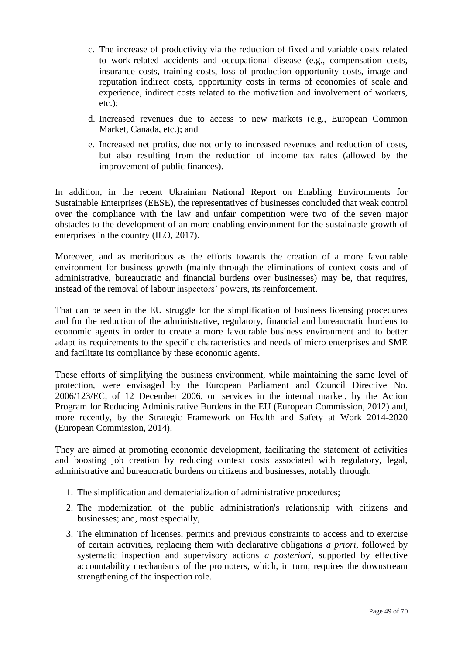- c. The increase of productivity via the reduction of fixed and variable costs related to work-related accidents and occupational disease (e.g., compensation costs, insurance costs, training costs, loss of production opportunity costs, image and reputation indirect costs, opportunity costs in terms of economies of scale and experience, indirect costs related to the motivation and involvement of workers, etc.);
- d. Increased revenues due to access to new markets (e.g., European Common Market, Canada, etc.); and
- e. Increased net profits, due not only to increased revenues and reduction of costs, but also resulting from the reduction of income tax rates (allowed by the improvement of public finances).

In addition, in the recent Ukrainian National Report on Enabling Environments for Sustainable Enterprises (EESE), the representatives of businesses concluded that weak control over the compliance with the law and unfair competition were two of the seven major obstacles to the development of an more enabling environment for the sustainable growth of enterprises in the country (ILO, 2017).

Moreover, and as meritorious as the efforts towards the creation of a more favourable environment for business growth (mainly through the eliminations of context costs and of administrative, bureaucratic and financial burdens over businesses) may be, that requires, instead of the removal of labour inspectors' powers, its reinforcement.

That can be seen in the EU struggle for the simplification of business licensing procedures and for the reduction of the administrative, regulatory, financial and bureaucratic burdens to economic agents in order to create a more favourable business environment and to better adapt its requirements to the specific characteristics and needs of micro enterprises and SME and facilitate its compliance by these economic agents.

These efforts of simplifying the business environment, while maintaining the same level of protection, were envisaged by the European Parliament and Council Directive No. 2006/123/EC, of 12 December 2006, on services in the internal market, by the Action Program for Reducing Administrative Burdens in the EU (European Commission, 2012) and, more recently, by the Strategic Framework on Health and Safety at Work 2014-2020 (European Commission, 2014).

They are aimed at promoting economic development, facilitating the statement of activities and boosting job creation by reducing context costs associated with regulatory, legal, administrative and bureaucratic burdens on citizens and businesses, notably through:

- 1. The simplification and dematerialization of administrative procedures;
- 2. The modernization of the public administration's relationship with citizens and businesses; and, most especially,
- 3. The elimination of licenses, permits and previous constraints to access and to exercise of certain activities, replacing them with declarative obligations *a priori*, followed by systematic inspection and supervisory actions *a posteriori*, supported by effective accountability mechanisms of the promoters, which, in turn, requires the downstream strengthening of the inspection role.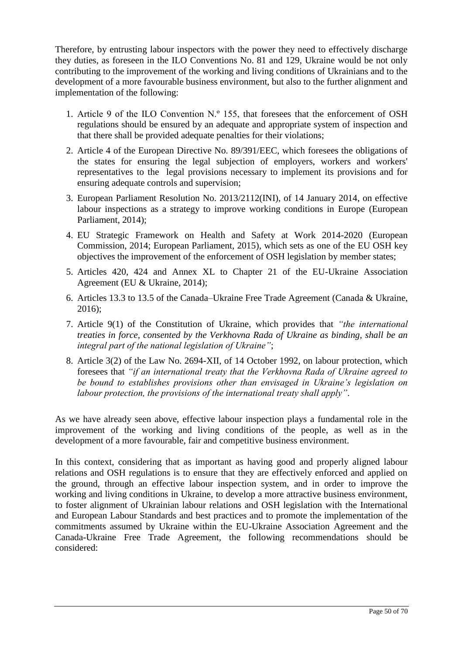Therefore, by entrusting labour inspectors with the power they need to effectively discharge they duties, as foreseen in the ILO Conventions No. 81 and 129, Ukraine would be not only contributing to the improvement of the working and living conditions of Ukrainians and to the development of a more favourable business environment, but also to the further alignment and implementation of the following:

- 1. Article 9 of the ILO Convention N.º 155, that foresees that the enforcement of OSH regulations should be ensured by an adequate and appropriate system of inspection and that there shall be provided adequate penalties for their violations;
- 2. Article 4 of the European Directive No. 89/391/EEC, which foresees the obligations of the states for ensuring the legal subjection of employers, workers and workers' representatives to the legal provisions necessary to implement its provisions and for ensuring adequate controls and supervision;
- 3. European Parliament Resolution No. 2013/2112(INI), of 14 January 2014, on effective labour inspections as a strategy to improve working conditions in Europe (European Parliament, 2014);
- 4. EU Strategic Framework on Health and Safety at Work 2014-2020 (European Commission, 2014; European Parliament, 2015), which sets as one of the EU OSH key objectives the improvement of the enforcement of OSH legislation by member states;
- 5. Articles 420, 424 and Annex XL to Chapter 21 of the EU-Ukraine Association Agreement (EU & Ukraine, 2014);
- 6. Articles 13.3 to 13.5 of the Canada–Ukraine Free Trade Agreement (Canada & Ukraine, 2016);
- 7. Article 9(1) of the Constitution of Ukraine, which provides that *"the international treaties in force, consented by the Verkhovna Rada of Ukraine as binding, shall be an integral part of the national legislation of Ukraine"*;
- 8. Article 3(2) of the Law No. 2694-XII, of 14 October 1992, on labour protection, which foresees that *"if an international treaty that the Verkhovna Rada of Ukraine agreed to be bound to establishes provisions other than envisaged in Ukraine's legislation on labour protection, the provisions of the international treaty shall apply"*.

As we have already seen above, effective labour inspection plays a fundamental role in the improvement of the working and living conditions of the people, as well as in the development of a more favourable, fair and competitive business environment.

In this context, considering that as important as having good and properly aligned labour relations and OSH regulations is to ensure that they are effectively enforced and applied on the ground, through an effective labour inspection system, and in order to improve the working and living conditions in Ukraine, to develop a more attractive business environment, to foster alignment of Ukrainian labour relations and OSH legislation with the International and European Labour Standards and best practices and to promote the implementation of the commitments assumed by Ukraine within the EU-Ukraine Association Agreement and the Canada-Ukraine Free Trade Agreement, the following recommendations should be considered: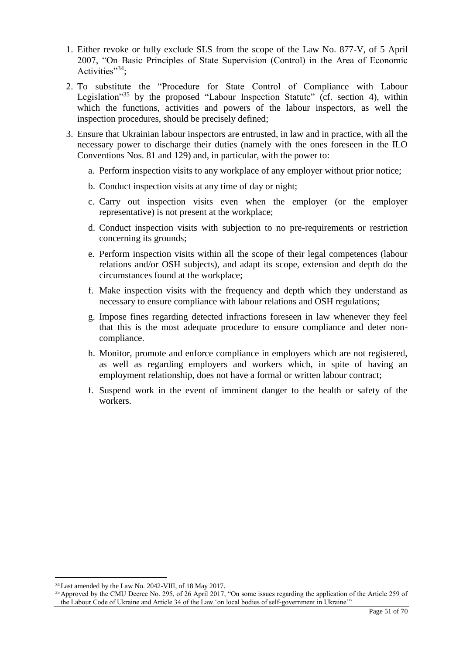- 1. Either revoke or fully exclude SLS from the scope of the Law No. 877-V, of 5 April 2007, "On Basic Principles of State Supervision (Control) in the Area of Economic Activities"<sup>34</sup>:
- 2. To substitute the "Procedure for State Control of Compliance with Labour Legislation<sup>"35</sup> by the proposed "Labour Inspection Statute" (cf. section 4), within which the functions, activities and powers of the labour inspectors, as well the inspection procedures, should be precisely defined;
- 3. Ensure that Ukrainian labour inspectors are entrusted, in law and in practice, with all the necessary power to discharge their duties (namely with the ones foreseen in the ILO Conventions Nos. 81 and 129) and, in particular, with the power to:
	- a. Perform inspection visits to any workplace of any employer without prior notice;
	- b. Conduct inspection visits at any time of day or night;
	- c. Carry out inspection visits even when the employer (or the employer representative) is not present at the workplace;
	- d. Conduct inspection visits with subjection to no pre-requirements or restriction concerning its grounds;
	- e. Perform inspection visits within all the scope of their legal competences (labour relations and/or OSH subjects), and adapt its scope, extension and depth do the circumstances found at the workplace;
	- f. Make inspection visits with the frequency and depth which they understand as necessary to ensure compliance with labour relations and OSH regulations;
	- g. Impose fines regarding detected infractions foreseen in law whenever they feel that this is the most adequate procedure to ensure compliance and deter noncompliance.
	- h. Monitor, promote and enforce compliance in employers which are not registered, as well as regarding employers and workers which, in spite of having an employment relationship, does not have a formal or written labour contract;
	- f. Suspend work in the event of imminent danger to the health or safety of the workers.

<sup>&</sup>lt;sup>34</sup> Last amended by the Law No. 2042-VIII, of 18 May 2017.

<sup>&</sup>lt;sup>35</sup> Approved by the CMU Decree No. 295, of 26 April 2017, "On some issues regarding the application of the Article 259 of the Labour Code of Ukraine and Article 34 of the Law 'on local bodies of self-government in Ukraine'"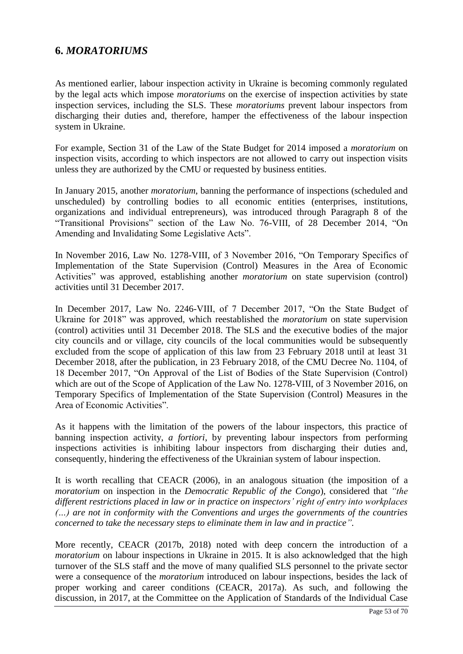## **6.** *MORATORIUMS*

As mentioned earlier, labour inspection activity in Ukraine is becoming commonly regulated by the legal acts which impose *moratoriums* on the exercise of inspection activities by state inspection services, including the SLS. These *moratoriums* prevent labour inspectors from discharging their duties and, therefore, hamper the effectiveness of the labour inspection system in Ukraine.

For example, Section 31 of the Law of the State Budget for 2014 imposed a *moratorium* on inspection visits, according to which inspectors are not allowed to carry out inspection visits unless they are authorized by the CMU or requested by business entities.

In January 2015, another *moratorium*, banning the performance of inspections (scheduled and unscheduled) by controlling bodies to all economic entities (enterprises, institutions, organizations and individual entrepreneurs), was introduced through Paragraph 8 of the "Transitional Provisions" section of the Law No. 76-VIII, of 28 December 2014, "On Amending and Invalidating Some Legislative Acts".

In November 2016, Law No. 1278-VIII, of 3 November 2016, "On Temporary Specifics of Implementation of the State Supervision (Control) Measures in the Area of Economic Activities" was approved, establishing another *moratorium* on state supervision (control) activities until 31 December 2017.

In December 2017, Law No. 2246-VIII, of 7 December 2017, "On the State Budget of Ukraine for 2018" was approved, which reestablished the *moratorium* on state supervision (control) activities until 31 December 2018. The SLS and the executive bodies of the major city councils and or village, city councils of the local communities would be subsequently excluded from the scope of application of this law from 23 February 2018 until at least 31 December 2018, after the publication, in 23 February 2018, of the CMU Decree No. 1104, of 18 December 2017, "On Approval of the List of Bodies of the State Supervision (Control) which are out of the Scope of Application of the Law No. 1278-VIII, of 3 November 2016, on Temporary Specifics of Implementation of the State Supervision (Control) Measures in the Area of Economic Activities".

As it happens with the limitation of the powers of the labour inspectors, this practice of banning inspection activity, *a fortiori*, by preventing labour inspectors from performing inspections activities is inhibiting labour inspectors from discharging their duties and, consequently, hindering the effectiveness of the Ukrainian system of labour inspection.

It is worth recalling that CEACR (2006), in an analogous situation (the imposition of a *moratorium* on inspection in the *Democratic Republic of the Congo*), considered that *"the different restrictions placed in law or in practice on inspectors' right of entry into workplaces (…) are not in conformity with the Conventions and urges the governments of the countries concerned to take the necessary steps to eliminate them in law and in practice".*

More recently, CEACR (2017b, 2018) noted with deep concern the introduction of a *moratorium* on labour inspections in Ukraine in 2015. It is also acknowledged that the high turnover of the SLS staff and the move of many qualified SLS personnel to the private sector were a consequence of the *moratorium* introduced on labour inspections, besides the lack of proper working and career conditions (CEACR, 2017a). As such, and following the discussion, in 2017, at the Committee on the Application of Standards of the Individual Case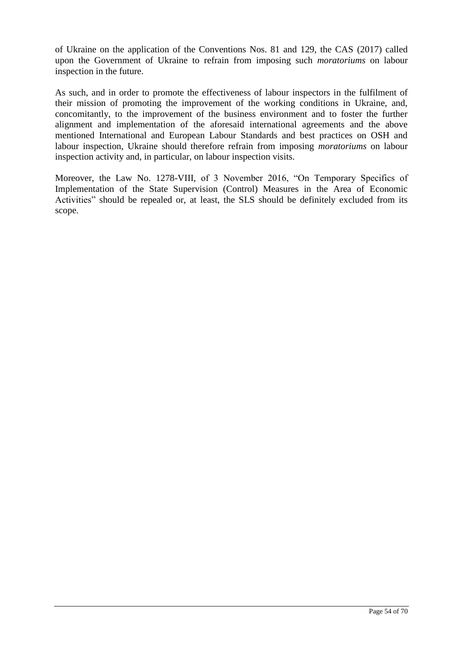of Ukraine on the application of the Conventions Nos. 81 and 129, the CAS (2017) called upon the Government of Ukraine to refrain from imposing such *moratoriums* on labour inspection in the future.

As such, and in order to promote the effectiveness of labour inspectors in the fulfilment of their mission of promoting the improvement of the working conditions in Ukraine, and, concomitantly, to the improvement of the business environment and to foster the further alignment and implementation of the aforesaid international agreements and the above mentioned International and European Labour Standards and best practices on OSH and labour inspection, Ukraine should therefore refrain from imposing *moratoriums* on labour inspection activity and, in particular, on labour inspection visits.

Moreover, the Law No. 1278-VIII, of 3 November 2016, "On Temporary Specifics of Implementation of the State Supervision (Control) Measures in the Area of Economic Activities" should be repealed or, at least, the SLS should be definitely excluded from its scope.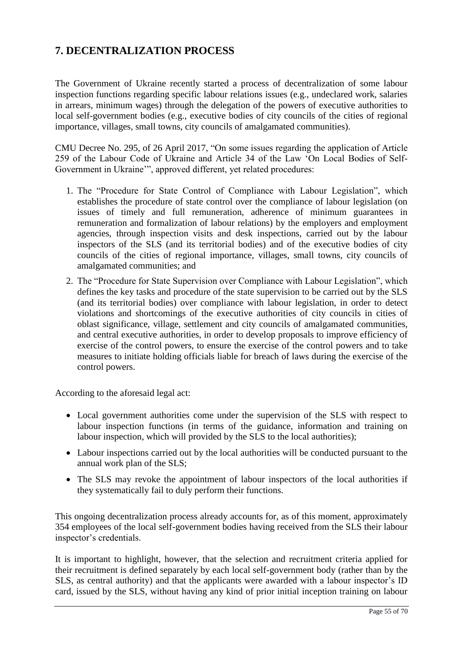# **7. DECENTRALIZATION PROCESS**

The Government of Ukraine recently started a process of decentralization of some labour inspection functions regarding specific labour relations issues (e.g., undeclared work, salaries in arrears, minimum wages) through the delegation of the powers of executive authorities to local self-government bodies (e.g., executive bodies of city councils of the cities of regional importance, villages, small towns, city councils of amalgamated communities).

CMU Decree No. 295, of 26 April 2017, "On some issues regarding the application of Article 259 of the Labour Code of Ukraine and Article 34 of the Law 'On Local Bodies of Self-Government in Ukraine'", approved different, yet related procedures:

- 1. The "Procedure for State Control of Compliance with Labour Legislation", which establishes the procedure of state control over the compliance of labour legislation (on issues of timely and full remuneration, adherence of minimum guarantees in remuneration and formalization of labour relations) by the employers and employment agencies, through inspection visits and desk inspections, carried out by the labour inspectors of the SLS (and its territorial bodies) and of the executive bodies of city councils of the cities of regional importance, villages, small towns, city councils of amalgamated communities; and
- 2. The "Procedure for State Supervision over Compliance with Labour Legislation", which defines the key tasks and procedure of the state supervision to be carried out by the SLS (and its territorial bodies) over compliance with labour legislation, in order to detect violations and shortcomings of the executive authorities of city councils in cities of oblast significance, village, settlement and city councils of amalgamated communities, and central executive authorities, in order to develop proposals to improve efficiency of exercise of the control powers, to ensure the exercise of the control powers and to take measures to initiate holding officials liable for breach of laws during the exercise of the control powers.

According to the aforesaid legal act:

- Local government authorities come under the supervision of the SLS with respect to labour inspection functions (in terms of the guidance, information and training on labour inspection, which will provided by the SLS to the local authorities);
- Labour inspections carried out by the local authorities will be conducted pursuant to the annual work plan of the SLS;
- The SLS may revoke the appointment of labour inspectors of the local authorities if they systematically fail to duly perform their functions.

This ongoing decentralization process already accounts for, as of this moment, approximately 354 employees of the local self-government bodies having received from the SLS their labour inspector's credentials.

It is important to highlight, however, that the selection and recruitment criteria applied for their recruitment is defined separately by each local self-government body (rather than by the SLS, as central authority) and that the applicants were awarded with a labour inspector's ID card, issued by the SLS, without having any kind of prior initial inception training on labour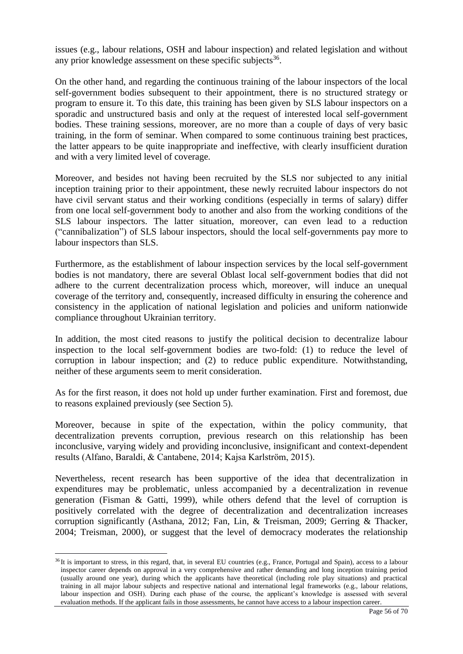issues (e.g., labour relations, OSH and labour inspection) and related legislation and without any prior knowledge assessment on these specific subjects<sup>36</sup>.

On the other hand, and regarding the continuous training of the labour inspectors of the local self-government bodies subsequent to their appointment, there is no structured strategy or program to ensure it. To this date, this training has been given by SLS labour inspectors on a sporadic and unstructured basis and only at the request of interested local self-government bodies. These training sessions, moreover, are no more than a couple of days of very basic training, in the form of seminar. When compared to some continuous training best practices, the latter appears to be quite inappropriate and ineffective, with clearly insufficient duration and with a very limited level of coverage.

Moreover, and besides not having been recruited by the SLS nor subjected to any initial inception training prior to their appointment, these newly recruited labour inspectors do not have civil servant status and their working conditions (especially in terms of salary) differ from one local self-government body to another and also from the working conditions of the SLS labour inspectors. The latter situation, moreover, can even lead to a reduction ("cannibalization") of SLS labour inspectors, should the local self-governments pay more to labour inspectors than SLS.

Furthermore, as the establishment of labour inspection services by the local self-government bodies is not mandatory, there are several Oblast local self-government bodies that did not adhere to the current decentralization process which, moreover, will induce an unequal coverage of the territory and, consequently, increased difficulty in ensuring the coherence and consistency in the application of national legislation and policies and uniform nationwide compliance throughout Ukrainian territory.

In addition, the most cited reasons to justify the political decision to decentralize labour inspection to the local self-government bodies are two-fold: (1) to reduce the level of corruption in labour inspection; and (2) to reduce public expenditure. Notwithstanding, neither of these arguments seem to merit consideration.

As for the first reason, it does not hold up under further examination. First and foremost, due to reasons explained previously (see Section 5).

Moreover, because in spite of the expectation, within the policy community, that decentralization prevents corruption, previous research on this relationship has been inconclusive, varying widely and providing inconclusive, insignificant and context-dependent results (Alfano, Baraldi, & Cantabene, 2014; Kajsa Karlström, 2015).

Nevertheless, recent research has been supportive of the idea that decentralization in expenditures may be problematic, unless accompanied by a decentralization in revenue generation (Fisman & Gatti, 1999), while others defend that the level of corruption is positively correlated with the degree of decentralization and decentralization increases corruption significantly (Asthana, 2012; Fan, Lin, & Treisman, 2009; Gerring & Thacker, 2004; Treisman, 2000), or suggest that the level of democracy moderates the relationship

<sup>36</sup> It is important to stress, in this regard, that, in several EU countries (e.g., France, Portugal and Spain), access to a labour inspector career depends on approval in a very comprehensive and rather demanding and long inception training period (usually around one year), during which the applicants have theoretical (including role play situations) and practical training in all major labour subjects and respective national and international legal frameworks (e.g., labour relations, labour inspection and OSH). During each phase of the course, the applicant's knowledge is assessed with several evaluation methods. If the applicant fails in those assessments, he cannot have access to a labour inspection career.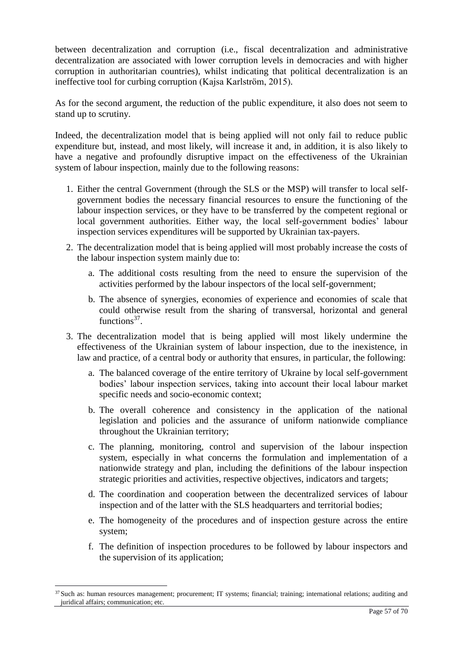between decentralization and corruption (i.e., fiscal decentralization and administrative decentralization are associated with lower corruption levels in democracies and with higher corruption in authoritarian countries), whilst indicating that political decentralization is an ineffective tool for curbing corruption (Kajsa Karlström, 2015).

As for the second argument, the reduction of the public expenditure, it also does not seem to stand up to scrutiny.

Indeed, the decentralization model that is being applied will not only fail to reduce public expenditure but, instead, and most likely, will increase it and, in addition, it is also likely to have a negative and profoundly disruptive impact on the effectiveness of the Ukrainian system of labour inspection, mainly due to the following reasons:

- 1. Either the central Government (through the SLS or the MSP) will transfer to local selfgovernment bodies the necessary financial resources to ensure the functioning of the labour inspection services, or they have to be transferred by the competent regional or local government authorities. Either way, the local self-government bodies' labour inspection services expenditures will be supported by Ukrainian tax-payers.
- 2. The decentralization model that is being applied will most probably increase the costs of the labour inspection system mainly due to:
	- a. The additional costs resulting from the need to ensure the supervision of the activities performed by the labour inspectors of the local self-government;
	- b. The absence of synergies, economies of experience and economies of scale that could otherwise result from the sharing of transversal, horizontal and general functions $37$ .
- 3. The decentralization model that is being applied will most likely undermine the effectiveness of the Ukrainian system of labour inspection, due to the inexistence, in law and practice, of a central body or authority that ensures, in particular, the following:
	- a. The balanced coverage of the entire territory of Ukraine by local self-government bodies' labour inspection services, taking into account their local labour market specific needs and socio-economic context;
	- b. The overall coherence and consistency in the application of the national legislation and policies and the assurance of uniform nationwide compliance throughout the Ukrainian territory;
	- c. The planning, monitoring, control and supervision of the labour inspection system, especially in what concerns the formulation and implementation of a nationwide strategy and plan, including the definitions of the labour inspection strategic priorities and activities, respective objectives, indicators and targets;
	- d. The coordination and cooperation between the decentralized services of labour inspection and of the latter with the SLS headquarters and territorial bodies;
	- e. The homogeneity of the procedures and of inspection gesture across the entire system;
	- f. The definition of inspection procedures to be followed by labour inspectors and the supervision of its application;

<sup>37</sup>Such as: human resources management; procurement; IT systems; financial; training; international relations; auditing and juridical affairs; communication; etc.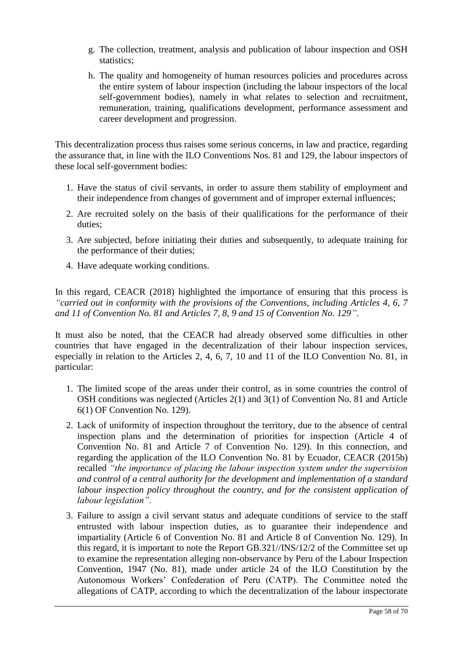- g. The collection, treatment, analysis and publication of labour inspection and OSH statistics;
- h. The quality and homogeneity of human resources policies and procedures across the entire system of labour inspection (including the labour inspectors of the local self-government bodies), namely in what relates to selection and recruitment, remuneration, training, qualifications development, performance assessment and career development and progression.

This decentralization process thus raises some serious concerns, in law and practice, regarding the assurance that, in line with the ILO Conventions Nos. 81 and 129, the labour inspectors of these local self-government bodies:

- 1. Have the status of civil servants, in order to assure them stability of employment and their independence from changes of government and of improper external influences;
- 2. Are recruited solely on the basis of their qualifications for the performance of their duties;
- 3. Are subjected, before initiating their duties and subsequently, to adequate training for the performance of their duties;
- 4. Have adequate working conditions.

In this regard, CEACR (2018) highlighted the importance of ensuring that this process is *"carried out in conformity with the provisions of the Conventions, including Articles 4, 6, 7 and 11 of Convention No. 81 and Articles 7, 8, 9 and 15 of Convention No. 129"*.

It must also be noted, that the CEACR had already observed some difficulties in other countries that have engaged in the decentralization of their labour inspection services, especially in relation to the Articles 2, 4, 6, 7, 10 and 11 of the ILO Convention No. 81, in particular:

- 1. The limited scope of the areas under their control, as in some countries the control of OSH conditions was neglected (Articles 2(1) and 3(1) of Convention No. 81 and Article 6(1) OF Convention No. 129).
- 2. Lack of uniformity of inspection throughout the territory, due to the absence of central inspection plans and the determination of priorities for inspection (Article 4 of Convention No. 81 and Article 7 of Convention No. 129). In this connection, and regarding the application of the ILO Convention No. 81 by Ecuador, CEACR (2015b) recalled *"the importance of placing the labour inspection system under the supervision and control of a central authority for the development and implementation of a standard labour inspection policy throughout the country, and for the consistent application of labour legislation".*
- 3. Failure to assign a civil servant status and adequate conditions of service to the staff entrusted with labour inspection duties, as to guarantee their independence and impartiality (Article 6 of Convention No. 81 and Article 8 of Convention No. 129). In this regard, it is important to note the Report GB.321//INS/12/2 of the Committee set up to examine the representation alleging non-observance by Peru of the Labour Inspection Convention, 1947 (No. 81), made under article 24 of the ILO Constitution by the Autonomous Workers' Confederation of Peru (CATP). The Committee noted the allegations of CATP, according to which the decentralization of the labour inspectorate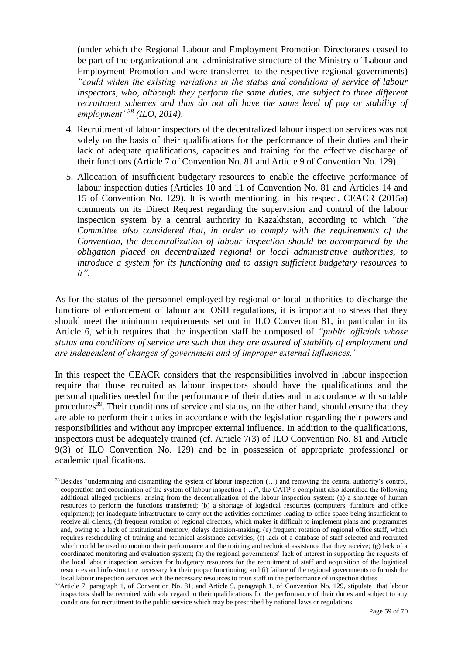(under which the Regional Labour and Employment Promotion Directorates ceased to be part of the organizational and administrative structure of the Ministry of Labour and Employment Promotion and were transferred to the respective regional governments) *"could widen the existing variations in the status and conditions of service of labour inspectors, who, although they perform the same duties, are subject to three different recruitment schemes and thus do not all have the same level of pay or stability of employment"<sup>38</sup> (ILO, 2014)*.

- 4. Recruitment of labour inspectors of the decentralized labour inspection services was not solely on the basis of their qualifications for the performance of their duties and their lack of adequate qualifications, capacities and training for the effective discharge of their functions (Article 7 of Convention No. 81 and Article 9 of Convention No. 129).
- 5. Allocation of insufficient budgetary resources to enable the effective performance of labour inspection duties (Articles 10 and 11 of Convention No. 81 and Articles 14 and 15 of Convention No. 129). It is worth mentioning, in this respect, CEACR (2015a) comments on its Direct Request regarding the supervision and control of the labour inspection system by a central authority in Kazakhstan, according to which *"the Committee also considered that, in order to comply with the requirements of the Convention, the decentralization of labour inspection should be accompanied by the obligation placed on decentralized regional or local administrative authorities, to introduce a system for its functioning and to assign sufficient budgetary resources to it".*

As for the status of the personnel employed by regional or local authorities to discharge the functions of enforcement of labour and OSH regulations, it is important to stress that they should meet the minimum requirements set out in ILO Convention 81, in particular in its Article 6, which requires that the inspection staff be composed of *"public officials whose status and conditions of service are such that they are assured of stability of employment and are independent of changes of government and of improper external influences."*

In this respect the CEACR considers that the responsibilities involved in labour inspection require that those recruited as labour inspectors should have the qualifications and the personal qualities needed for the performance of their duties and in accordance with suitable procedures<sup>39</sup>. Their conditions of service and status, on the other hand, should ensure that they are able to perform their duties in accordance with the legislation regarding their powers and responsibilities and without any improper external influence. In addition to the qualifications, inspectors must be adequately trained (cf. Article 7(3) of ILO Convention No. 81 and Article 9(3) of ILO Convention No. 129) and be in possession of appropriate professional or academic qualifications.

 $\overline{a}$  $38$ Besides "undermining and dismantling the system of labour inspection  $(...)$  and removing the central authority's control, cooperation and coordination of the system of labour inspection (…)", the CATP's complaint also identified the following additional alleged problems, arising from the decentralization of the labour inspection system: (a) a shortage of human resources to perform the functions transferred; (b) a shortage of logistical resources (computers, furniture and office equipment); (c) inadequate infrastructure to carry out the activities sometimes leading to office space being insufficient to receive all clients; (d) frequent rotation of regional directors, which makes it difficult to implement plans and programmes and, owing to a lack of institutional memory, delays decision-making; (e) frequent rotation of regional office staff, which requires rescheduling of training and technical assistance activities; (f) lack of a database of staff selected and recruited which could be used to monitor their performance and the training and technical assistance that they receive; (g) lack of a coordinated monitoring and evaluation system; (h) the regional governments' lack of interest in supporting the requests of the local labour inspection services for budgetary resources for the recruitment of staff and acquisition of the logistical resources and infrastructure necessary for their proper functioning; and (i) failure of the regional governments to furnish the local labour inspection services with the necessary resources to train staff in the performance of inspection duties

<sup>&</sup>lt;sup>39</sup>Article 7, paragraph 1, of Convention No. 81, and Article 9, paragraph 1, of Convention No. 129, stipulate that labour inspectors shall be recruited with sole regard to their qualifications for the performance of their duties and subject to any conditions for recruitment to the public service which may be prescribed by national laws or regulations.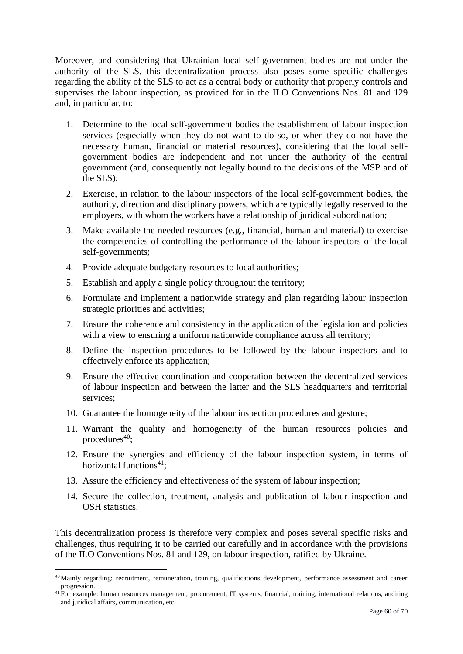Moreover, and considering that Ukrainian local self-government bodies are not under the authority of the SLS, this decentralization process also poses some specific challenges regarding the ability of the SLS to act as a central body or authority that properly controls and supervises the labour inspection, as provided for in the ILO Conventions Nos. 81 and 129 and, in particular, to:

- 1. Determine to the local self-government bodies the establishment of labour inspection services (especially when they do not want to do so, or when they do not have the necessary human, financial or material resources), considering that the local selfgovernment bodies are independent and not under the authority of the central government (and, consequently not legally bound to the decisions of the MSP and of the SLS);
- 2. Exercise, in relation to the labour inspectors of the local self-government bodies, the authority, direction and disciplinary powers, which are typically legally reserved to the employers, with whom the workers have a relationship of juridical subordination;
- 3. Make available the needed resources (e.g., financial, human and material) to exercise the competencies of controlling the performance of the labour inspectors of the local self-governments;
- 4. Provide adequate budgetary resources to local authorities;
- 5. Establish and apply a single policy throughout the territory;
- 6. Formulate and implement a nationwide strategy and plan regarding labour inspection strategic priorities and activities;
- 7. Ensure the coherence and consistency in the application of the legislation and policies with a view to ensuring a uniform nationwide compliance across all territory;
- 8. Define the inspection procedures to be followed by the labour inspectors and to effectively enforce its application;
- 9. Ensure the effective coordination and cooperation between the decentralized services of labour inspection and between the latter and the SLS headquarters and territorial services;
- 10. Guarantee the homogeneity of the labour inspection procedures and gesture;
- 11. Warrant the quality and homogeneity of the human resources policies and procedures $40$ ;
- 12. Ensure the synergies and efficiency of the labour inspection system, in terms of horizontal functions $41$ :
- 13. Assure the efficiency and effectiveness of the system of labour inspection;

 $\overline{a}$ 

14. Secure the collection, treatment, analysis and publication of labour inspection and OSH statistics.

This decentralization process is therefore very complex and poses several specific risks and challenges, thus requiring it to be carried out carefully and in accordance with the provisions of the ILO Conventions Nos. 81 and 129, on labour inspection, ratified by Ukraine.

<sup>40</sup>Mainly regarding: recruitment, remuneration, training, qualifications development, performance assessment and career progression.

<sup>&</sup>lt;sup>41</sup>For example: human resources management, procurement, IT systems, financial, training, international relations, auditing and juridical affairs, communication, etc.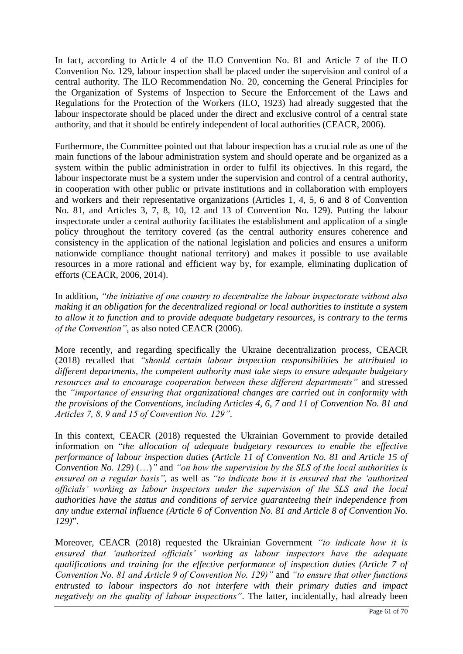In fact, according to Article 4 of the ILO Convention No. 81 and Article 7 of the ILO Convention No. 129, labour inspection shall be placed under the supervision and control of a central authority. The ILO Recommendation No. 20, concerning the General Principles for the Organization of Systems of Inspection to Secure the Enforcement of the Laws and Regulations for the Protection of the Workers (ILO, 1923) had already suggested that the labour inspectorate should be placed under the direct and exclusive control of a central state authority, and that it should be entirely independent of local authorities (CEACR, 2006).

Furthermore, the Committee pointed out that labour inspection has a crucial role as one of the main functions of the labour administration system and should operate and be organized as a system within the public administration in order to fulfil its objectives. In this regard, the labour inspectorate must be a system under the supervision and control of a central authority, in cooperation with other public or private institutions and in collaboration with employers and workers and their representative organizations (Articles 1, 4, 5, 6 and 8 of Convention No. 81, and Articles 3, 7, 8, 10, 12 and 13 of Convention No. 129). Putting the labour inspectorate under a central authority facilitates the establishment and application of a single policy throughout the territory covered (as the central authority ensures coherence and consistency in the application of the national legislation and policies and ensures a uniform nationwide compliance thought national territory) and makes it possible to use available resources in a more rational and efficient way by, for example, eliminating duplication of efforts (CEACR, 2006, 2014).

In addition, *"the initiative of one country to decentralize the labour inspectorate without also making it an obligation for the decentralized regional or local authorities to institute a system to allow it to function and to provide adequate budgetary resources, is contrary to the terms of the Convention"*, as also noted CEACR (2006).

More recently, and regarding specifically the Ukraine decentralization process, CEACR (2018) recalled that *"should certain labour inspection responsibilities be attributed to different departments, the competent authority must take steps to ensure adequate budgetary resources and to encourage cooperation between these different departments"* and stressed the *"importance of ensuring that organizational changes are carried out in conformity with the provisions of the Conventions, including Articles 4, 6, 7 and 11 of Convention No. 81 and Articles 7, 8, 9 and 15 of Convention No. 129"*.

In this context, CEACR (2018) requested the Ukrainian Government to provide detailed information on "*the allocation of adequate budgetary resources to enable the effective performance of labour inspection duties (Article 11 of Convention No. 81 and Article 15 of Convention No. 129)* (…)*"* and *"on how the supervision by the SLS of the local authorities is ensured on a regular basis",* as well as *"to indicate how it is ensured that the 'authorized officials' working as labour inspectors under the supervision of the SLS and the local authorities have the status and conditions of service guaranteeing their independence from any undue external influence (Article 6 of Convention No. 81 and Article 8 of Convention No. 129)*".

Moreover, CEACR (2018) requested the Ukrainian Government *"to indicate how it is ensured that 'authorized officials' working as labour inspectors have the adequate qualifications and training for the effective performance of inspection duties (Article 7 of Convention No. 81 and Article 9 of Convention No. 129)"* and *"to ensure that other functions entrusted to labour inspectors do not interfere with their primary duties and impact negatively on the quality of labour inspections"*. The latter, incidentally, had already been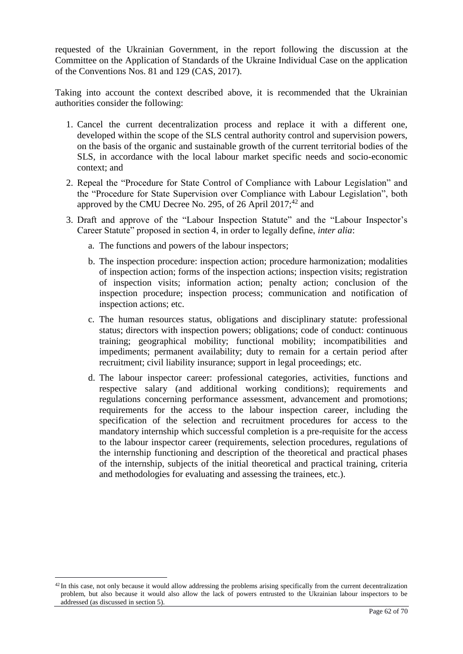requested of the Ukrainian Government, in the report following the discussion at the Committee on the Application of Standards of the Ukraine Individual Case on the application of the Conventions Nos. 81 and 129 (CAS, 2017).

Taking into account the context described above, it is recommended that the Ukrainian authorities consider the following:

- 1. Cancel the current decentralization process and replace it with a different one, developed within the scope of the SLS central authority control and supervision powers, on the basis of the organic and sustainable growth of the current territorial bodies of the SLS, in accordance with the local labour market specific needs and socio-economic context; and
- 2. Repeal the "Procedure for State Control of Compliance with Labour Legislation" and the "Procedure for State Supervision over Compliance with Labour Legislation", both approved by the CMU Decree No. 295, of 26 April 2017; $^{42}$  and
- 3. Draft and approve of the "Labour Inspection Statute" and the "Labour Inspector's Career Statute" proposed in section 4, in order to legally define, *inter alia*:
	- a. The functions and powers of the labour inspectors;
	- b. The inspection procedure: inspection action; procedure harmonization; modalities of inspection action; forms of the inspection actions; inspection visits; registration of inspection visits; information action; penalty action; conclusion of the inspection procedure; inspection process; communication and notification of inspection actions; etc.
	- c. The human resources status, obligations and disciplinary statute: professional status; directors with inspection powers; obligations; code of conduct: continuous training; geographical mobility; functional mobility; incompatibilities and impediments; permanent availability; duty to remain for a certain period after recruitment; civil liability insurance; support in legal proceedings; etc.
	- d. The labour inspector career: professional categories, activities, functions and respective salary (and additional working conditions); requirements and regulations concerning performance assessment, advancement and promotions; requirements for the access to the labour inspection career, including the specification of the selection and recruitment procedures for access to the mandatory internship which successful completion is a pre-requisite for the access to the labour inspector career (requirements, selection procedures, regulations of the internship functioning and description of the theoretical and practical phases of the internship, subjects of the initial theoretical and practical training, criteria and methodologies for evaluating and assessing the trainees, etc.).

<sup>&</sup>lt;sup>42</sup> In this case, not only because it would allow addressing the problems arising specifically from the current decentralization problem, but also because it would also allow the lack of powers entrusted to the Ukrainian labour inspectors to be addressed (as discussed in section 5).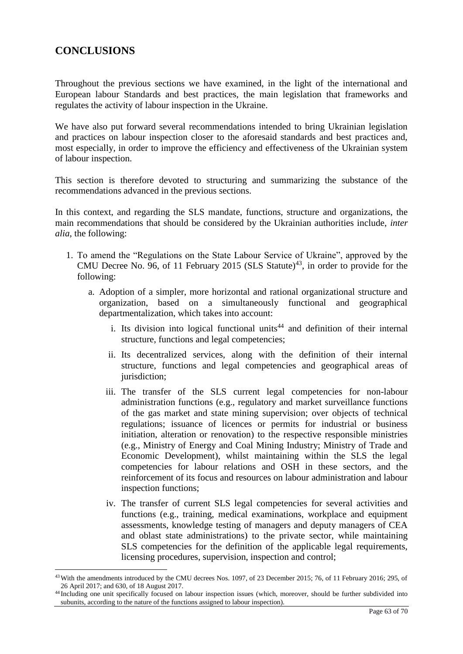## **CONCLUSIONS**

 $\overline{a}$ 

Throughout the previous sections we have examined, in the light of the international and European labour Standards and best practices, the main legislation that frameworks and regulates the activity of labour inspection in the Ukraine.

We have also put forward several recommendations intended to bring Ukrainian legislation and practices on labour inspection closer to the aforesaid standards and best practices and, most especially, in order to improve the efficiency and effectiveness of the Ukrainian system of labour inspection.

This section is therefore devoted to structuring and summarizing the substance of the recommendations advanced in the previous sections.

In this context, and regarding the SLS mandate, functions, structure and organizations, the main recommendations that should be considered by the Ukrainian authorities include, *inter alia*, the following:

- 1. To amend the "Regulations on the State Labour Service of Ukraine", approved by the CMU Decree No. 96, of 11 February 2015 (SLS Statute)<sup>43</sup>, in order to provide for the following:
	- a. Adoption of a simpler, more horizontal and rational organizational structure and organization, based on a simultaneously functional and geographical departmentalization, which takes into account:
		- i. Its division into logical functional units<sup>44</sup> and definition of their internal structure, functions and legal competencies;
		- ii. Its decentralized services, along with the definition of their internal structure, functions and legal competencies and geographical areas of jurisdiction:
		- iii. The transfer of the SLS current legal competencies for non-labour administration functions (e.g., regulatory and market surveillance functions of the gas market and state mining supervision; over objects of technical regulations; issuance of licences or permits for industrial or business initiation, alteration or renovation) to the respective responsible ministries (e.g., Ministry of Energy and Coal Mining Industry; Ministry of Trade and Economic Development), whilst maintaining within the SLS the legal competencies for labour relations and OSH in these sectors, and the reinforcement of its focus and resources on labour administration and labour inspection functions;
		- iv. The transfer of current SLS legal competencies for several activities and functions (e.g., training, medical examinations, workplace and equipment assessments, knowledge testing of managers and deputy managers of CEA and oblast state administrations) to the private sector, while maintaining SLS competencies for the definition of the applicable legal requirements, licensing procedures, supervision, inspection and control;

<sup>43</sup>With the amendments introduced by the CMU decrees Nos. 1097, of 23 December 2015; 76, of 11 February 2016; 295, of 26 April 2017; and 630, of 18 August 2017.

<sup>44</sup> Including one unit specifically focused on labour inspection issues (which, moreover, should be further subdivided into subunits, according to the nature of the functions assigned to labour inspection).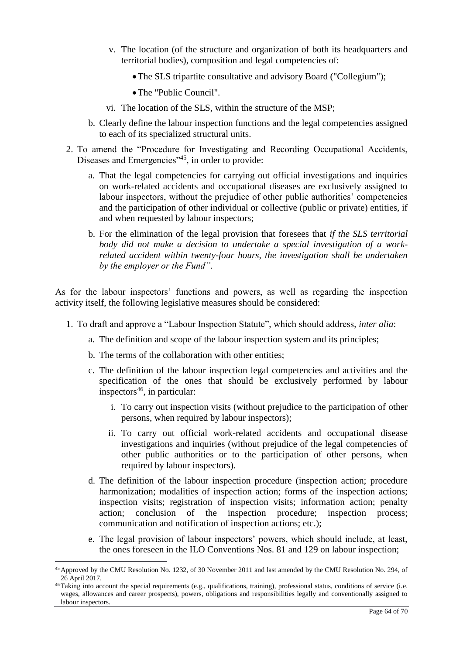- v. The location (of the structure and organization of both its headquarters and territorial bodies), composition and legal competencies of:
	- •The SLS tripartite consultative and advisory Board ("Collegium");
	- •The "Public Council".
- vi. The location of the SLS, within the structure of the MSP;
- b. Clearly define the labour inspection functions and the legal competencies assigned to each of its specialized structural units.
- 2. To amend the "Procedure for Investigating and Recording Occupational Accidents, Diseases and Emergencies"<sup>45</sup>, in order to provide:
	- a. That the legal competencies for carrying out official investigations and inquiries on work-related accidents and occupational diseases are exclusively assigned to labour inspectors, without the prejudice of other public authorities' competencies and the participation of other individual or collective (public or private) entities, if and when requested by labour inspectors;
	- b. For the elimination of the legal provision that foresees that *if the SLS territorial body did not make a decision to undertake a special investigation of a workrelated accident within twenty-four hours, the investigation shall be undertaken by the employer or the Fund"*.

As for the labour inspectors' functions and powers, as well as regarding the inspection activity itself, the following legislative measures should be considered:

- 1. To draft and approve a "Labour Inspection Statute", which should address, *inter alia*:
	- a. The definition and scope of the labour inspection system and its principles;
	- b. The terms of the collaboration with other entities;

- c. The definition of the labour inspection legal competencies and activities and the specification of the ones that should be exclusively performed by labour inspectors $46$ , in particular:
	- i. To carry out inspection visits (without prejudice to the participation of other persons, when required by labour inspectors);
	- ii. To carry out official work-related accidents and occupational disease investigations and inquiries (without prejudice of the legal competencies of other public authorities or to the participation of other persons, when required by labour inspectors).
- d. The definition of the labour inspection procedure (inspection action; procedure harmonization; modalities of inspection action; forms of the inspection actions; inspection visits; registration of inspection visits; information action; penalty action; conclusion of the inspection procedure; inspection process; communication and notification of inspection actions; etc.);
- e. The legal provision of labour inspectors' powers, which should include, at least, the ones foreseen in the ILO Conventions Nos. 81 and 129 on labour inspection;

<sup>45</sup>Approved by the CMU Resolution No. 1232, of 30 November 2011 and last amended by the CMU Resolution No. 294, of 26 April 2017.

<sup>&</sup>lt;sup>46</sup>Taking into account the special requirements (e.g., qualifications, training), professional status, conditions of service (i.e. wages, allowances and career prospects), powers, obligations and responsibilities legally and conventionally assigned to labour inspectors.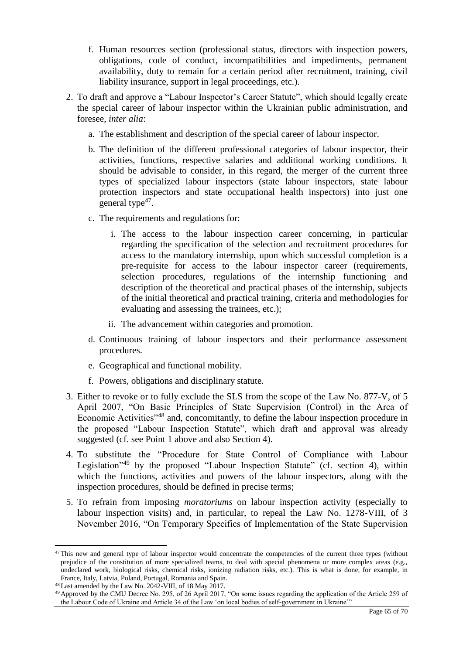- f. Human resources section (professional status, directors with inspection powers, obligations, code of conduct, incompatibilities and impediments, permanent availability, duty to remain for a certain period after recruitment, training, civil liability insurance, support in legal proceedings, etc.).
- 2. To draft and approve a "Labour Inspector's Career Statute", which should legally create the special career of labour inspector within the Ukrainian public administration, and foresee, *inter alia*:
	- a. The establishment and description of the special career of labour inspector.
	- b. The definition of the different professional categories of labour inspector, their activities, functions, respective salaries and additional working conditions. It should be advisable to consider, in this regard, the merger of the current three types of specialized labour inspectors (state labour inspectors, state labour protection inspectors and state occupational health inspectors) into just one general type $47$ .
	- c. The requirements and regulations for:
		- i. The access to the labour inspection career concerning, in particular regarding the specification of the selection and recruitment procedures for access to the mandatory internship, upon which successful completion is a pre-requisite for access to the labour inspector career (requirements, selection procedures, regulations of the internship functioning and description of the theoretical and practical phases of the internship, subjects of the initial theoretical and practical training, criteria and methodologies for evaluating and assessing the trainees, etc.);
		- ii. The advancement within categories and promotion.
	- d. Continuous training of labour inspectors and their performance assessment procedures.
	- e. Geographical and functional mobility.
	- f. Powers, obligations and disciplinary statute.
- 3. Either to revoke or to fully exclude the SLS from the scope of the Law No. 877-V, of 5 April 2007, "On Basic Principles of State Supervision (Control) in the Area of Economic Activities"<sup>48</sup> and, concomitantly, to define the labour inspection procedure in the proposed "Labour Inspection Statute", which draft and approval was already suggested (cf. see Point 1 above and also Section 4).
- 4. To substitute the "Procedure for State Control of Compliance with Labour Legislation<sup>"49</sup> by the proposed "Labour Inspection Statute" (cf. section 4), within which the functions, activities and powers of the labour inspectors, along with the inspection procedures, should be defined in precise terms;
- 5. To refrain from imposing *moratoriums* on labour inspection activity (especially to labour inspection visits) and, in particular, to repeal the Law No. 1278-VIII, of 3 November 2016, "On Temporary Specifics of Implementation of the State Supervision

<sup>&</sup>lt;sup>47</sup>This new and general type of labour inspector would concentrate the competencies of the current three types (without prejudice of the constitution of more specialized teams, to deal with special phenomena or more complex areas (e.g., undeclared work, biological risks, chemical risks, ionizing radiation risks, etc.). This is what is done, for example, in France, Italy, Latvia, Poland, Portugal, Romania and Spain.

<sup>48</sup>Last amended by the Law No. 2042-VIII, of 18 May 2017.

<sup>49</sup>Approved by the CMU Decree No. 295, of 26 April 2017, "On some issues regarding the application of the Article 259 of the Labour Code of Ukraine and Article 34 of the Law 'on local bodies of self-government in Ukraine'"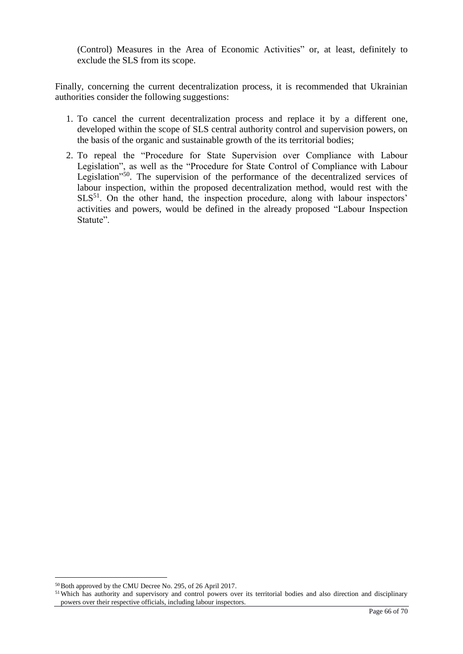(Control) Measures in the Area of Economic Activities" or, at least, definitely to exclude the SLS from its scope.

Finally, concerning the current decentralization process, it is recommended that Ukrainian authorities consider the following suggestions:

- 1. To cancel the current decentralization process and replace it by a different one, developed within the scope of SLS central authority control and supervision powers, on the basis of the organic and sustainable growth of the its territorial bodies;
- 2. To repeal the "Procedure for State Supervision over Compliance with Labour Legislation", as well as the "Procedure for State Control of Compliance with Labour Legislation<sup>"50</sup>. The supervision of the performance of the decentralized services of labour inspection, within the proposed decentralization method, would rest with the  $SLS<sup>51</sup>$ . On the other hand, the inspection procedure, along with labour inspectors' activities and powers, would be defined in the already proposed "Labour Inspection Statute".

<sup>&</sup>lt;sup>50</sup>Both approved by the CMU Decree No. 295, of 26 April 2017.

<sup>&</sup>lt;sup>51</sup>Which has authority and supervisory and control powers over its territorial bodies and also direction and disciplinary powers over their respective officials, including labour inspectors.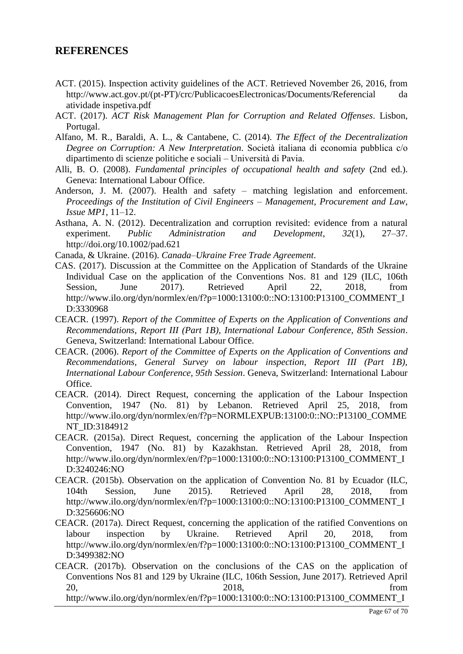#### **REFERENCES**

- ACT. (2015). Inspection activity guidelines of the ACT. Retrieved November 26, 2016, from http://www.act.gov.pt/(pt-PT)/crc/PublicacoesElectronicas/Documents/Referencial da atividade inspetiva.pdf
- ACT. (2017). *ACT Risk Management Plan for Corruption and Related Offenses*. Lisbon, Portugal.
- Alfano, M. R., Baraldi, A. L., & Cantabene, C. (2014). *The Effect of the Decentralization Degree on Corruption: A New Interpretation*. Società italiana di economia pubblica c/o dipartimento di scienze politiche e sociali – Università di Pavia.
- Alli, B. O. (2008). *Fundamental principles of occupational health and safety* (2nd ed.). Geneva: International Labour Office.
- Anderson, J. M. (2007). Health and safety matching legislation and enforcement. *Proceedings of the Institution of Civil Engineers – Management, Procurement and Law*, *Issue MP1*, 11–12.
- Asthana, A. N. (2012). Decentralization and corruption revisited: evidence from a natural experiment. *Public Administration and Development*, *32*(1), 27–37. http://doi.org/10.1002/pad.621
- Canada, & Ukraine. (2016). *Canada–Ukraine Free Trade Agreement*.
- CAS. (2017). Discussion at the Committee on the Application of Standards of the Ukraine Individual Case on the application of the Conventions Nos. 81 and 129 (ILC, 106th Session, June 2017). Retrieved April 22, 2018, from http://www.ilo.org/dyn/normlex/en/f?p=1000:13100:0::NO:13100:P13100\_COMMENT\_I D:3330968
- CEACR. (1997). *Report of the Committee of Experts on the Application of Conventions and Recommendations, Report III (Part 1B), International Labour Conference, 85th Session*. Geneva, Switzerland: International Labour Office.
- CEACR. (2006). *Report of the Committee of Experts on the Application of Conventions and Recommendations, General Survey on labour inspection, Report III (Part 1B), International Labour Conference, 95th Session*. Geneva, Switzerland: International Labour Office.
- CEACR. (2014). Direct Request, concerning the application of the Labour Inspection Convention, 1947 (No. 81) by Lebanon. Retrieved April 25, 2018, from http://www.ilo.org/dyn/normlex/en/f?p=NORMLEXPUB:13100:0::NO::P13100\_COMME NT\_ID:3184912
- CEACR. (2015a). Direct Request, concerning the application of the Labour Inspection Convention, 1947 (No. 81) by Kazakhstan. Retrieved April 28, 2018, from http://www.ilo.org/dyn/normlex/en/f?p=1000:13100:0::NO:13100:P13100\_COMMENT\_I D:3240246:NO
- CEACR. (2015b). Observation on the application of Convention No. 81 by Ecuador (ILC, 104th Session, June 2015). Retrieved April 28, 2018, from http://www.ilo.org/dyn/normlex/en/f?p=1000:13100:0::NO:13100:P13100\_COMMENT\_I D:3256606:NO
- CEACR. (2017a). Direct Request, concerning the application of the ratified Conventions on labour inspection by Ukraine. Retrieved April 20, 2018, from http://www.ilo.org/dyn/normlex/en/f?p=1000:13100:0::NO:13100:P13100\_COMMENT\_I D:3499382:NO
- CEACR. (2017b). Observation on the conclusions of the CAS on the application of Conventions Nos 81 and 129 by Ukraine (ILC, 106th Session, June 2017). Retrieved April 20, 2018, from

http://www.ilo.org/dyn/normlex/en/f?p=1000:13100:0::NO:13100:P13100\_COMMENT\_I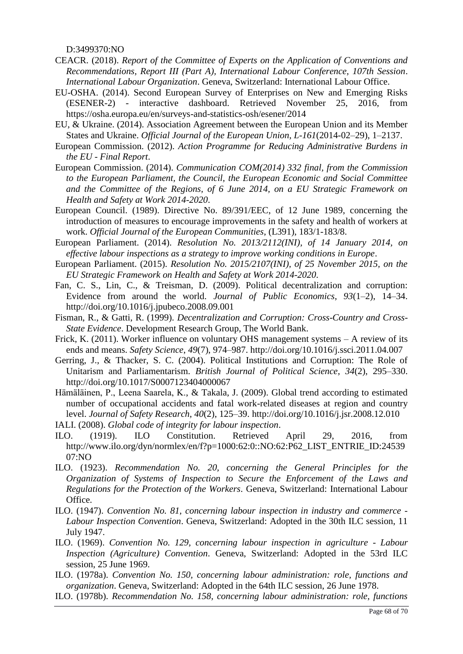D:3499370:NO

- CEACR. (2018). *Report of the Committee of Experts on the Application of Conventions and Recommendations, Report III (Part A), International Labour Conference, 107th Session*. *International Labour Organization*. Geneva, Switzerland: International Labour Office.
- EU-OSHA. (2014). Second European Survey of Enterprises on New and Emerging Risks (ESENER-2) - interactive dashboard. Retrieved November 25, 2016, from https://osha.europa.eu/en/surveys-and-statistics-osh/esener/2014
- EU, & Ukraine. (2014). Association Agreement between the European Union and its Member States and Ukraine. *Official Journal of the European Union*, *L*-*161*(2014-02–29), 1–2137.
- European Commission. (2012). *Action Programme for Reducing Administrative Burdens in the EU - Final Report*.
- European Commission. (2014). *Communication COM(2014) 332 final, from the Commission to the European Parliament, the Council, the European Economic and Social Committee and the Committee of the Regions, of 6 June 2014, on a EU Strategic Framework on Health and Safety at Work 2014-2020*.
- European Council. (1989). Directive No. 89/391/EEC, of 12 June 1989, concerning the introduction of measures to encourage improvements in the safety and health of workers at work. *Official Journal of the European Communities*, (L391), 183/1-183/8.
- European Parliament. (2014). *Resolution No. 2013/2112(INI), of 14 January 2014, on effective labour inspections as a strategy to improve working conditions in Europe*.
- European Parliament. (2015). *Resolution No. 2015/2107(INI), of 25 November 2015, on the EU Strategic Framework on Health and Safety at Work 2014-2020*.
- Fan, C. S., Lin, C., & Treisman, D. (2009). Political decentralization and corruption: Evidence from around the world. *Journal of Public Economics*, *93*(1–2), 14–34. http://doi.org/10.1016/j.jpubeco.2008.09.001
- Fisman, R., & Gatti, R. (1999). *Decentralization and Corruption: Cross-Country and Cross-State Evidence*. Development Research Group, The World Bank.
- Frick, K. (2011). Worker influence on voluntary OHS management systems A review of its ends and means. *Safety Science*, *49*(7), 974–987. http://doi.org/10.1016/j.ssci.2011.04.007
- Gerring, J., & Thacker, S. C. (2004). Political Institutions and Corruption: The Role of Unitarism and Parliamentarism. *British Journal of Political Science*, *34*(2), 295–330. http://doi.org/10.1017/S0007123404000067
- Hämäläinen, P., Leena Saarela, K., & Takala, J. (2009). Global trend according to estimated number of occupational accidents and fatal work-related diseases at region and country level. *Journal of Safety Research*, *40*(2), 125–39. http://doi.org/10.1016/j.jsr.2008.12.010
- IALI. (2008). *Global code of integrity for labour inspection*.
- ILO. (1919). ILO Constitution. Retrieved April 29, 2016, from http://www.ilo.org/dyn/normlex/en/f?p=1000:62:0::NO:62:P62\_LIST\_ENTRIE\_ID:24539 07:NO
- ILO. (1923). *Recommendation No. 20, concerning the General Principles for the Organization of Systems of Inspection to Secure the Enforcement of the Laws and Regulations for the Protection of the Workers*. Geneva, Switzerland: International Labour Office.
- ILO. (1947). *Convention No. 81, concerning labour inspection in industry and commerce - Labour Inspection Convention*. Geneva, Switzerland: Adopted in the 30th ILC session, 11 July 1947.
- ILO. (1969). *Convention No. 129, concerning labour inspection in agriculture - Labour Inspection (Agriculture) Convention*. Geneva, Switzerland: Adopted in the 53rd ILC session, 25 June 1969.
- ILO. (1978a). *Convention No. 150, concerning labour administration: role, functions and organization*. Geneva, Switzerland: Adopted in the 64th ILC session, 26 June 1978.
- ILO. (1978b). *Recommendation No. 158, concerning labour administration: role, functions*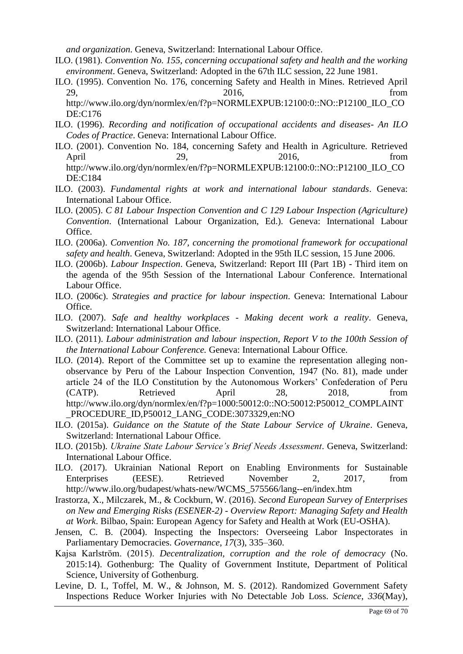*and organization*. Geneva, Switzerland: International Labour Office.

- ILO. (1981). *Convention No. 155, concerning occupational safety and health and the working environment*. Geneva, Switzerland: Adopted in the 67th ILC session, 22 June 1981.
- ILO. (1995). Convention No. 176, concerning Safety and Health in Mines. Retrieved April 29, 2016, from http://www.ilo.org/dyn/normlex/en/f?p=NORMLEXPUB:12100:0::NO::P12100\_ILO\_CO DE:C176
- ILO. (1996). *Recording and notification of occupational accidents and diseases- An ILO Codes of Practice*. Geneva: International Labour Office.
- ILO. (2001). Convention No. 184, concerning Safety and Health in Agriculture. Retrieved April 29, 2016, from http://www.ilo.org/dyn/normlex/en/f?p=NORMLEXPUB:12100:0::NO::P12100\_ILO\_CO DE:C184
- ILO. (2003). *Fundamental rights at work and international labour standards*. Geneva: International Labour Office.
- ILO. (2005). *C 81 Labour Inspection Convention and C 129 Labour Inspection (Agriculture) Convention*. (International Labour Organization, Ed.). Geneva: International Labour Office.
- ILO. (2006a). *Convention No. 187, concerning the promotional framework for occupational safety and health*. Geneva, Switzerland: Adopted in the 95th ILC session, 15 June 2006.
- ILO. (2006b). *Labour Inspection*. Geneva, Switzerland: Report III (Part 1B) Third item on the agenda of the 95th Session of the International Labour Conference. International Labour Office.
- ILO. (2006c). *Strategies and practice for labour inspection*. Geneva: International Labour Office.
- ILO. (2007). *Safe and healthy workplaces - Making decent work a reality*. Geneva, Switzerland: International Labour Office.
- ILO. (2011). *Labour administration and labour inspection, Report V to the 100th Session of the International Labour Conference.* Geneva: International Labour Office.
- ILO. (2014). Report of the Committee set up to examine the representation alleging nonobservance by Peru of the Labour Inspection Convention, 1947 (No. 81), made under article 24 of the ILO Constitution by the Autonomous Workers' Confederation of Peru (CATP). Retrieved April 28, 2018, from http://www.ilo.org/dyn/normlex/en/f?p=1000:50012:0::NO:50012:P50012\_COMPLAINT PROCEDURE\_ID,P50012\_LANG\_CODE:3073329,en:NO
- ILO. (2015a). *Guidance on the Statute of the State Labour Service of Ukraine*. Geneva, Switzerland: International Labour Office.
- ILO. (2015b). *Ukraine State Labour Service's Brief Needs Assessment*. Geneva, Switzerland: International Labour Office.
- ILO. (2017). Ukrainian National Report on Enabling Environments for Sustainable Enterprises (EESE). Retrieved November 2, 2017, from http://www.ilo.org/budapest/whats-new/WCMS\_575566/lang--en/index.htm
- Irastorza, X., Milczarek, M., & Cockburn, W. (2016). *Second European Survey of Enterprises on New and Emerging Risks (ESENER-2) - Overview Report: Managing Safety and Health at Work*. Bilbao, Spain: European Agency for Safety and Health at Work (EU-OSHA).
- Jensen, C. B. (2004). Inspecting the Inspectors: Overseeing Labor Inspectorates in Parliamentary Democracies. *Governance*, *17*(3), 335–360.
- Kajsa Karlström. (2015). *Decentralization, corruption and the role of democracy* (No. 2015:14). Gothenburg: The Quality of Government Institute, Department of Political Science, University of Gothenburg.
- Levine, D. I., Toffel, M. W., & Johnson, M. S. (2012). Randomized Government Safety Inspections Reduce Worker Injuries with No Detectable Job Loss. *Science*, *336*(May),